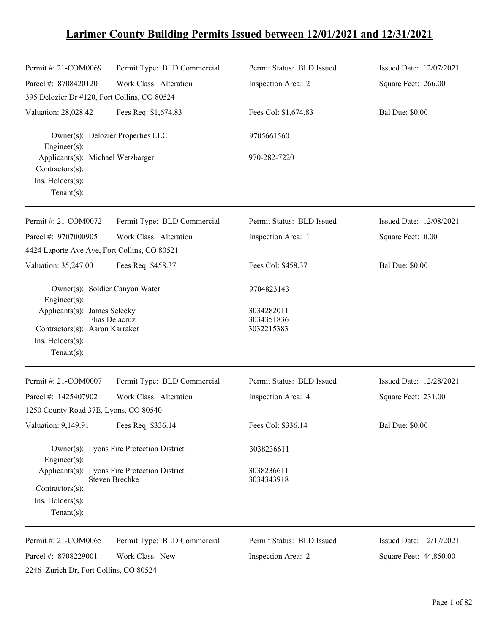## **Larimer County Building Permits Issued between 12/01/2021 and 12/31/2021**

| Permit #: 21-COM0069                                                                                | Permit Type: BLD Commercial                                     | Permit Status: BLD Issued              | Issued Date: 12/07/2021 |
|-----------------------------------------------------------------------------------------------------|-----------------------------------------------------------------|----------------------------------------|-------------------------|
| Parcel #: 8708420120                                                                                | Work Class: Alteration                                          | Inspection Area: 2                     | Square Feet: 266.00     |
| 395 Delozier Dr #120, Fort Collins, CO 80524                                                        |                                                                 |                                        |                         |
| Valuation: 28,028.42                                                                                | Fees Req: \$1,674.83                                            | Fees Col: \$1,674.83                   | <b>Bal Due: \$0.00</b>  |
| $Engineering(s)$ :                                                                                  | Owner(s): Delozier Properties LLC                               | 9705661560                             |                         |
| Applicants(s): Michael Wetzbarger<br>Contractors(s):                                                |                                                                 | 970-282-7220                           |                         |
| Ins. Holders(s):<br>$Tenant(s)$ :                                                                   |                                                                 |                                        |                         |
| Permit #: 21-COM0072                                                                                | Permit Type: BLD Commercial                                     | Permit Status: BLD Issued              | Issued Date: 12/08/2021 |
| Parcel #: 9707000905<br>4424 Laporte Ave Ave, Fort Collins, CO 80521                                | Work Class: Alteration                                          | Inspection Area: 1                     | Square Feet: 0.00       |
| Valuation: 35,247.00                                                                                | Fees Req: \$458.37                                              | Fees Col: \$458.37                     | <b>Bal Due: \$0.00</b>  |
| Owner(s): Soldier Canyon Water<br>$Engineering(s)$ :                                                |                                                                 | 9704823143                             |                         |
| Applicants(s): James Selecky<br>Contractors(s): Aaron Karraker<br>Ins. Holders(s):<br>$Tenant(s)$ : | Elias Delacruz                                                  | 3034282011<br>3034351836<br>3032215383 |                         |
| Permit #: 21-COM0007                                                                                | Permit Type: BLD Commercial                                     | Permit Status: BLD Issued              | Issued Date: 12/28/2021 |
| Parcel #: 1425407902                                                                                | Work Class: Alteration                                          | Inspection Area: 4                     | Square Feet: 231.00     |
| 1250 County Road 37E, Lyons, CO 80540                                                               |                                                                 |                                        |                         |
| Valuation: 9,149.91                                                                                 | Fees Req: \$336.14                                              | Fees Col: \$336.14                     | <b>Bal Due: \$0.00</b>  |
| Engineer(s):                                                                                        | Owner(s): Lyons Fire Protection District                        | 3038236611                             |                         |
| Contractors(s):<br>$Ins.$ Holders $(s)$ :<br>Tenant $(s)$ :                                         | Applicants(s): Lyons Fire Protection District<br>Steven Brechke | 3038236611<br>3034343918               |                         |
| Permit #: 21-COM0065                                                                                | Permit Type: BLD Commercial                                     | Permit Status: BLD Issued              | Issued Date: 12/17/2021 |
| Parcel #: 8708229001                                                                                | Work Class: New                                                 | Inspection Area: 2                     | Square Feet: 44,850.00  |

2246 Zurich Dr, Fort Collins, CO 80524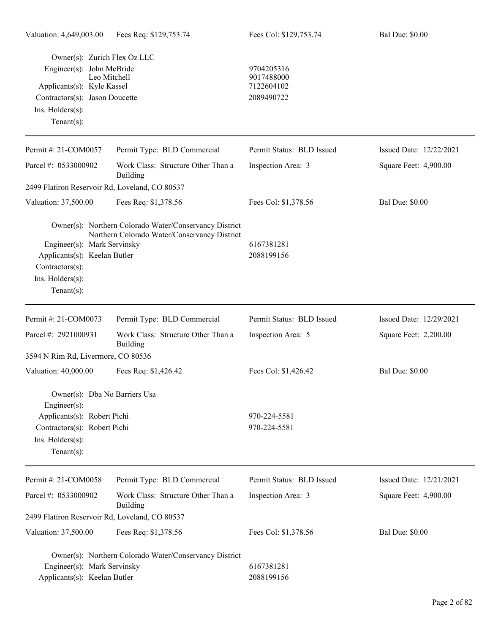| Owner(s): Zurich Flex Oz LLC                   |                                                                                                        |                           |                         |
|------------------------------------------------|--------------------------------------------------------------------------------------------------------|---------------------------|-------------------------|
| Engineer(s): John McBride                      | Leo Mitchell                                                                                           | 9704205316<br>9017488000  |                         |
| Applicants(s): Kyle Kassel                     |                                                                                                        | 7122604102                |                         |
| Contractors(s): Jason Doucette                 |                                                                                                        | 2089490722                |                         |
| Ins. Holders(s):                               |                                                                                                        |                           |                         |
| Tenant $(s)$ :                                 |                                                                                                        |                           |                         |
| Permit #: 21-COM0057                           | Permit Type: BLD Commercial                                                                            | Permit Status: BLD Issued | Issued Date: 12/22/2021 |
| Parcel #: 0533000902                           | Work Class: Structure Other Than a<br>Building                                                         | Inspection Area: 3        | Square Feet: 4,900.00   |
| 2499 Flatiron Reservoir Rd, Loveland, CO 80537 |                                                                                                        |                           |                         |
| Valuation: 37,500.00                           | Fees Req: \$1,378.56                                                                                   | Fees Col: \$1,378.56      | <b>Bal Due: \$0.00</b>  |
|                                                | Owner(s): Northern Colorado Water/Conservancy District<br>Northern Colorado Water/Conservancy District |                           |                         |
| Engineer(s): Mark Servinsky                    |                                                                                                        | 6167381281                |                         |
| Applicants(s): Keelan Butler                   |                                                                                                        | 2088199156                |                         |
| Contractors(s):                                |                                                                                                        |                           |                         |
| Ins. Holders(s):                               |                                                                                                        |                           |                         |
| Tenant $(s)$ :                                 |                                                                                                        |                           |                         |
| Permit #: 21-COM0073                           | Permit Type: BLD Commercial                                                                            | Permit Status: BLD Issued | Issued Date: 12/29/2021 |
| Parcel #: 2921000931                           | Work Class: Structure Other Than a<br><b>Building</b>                                                  | Inspection Area: 5        | Square Feet: 2,200.00   |
| 3594 N Rim Rd, Livermore, CO 80536             |                                                                                                        |                           |                         |
| Valuation: 40,000.00                           | Fees Req: \$1,426.42                                                                                   | Fees Col: \$1,426.42      | <b>Bal Due: \$0.00</b>  |
| Owner(s): Dba No Barriers Usa<br>Engineer(s):  |                                                                                                        |                           |                         |
| Applicants(s): Robert Pichi                    |                                                                                                        | 970-224-5581              |                         |
| Contractors(s): Robert Pichi                   |                                                                                                        | 970-224-5581              |                         |
| Ins. Holders(s):                               |                                                                                                        |                           |                         |
| Tenant $(s)$ :                                 |                                                                                                        |                           |                         |
| Permit #: 21-COM0058                           | Permit Type: BLD Commercial                                                                            | Permit Status: BLD Issued | Issued Date: 12/21/2021 |
| Parcel #: 0533000902                           | Work Class: Structure Other Than a                                                                     | Inspection Area: 3        | Square Feet: 4,900.00   |
| 2499 Flatiron Reservoir Rd, Loveland, CO 80537 | Building                                                                                               |                           |                         |
| Valuation: 37,500.00                           | Fees Req: \$1,378.56                                                                                   | Fees Col: \$1,378.56      | <b>Bal Due: \$0.00</b>  |
|                                                | Owner(s): Northern Colorado Water/Conservancy District                                                 |                           |                         |
| Engineer(s): Mark Servinsky                    |                                                                                                        | 6167381281                |                         |
| Applicants(s): Keelan Butler                   |                                                                                                        | 2088199156                |                         |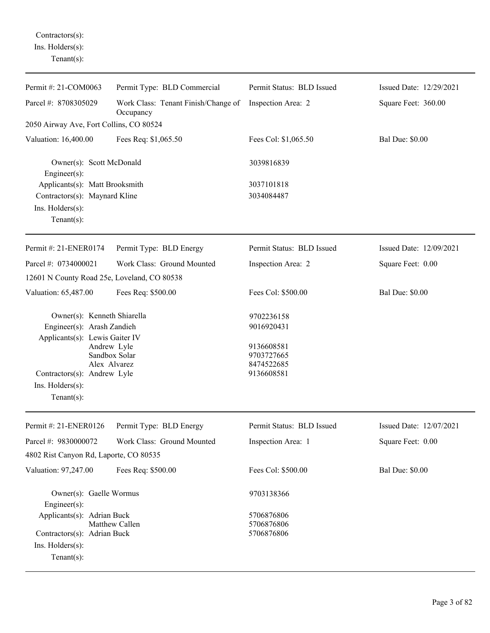Contractors(s): Ins. Holders(s): Tenant(s):

| Permit #: 21-COM0063                                                                                                                                            | Permit Type: BLD Commercial                      | Permit Status: BLD Issued                                                        | Issued Date: 12/29/2021 |
|-----------------------------------------------------------------------------------------------------------------------------------------------------------------|--------------------------------------------------|----------------------------------------------------------------------------------|-------------------------|
| Parcel #: 8708305029                                                                                                                                            | Work Class: Tenant Finish/Change of<br>Occupancy | Inspection Area: 2                                                               | Square Feet: 360.00     |
| 2050 Airway Ave, Fort Collins, CO 80524                                                                                                                         |                                                  |                                                                                  |                         |
| Valuation: 16,400.00                                                                                                                                            | Fees Req: \$1,065.50                             | Fees Col: \$1,065.50                                                             | <b>Bal Due: \$0.00</b>  |
| Owner(s): Scott McDonald<br>$Engineering(s)$ :                                                                                                                  |                                                  | 3039816839                                                                       |                         |
| Applicants(s): Matt Brooksmith                                                                                                                                  |                                                  | 3037101818                                                                       |                         |
| Contractors(s): Maynard Kline                                                                                                                                   |                                                  | 3034084487                                                                       |                         |
| Ins. Holders(s):<br>Tenant $(s)$ :                                                                                                                              |                                                  |                                                                                  |                         |
| Permit #: 21-ENER0174                                                                                                                                           | Permit Type: BLD Energy                          | Permit Status: BLD Issued                                                        | Issued Date: 12/09/2021 |
| Parcel #: 0734000021                                                                                                                                            | Work Class: Ground Mounted                       | Inspection Area: 2                                                               | Square Feet: 0.00       |
| 12601 N County Road 25e, Loveland, CO 80538                                                                                                                     |                                                  |                                                                                  |                         |
| Valuation: 65,487.00                                                                                                                                            | Fees Req: \$500.00                               | Fees Col: \$500.00                                                               | <b>Bal Due: \$0.00</b>  |
| Owner(s): Kenneth Shiarella<br>Engineer(s): Arash Zandieh<br>Applicants(s): Lewis Gaiter IV<br>Contractors(s): Andrew Lyle<br>Ins. Holders(s):<br>$Tenant(s)$ : | Andrew Lyle<br>Sandbox Solar<br>Alex Alvarez     | 9702236158<br>9016920431<br>9136608581<br>9703727665<br>8474522685<br>9136608581 |                         |
| Permit #: 21-ENER0126                                                                                                                                           | Permit Type: BLD Energy                          | Permit Status: BLD Issued                                                        | Issued Date: 12/07/2021 |
| Parcel #: 9830000072                                                                                                                                            | Work Class: Ground Mounted                       | Inspection Area: 1                                                               | Square Feet: 0.00       |
| 4802 Rist Canyon Rd, Laporte, CO 80535                                                                                                                          |                                                  |                                                                                  |                         |
| Valuation: 97,247.00                                                                                                                                            | Fees Req: \$500.00                               | Fees Col: \$500.00                                                               | <b>Bal Due: \$0.00</b>  |
| Owner(s): Gaelle Wormus<br>$Engineering(s)$ :<br>Applicants(s): Adrian Buck<br>Contractors(s): Adrian Buck<br>Ins. Holders(s):<br>$Tenant(s)$ :                 | Matthew Callen                                   | 9703138366<br>5706876806<br>5706876806<br>5706876806                             |                         |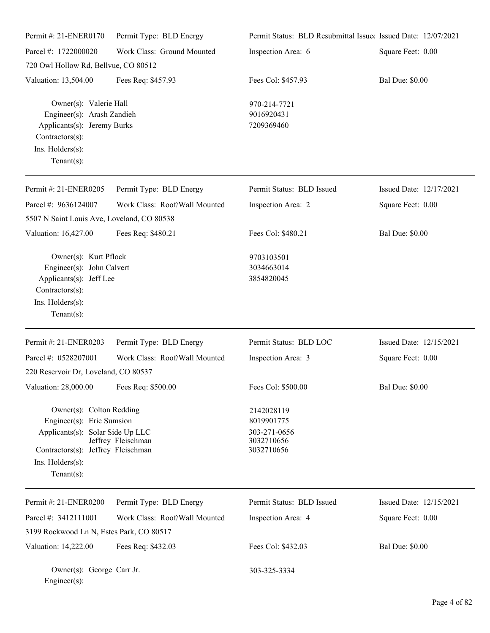| Permit #: 21-ENER0170                                                                                                                                                | Permit Type: BLD Energy       | Permit Status: BLD Resubmittal Issued Issued Date: 12/07/2021        |                         |
|----------------------------------------------------------------------------------------------------------------------------------------------------------------------|-------------------------------|----------------------------------------------------------------------|-------------------------|
| Parcel #: 1722000020                                                                                                                                                 | Work Class: Ground Mounted    | Inspection Area: 6                                                   | Square Feet: 0.00       |
| 720 Owl Hollow Rd, Bellvue, CO 80512                                                                                                                                 |                               |                                                                      |                         |
| Valuation: 13,504.00                                                                                                                                                 | Fees Req: \$457.93            | Fees Col: \$457.93                                                   | <b>Bal Due: \$0.00</b>  |
| Owner(s): Valerie Hall<br>Engineer(s): Arash Zandieh<br>Applicants(s): Jeremy Burks<br>Contractors(s):<br>Ins. Holders(s):<br>$Tenant(s)$ :                          |                               | 970-214-7721<br>9016920431<br>7209369460                             |                         |
| Permit #: 21-ENER0205                                                                                                                                                | Permit Type: BLD Energy       | Permit Status: BLD Issued                                            | Issued Date: 12/17/2021 |
| Parcel #: 9636124007<br>5507 N Saint Louis Ave, Loveland, CO 80538                                                                                                   | Work Class: Roof/Wall Mounted | Inspection Area: 2                                                   | Square Feet: 0.00       |
| Valuation: 16,427.00                                                                                                                                                 | Fees Req: \$480.21            | Fees Col: \$480.21                                                   | <b>Bal Due: \$0.00</b>  |
| Owner(s): Kurt Pflock<br>Engineer(s): John Calvert<br>Applicants(s): Jeff Lee<br>Contractors(s):<br>Ins. Holders(s):<br>$Tenant(s)$ :                                |                               | 9703103501<br>3034663014<br>3854820045                               |                         |
| Permit #: 21-ENER0203                                                                                                                                                | Permit Type: BLD Energy       | Permit Status: BLD LOC                                               | Issued Date: 12/15/2021 |
| Parcel #: 0528207001                                                                                                                                                 | Work Class: Roof/Wall Mounted | Inspection Area: 3                                                   | Square Feet: 0.00       |
| 220 Reservoir Dr, Loveland, CO 80537                                                                                                                                 |                               |                                                                      |                         |
| Valuation: 28,000.00 Fees Req: \$500.00                                                                                                                              |                               | Fees Col: \$500.00                                                   | <b>Bal Due: \$0.00</b>  |
| Owner(s): Colton Redding<br>Engineer(s): Eric Sumsion<br>Applicants(s): Solar Side Up LLC<br>Contractors(s): Jeffrey Fleischman<br>Ins. Holders(s):<br>$Tenant(s)$ : | Jeffrey Fleischman            | 2142028119<br>8019901775<br>303-271-0656<br>3032710656<br>3032710656 |                         |
| Permit #: 21-ENER0200                                                                                                                                                | Permit Type: BLD Energy       | Permit Status: BLD Issued                                            | Issued Date: 12/15/2021 |
| Parcel #: 3412111001                                                                                                                                                 | Work Class: Roof/Wall Mounted | Inspection Area: 4                                                   | Square Feet: 0.00       |
| 3199 Rockwood Ln N, Estes Park, CO 80517                                                                                                                             |                               |                                                                      |                         |
| Valuation: 14,222.00                                                                                                                                                 | Fees Req: \$432.03            | Fees Col: \$432.03                                                   | <b>Bal Due: \$0.00</b>  |
| Owner(s): George Carr Jr.<br>$Engineering(s)$ :                                                                                                                      |                               | 303-325-3334                                                         |                         |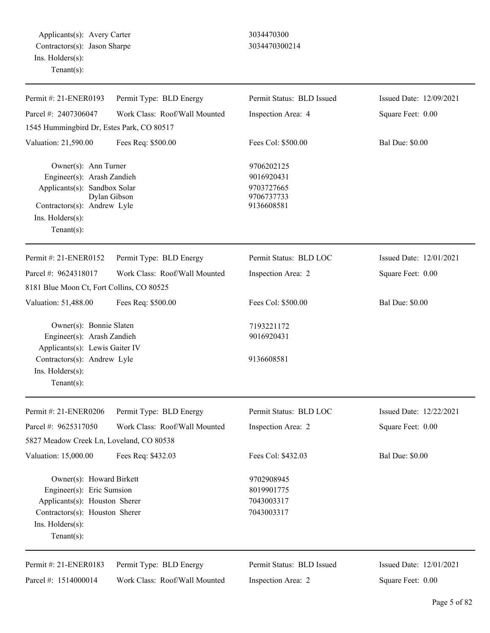Applicants(s): Avery Carter 3034470300 Contractors(s): Jason Sharpe 3034470300214 Ins. Holders(s): Tenant(s):

| Permit #: 21-ENER0193                                                                                                                                          | Permit Type: BLD Energy       | Permit Status: BLD Issued                                          | Issued Date: 12/09/2021 |
|----------------------------------------------------------------------------------------------------------------------------------------------------------------|-------------------------------|--------------------------------------------------------------------|-------------------------|
| Parcel #: 2407306047                                                                                                                                           | Work Class: Roof/Wall Mounted | Inspection Area: 4                                                 | Square Feet: 0.00       |
| 1545 Hummingbird Dr, Estes Park, CO 80517                                                                                                                      |                               |                                                                    |                         |
| Valuation: 21,590.00                                                                                                                                           | Fees Req: \$500.00            | Fees Col: \$500.00                                                 | <b>Bal Due: \$0.00</b>  |
| Owner(s): Ann Turner<br>Engineer(s): Arash Zandieh<br>Applicants(s): Sandbox Solar<br>Contractors(s): Andrew Lyle<br>Ins. $H$ olders $(s)$ :<br>$Tenant(s)$ :  | Dylan Gibson                  | 9706202125<br>9016920431<br>9703727665<br>9706737733<br>9136608581 |                         |
| Permit #: 21-ENER0152                                                                                                                                          | Permit Type: BLD Energy       | Permit Status: BLD LOC                                             | Issued Date: 12/01/2021 |
| Parcel #: 9624318017<br>8181 Blue Moon Ct, Fort Collins, CO 80525                                                                                              | Work Class: Roof/Wall Mounted | Inspection Area: 2                                                 | Square Feet: 0.00       |
| Valuation: 51,488.00                                                                                                                                           | Fees Req: \$500.00            | Fees Col: \$500.00                                                 | <b>Bal Due: \$0.00</b>  |
| Owner(s): Bonnie Slaten<br>Engineer(s): Arash Zandieh<br>Applicants(s): Lewis Gaiter IV                                                                        |                               | 7193221172<br>9016920431                                           |                         |
| Contractors(s): Andrew Lyle<br>Ins. $H$ olders $(s)$ :<br>Tenant $(s)$ :                                                                                       |                               | 9136608581                                                         |                         |
| Permit #: 21-ENER0206                                                                                                                                          | Permit Type: BLD Energy       | Permit Status: BLD LOC                                             | Issued Date: 12/22/2021 |
| Parcel #: 9625317050                                                                                                                                           | Work Class: Roof/Wall Mounted | Inspection Area: 2                                                 | Square Feet: 0.00       |
| 5827 Meadow Creek Ln, Loveland, CO 80538                                                                                                                       |                               |                                                                    |                         |
| Valuation: 15,000.00                                                                                                                                           | Fees Req: \$432.03            | Fees Col: \$432.03                                                 | <b>Bal Due: \$0.00</b>  |
| Owner(s): Howard Birkett<br>Engineer(s): Eric Sumsion<br>Applicants(s): Houston Sherer<br>Contractors(s): Houston Sherer<br>Ins. Holders(s):<br>Tenant $(s)$ : |                               | 9702908945<br>8019901775<br>7043003317<br>7043003317               |                         |
| Permit #: 21-ENER0183                                                                                                                                          | Permit Type: BLD Energy       | Permit Status: BLD Issued                                          | Issued Date: 12/01/2021 |
| Parcel #: 1514000014                                                                                                                                           | Work Class: Roof/Wall Mounted | Inspection Area: 2                                                 | Square Feet: 0.00       |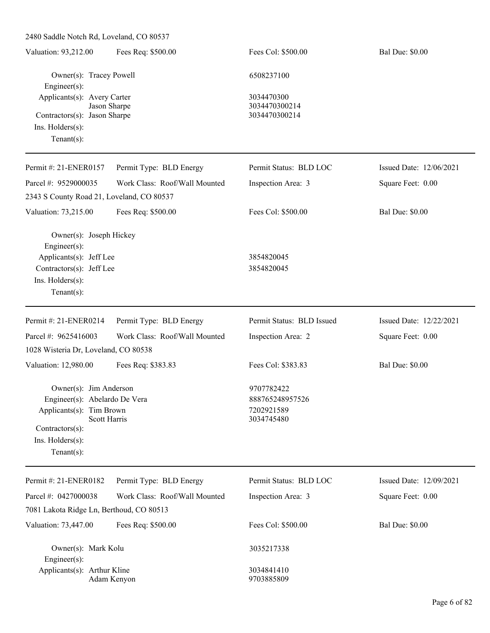| Owner(s): Tracey Powell<br>6508237100<br>Engineer(s):<br>Applicants(s): Avery Carter<br>3034470300<br>Jason Sharpe<br>3034470300214<br>3034470300214<br>Contractors(s): Jason Sharpe<br>$Ins.$ Holders $(s)$ :<br>$Tenant(s)$ :<br>Permit Type: BLD Energy<br>Permit Status: BLD LOC<br>Issued Date: 12/06/2021<br>Work Class: Roof/Wall Mounted<br>Inspection Area: 3<br>Square Feet: 0.00<br>2343 S County Road 21, Loveland, CO 80537<br><b>Bal Due: \$0.00</b><br>Valuation: 73,215.00<br>Fees Req: \$500.00<br>Fees Col: \$500.00<br>Owner(s): Joseph Hickey<br>Engineer(s):<br>Applicants(s): Jeff Lee<br>3854820045<br>Contractors(s): Jeff Lee<br>3854820045<br>Ins. Holders(s):<br>$Tenant(s)$ :<br>Permit #: 21-ENER0214<br>Permit Type: BLD Energy<br>Permit Status: BLD Issued<br>Issued Date: 12/22/2021<br>Work Class: Roof/Wall Mounted<br>Parcel #: 9625416003<br>Inspection Area: 2<br>Square Feet: 0.00<br>1028 Wisteria Dr, Loveland, CO 80538<br>Valuation: 12,980.00<br>Fees Col: \$383.83<br><b>Bal Due: \$0.00</b><br>Fees Req: \$383.83<br>Owner(s): Jim Anderson<br>9707782422<br>888765248957526<br>Engineer(s): Abelardo De Vera<br>7202921589<br>Applicants(s): Tim Brown<br><b>Scott Harris</b><br>3034745480<br>Contractors(s):<br>Ins. Holders(s):<br>$Tenant(s)$ :<br>Permit Type: BLD Energy<br>Permit Status: BLD LOC<br>Issued Date: 12/09/2021<br>Parcel #: 0427000038<br>Work Class: Roof/Wall Mounted<br>Square Feet: 0.00<br>Inspection Area: 3<br>7081 Lakota Ridge Ln, Berthoud, CO 80513<br>Fees Col: \$500.00<br><b>Bal Due: \$0.00</b><br>Valuation: 73,447.00<br>Fees Req: \$500.00<br>Owner(s): Mark Kolu<br>3035217338<br>Engineer(s):<br>Applicants(s): Arthur Kline<br>3034841410<br>9703885809<br>Adam Kenyon | Valuation: 93,212.00  | Fees Req: \$500.00 | Fees Col: \$500.00 | <b>Bal Due: \$0.00</b> |
|-----------------------------------------------------------------------------------------------------------------------------------------------------------------------------------------------------------------------------------------------------------------------------------------------------------------------------------------------------------------------------------------------------------------------------------------------------------------------------------------------------------------------------------------------------------------------------------------------------------------------------------------------------------------------------------------------------------------------------------------------------------------------------------------------------------------------------------------------------------------------------------------------------------------------------------------------------------------------------------------------------------------------------------------------------------------------------------------------------------------------------------------------------------------------------------------------------------------------------------------------------------------------------------------------------------------------------------------------------------------------------------------------------------------------------------------------------------------------------------------------------------------------------------------------------------------------------------------------------------------------------------------------------------------------------------------------------------------------------------------------------------------|-----------------------|--------------------|--------------------|------------------------|
|                                                                                                                                                                                                                                                                                                                                                                                                                                                                                                                                                                                                                                                                                                                                                                                                                                                                                                                                                                                                                                                                                                                                                                                                                                                                                                                                                                                                                                                                                                                                                                                                                                                                                                                                                                 |                       |                    |                    |                        |
|                                                                                                                                                                                                                                                                                                                                                                                                                                                                                                                                                                                                                                                                                                                                                                                                                                                                                                                                                                                                                                                                                                                                                                                                                                                                                                                                                                                                                                                                                                                                                                                                                                                                                                                                                                 |                       |                    |                    |                        |
|                                                                                                                                                                                                                                                                                                                                                                                                                                                                                                                                                                                                                                                                                                                                                                                                                                                                                                                                                                                                                                                                                                                                                                                                                                                                                                                                                                                                                                                                                                                                                                                                                                                                                                                                                                 |                       |                    |                    |                        |
|                                                                                                                                                                                                                                                                                                                                                                                                                                                                                                                                                                                                                                                                                                                                                                                                                                                                                                                                                                                                                                                                                                                                                                                                                                                                                                                                                                                                                                                                                                                                                                                                                                                                                                                                                                 |                       |                    |                    |                        |
|                                                                                                                                                                                                                                                                                                                                                                                                                                                                                                                                                                                                                                                                                                                                                                                                                                                                                                                                                                                                                                                                                                                                                                                                                                                                                                                                                                                                                                                                                                                                                                                                                                                                                                                                                                 |                       |                    |                    |                        |
|                                                                                                                                                                                                                                                                                                                                                                                                                                                                                                                                                                                                                                                                                                                                                                                                                                                                                                                                                                                                                                                                                                                                                                                                                                                                                                                                                                                                                                                                                                                                                                                                                                                                                                                                                                 |                       |                    |                    |                        |
|                                                                                                                                                                                                                                                                                                                                                                                                                                                                                                                                                                                                                                                                                                                                                                                                                                                                                                                                                                                                                                                                                                                                                                                                                                                                                                                                                                                                                                                                                                                                                                                                                                                                                                                                                                 | Permit #: 21-ENER0157 |                    |                    |                        |
|                                                                                                                                                                                                                                                                                                                                                                                                                                                                                                                                                                                                                                                                                                                                                                                                                                                                                                                                                                                                                                                                                                                                                                                                                                                                                                                                                                                                                                                                                                                                                                                                                                                                                                                                                                 | Parcel #: 9529000035  |                    |                    |                        |
|                                                                                                                                                                                                                                                                                                                                                                                                                                                                                                                                                                                                                                                                                                                                                                                                                                                                                                                                                                                                                                                                                                                                                                                                                                                                                                                                                                                                                                                                                                                                                                                                                                                                                                                                                                 |                       |                    |                    |                        |
|                                                                                                                                                                                                                                                                                                                                                                                                                                                                                                                                                                                                                                                                                                                                                                                                                                                                                                                                                                                                                                                                                                                                                                                                                                                                                                                                                                                                                                                                                                                                                                                                                                                                                                                                                                 |                       |                    |                    |                        |
|                                                                                                                                                                                                                                                                                                                                                                                                                                                                                                                                                                                                                                                                                                                                                                                                                                                                                                                                                                                                                                                                                                                                                                                                                                                                                                                                                                                                                                                                                                                                                                                                                                                                                                                                                                 |                       |                    |                    |                        |
|                                                                                                                                                                                                                                                                                                                                                                                                                                                                                                                                                                                                                                                                                                                                                                                                                                                                                                                                                                                                                                                                                                                                                                                                                                                                                                                                                                                                                                                                                                                                                                                                                                                                                                                                                                 |                       |                    |                    |                        |
|                                                                                                                                                                                                                                                                                                                                                                                                                                                                                                                                                                                                                                                                                                                                                                                                                                                                                                                                                                                                                                                                                                                                                                                                                                                                                                                                                                                                                                                                                                                                                                                                                                                                                                                                                                 |                       |                    |                    |                        |
|                                                                                                                                                                                                                                                                                                                                                                                                                                                                                                                                                                                                                                                                                                                                                                                                                                                                                                                                                                                                                                                                                                                                                                                                                                                                                                                                                                                                                                                                                                                                                                                                                                                                                                                                                                 |                       |                    |                    |                        |
|                                                                                                                                                                                                                                                                                                                                                                                                                                                                                                                                                                                                                                                                                                                                                                                                                                                                                                                                                                                                                                                                                                                                                                                                                                                                                                                                                                                                                                                                                                                                                                                                                                                                                                                                                                 |                       |                    |                    |                        |
|                                                                                                                                                                                                                                                                                                                                                                                                                                                                                                                                                                                                                                                                                                                                                                                                                                                                                                                                                                                                                                                                                                                                                                                                                                                                                                                                                                                                                                                                                                                                                                                                                                                                                                                                                                 |                       |                    |                    |                        |
|                                                                                                                                                                                                                                                                                                                                                                                                                                                                                                                                                                                                                                                                                                                                                                                                                                                                                                                                                                                                                                                                                                                                                                                                                                                                                                                                                                                                                                                                                                                                                                                                                                                                                                                                                                 |                       |                    |                    |                        |
|                                                                                                                                                                                                                                                                                                                                                                                                                                                                                                                                                                                                                                                                                                                                                                                                                                                                                                                                                                                                                                                                                                                                                                                                                                                                                                                                                                                                                                                                                                                                                                                                                                                                                                                                                                 |                       |                    |                    |                        |
|                                                                                                                                                                                                                                                                                                                                                                                                                                                                                                                                                                                                                                                                                                                                                                                                                                                                                                                                                                                                                                                                                                                                                                                                                                                                                                                                                                                                                                                                                                                                                                                                                                                                                                                                                                 |                       |                    |                    |                        |
|                                                                                                                                                                                                                                                                                                                                                                                                                                                                                                                                                                                                                                                                                                                                                                                                                                                                                                                                                                                                                                                                                                                                                                                                                                                                                                                                                                                                                                                                                                                                                                                                                                                                                                                                                                 |                       |                    |                    |                        |
|                                                                                                                                                                                                                                                                                                                                                                                                                                                                                                                                                                                                                                                                                                                                                                                                                                                                                                                                                                                                                                                                                                                                                                                                                                                                                                                                                                                                                                                                                                                                                                                                                                                                                                                                                                 |                       |                    |                    |                        |
|                                                                                                                                                                                                                                                                                                                                                                                                                                                                                                                                                                                                                                                                                                                                                                                                                                                                                                                                                                                                                                                                                                                                                                                                                                                                                                                                                                                                                                                                                                                                                                                                                                                                                                                                                                 |                       |                    |                    |                        |
|                                                                                                                                                                                                                                                                                                                                                                                                                                                                                                                                                                                                                                                                                                                                                                                                                                                                                                                                                                                                                                                                                                                                                                                                                                                                                                                                                                                                                                                                                                                                                                                                                                                                                                                                                                 |                       |                    |                    |                        |
|                                                                                                                                                                                                                                                                                                                                                                                                                                                                                                                                                                                                                                                                                                                                                                                                                                                                                                                                                                                                                                                                                                                                                                                                                                                                                                                                                                                                                                                                                                                                                                                                                                                                                                                                                                 |                       |                    |                    |                        |
|                                                                                                                                                                                                                                                                                                                                                                                                                                                                                                                                                                                                                                                                                                                                                                                                                                                                                                                                                                                                                                                                                                                                                                                                                                                                                                                                                                                                                                                                                                                                                                                                                                                                                                                                                                 |                       |                    |                    |                        |
|                                                                                                                                                                                                                                                                                                                                                                                                                                                                                                                                                                                                                                                                                                                                                                                                                                                                                                                                                                                                                                                                                                                                                                                                                                                                                                                                                                                                                                                                                                                                                                                                                                                                                                                                                                 |                       |                    |                    |                        |
|                                                                                                                                                                                                                                                                                                                                                                                                                                                                                                                                                                                                                                                                                                                                                                                                                                                                                                                                                                                                                                                                                                                                                                                                                                                                                                                                                                                                                                                                                                                                                                                                                                                                                                                                                                 | Permit #: 21-ENER0182 |                    |                    |                        |
|                                                                                                                                                                                                                                                                                                                                                                                                                                                                                                                                                                                                                                                                                                                                                                                                                                                                                                                                                                                                                                                                                                                                                                                                                                                                                                                                                                                                                                                                                                                                                                                                                                                                                                                                                                 |                       |                    |                    |                        |
|                                                                                                                                                                                                                                                                                                                                                                                                                                                                                                                                                                                                                                                                                                                                                                                                                                                                                                                                                                                                                                                                                                                                                                                                                                                                                                                                                                                                                                                                                                                                                                                                                                                                                                                                                                 |                       |                    |                    |                        |
|                                                                                                                                                                                                                                                                                                                                                                                                                                                                                                                                                                                                                                                                                                                                                                                                                                                                                                                                                                                                                                                                                                                                                                                                                                                                                                                                                                                                                                                                                                                                                                                                                                                                                                                                                                 |                       |                    |                    |                        |
|                                                                                                                                                                                                                                                                                                                                                                                                                                                                                                                                                                                                                                                                                                                                                                                                                                                                                                                                                                                                                                                                                                                                                                                                                                                                                                                                                                                                                                                                                                                                                                                                                                                                                                                                                                 |                       |                    |                    |                        |
|                                                                                                                                                                                                                                                                                                                                                                                                                                                                                                                                                                                                                                                                                                                                                                                                                                                                                                                                                                                                                                                                                                                                                                                                                                                                                                                                                                                                                                                                                                                                                                                                                                                                                                                                                                 |                       |                    |                    |                        |
|                                                                                                                                                                                                                                                                                                                                                                                                                                                                                                                                                                                                                                                                                                                                                                                                                                                                                                                                                                                                                                                                                                                                                                                                                                                                                                                                                                                                                                                                                                                                                                                                                                                                                                                                                                 |                       |                    |                    |                        |
|                                                                                                                                                                                                                                                                                                                                                                                                                                                                                                                                                                                                                                                                                                                                                                                                                                                                                                                                                                                                                                                                                                                                                                                                                                                                                                                                                                                                                                                                                                                                                                                                                                                                                                                                                                 |                       |                    |                    |                        |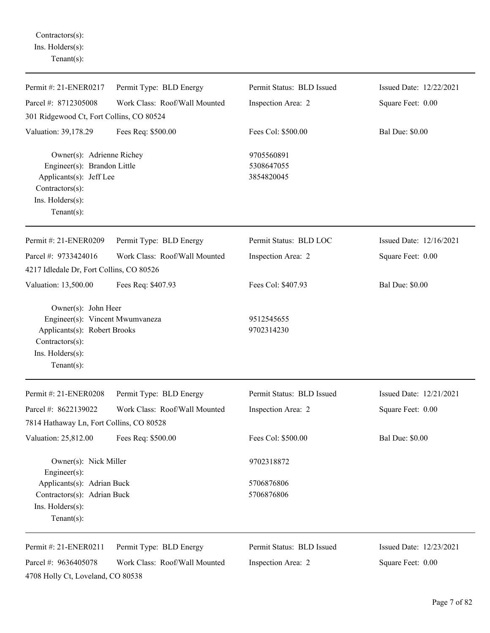Contractors(s): Ins. Holders(s): Tenant(s):

| Permit #: 21-ENER0217                                                                                                                           | Permit Type: BLD Energy       | Permit Status: BLD Issued              | Issued Date: 12/22/2021 |
|-------------------------------------------------------------------------------------------------------------------------------------------------|-------------------------------|----------------------------------------|-------------------------|
| Parcel #: 8712305008                                                                                                                            | Work Class: Roof/Wall Mounted | Inspection Area: 2                     | Square Feet: 0.00       |
| 301 Ridgewood Ct, Fort Collins, CO 80524                                                                                                        |                               |                                        |                         |
| Valuation: 39,178.29                                                                                                                            | Fees Req: \$500.00            | Fees Col: \$500.00                     | <b>Bal Due: \$0.00</b>  |
| Owner(s): Adrienne Richey<br>Engineer(s): Brandon Little<br>Applicants(s): Jeff Lee<br>Contractors(s):<br>Ins. Holders(s):<br>$Tenant(s)$ :     |                               | 9705560891<br>5308647055<br>3854820045 |                         |
| Permit #: 21-ENER0209                                                                                                                           | Permit Type: BLD Energy       | Permit Status: BLD LOC                 | Issued Date: 12/16/2021 |
| Parcel #: 9733424016<br>4217 Idledale Dr, Fort Collins, CO 80526                                                                                | Work Class: Roof/Wall Mounted | Inspection Area: 2                     | Square Feet: 0.00       |
| Valuation: 13,500.00                                                                                                                            | Fees Req: \$407.93            | Fees Col: \$407.93                     | <b>Bal Due: \$0.00</b>  |
| Owner(s): John Heer<br>Engineer(s): Vincent Mwumvaneza<br>Applicants(s): Robert Brooks<br>Contractors(s):<br>Ins. Holders(s):<br>Tenant $(s)$ : |                               | 9512545655<br>9702314230               |                         |
| Permit #: 21-ENER0208                                                                                                                           | Permit Type: BLD Energy       | Permit Status: BLD Issued              | Issued Date: 12/21/2021 |
| Parcel #: 8622139022                                                                                                                            | Work Class: Roof/Wall Mounted | Inspection Area: 2                     | Square Feet: 0.00       |
| 7814 Hathaway Ln, Fort Collins, CO 80528                                                                                                        |                               |                                        |                         |
| Valuation: 25,812.00                                                                                                                            | Fees Req: \$500.00            | Fees Col: \$500.00                     | <b>Bal Due: \$0.00</b>  |
| Owner(s): Nick Miller<br>$Engineering(s)$ :                                                                                                     |                               | 9702318872                             |                         |
| Applicants(s): Adrian Buck                                                                                                                      |                               | 5706876806                             |                         |
| Contractors(s): Adrian Buck<br>Ins. Holders(s):<br>Tenant $(s)$ :                                                                               |                               | 5706876806                             |                         |
| Permit #: 21-ENER0211                                                                                                                           | Permit Type: BLD Energy       | Permit Status: BLD Issued              | Issued Date: 12/23/2021 |
| Parcel #: 9636405078<br>4708 Holly Ct, Loveland, CO 80538                                                                                       | Work Class: Roof/Wall Mounted | Inspection Area: 2                     | Square Feet: 0.00       |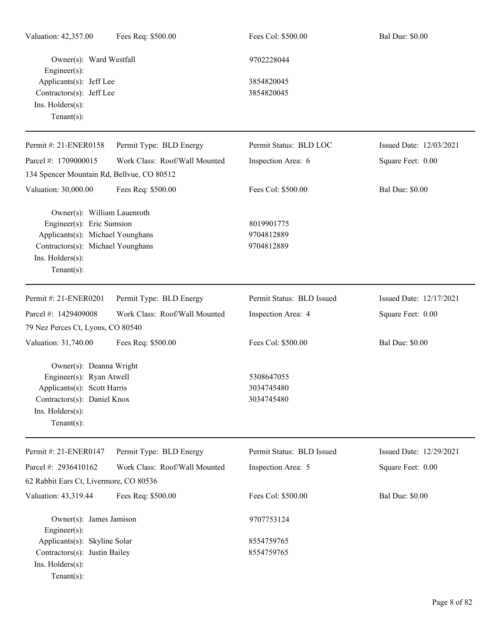| Valuation: 42,357.00                                                                                                                                                    | Fees Req: \$500.00            | Fees Col: \$500.00                     | <b>Bal Due: \$0.00</b>  |
|-------------------------------------------------------------------------------------------------------------------------------------------------------------------------|-------------------------------|----------------------------------------|-------------------------|
| Owner(s): Ward Westfall<br>$Engineering(s)$ :                                                                                                                           |                               | 9702228044                             |                         |
| Applicants(s): Jeff Lee<br>Contractors(s): Jeff Lee<br>Ins. Holders(s):<br>Tenant $(s)$ :                                                                               |                               | 3854820045<br>3854820045               |                         |
| Permit #: 21-ENER0158                                                                                                                                                   | Permit Type: BLD Energy       | Permit Status: BLD LOC                 | Issued Date: 12/03/2021 |
| Parcel #: 1709000015                                                                                                                                                    | Work Class: Roof/Wall Mounted | Inspection Area: 6                     | Square Feet: 0.00       |
| 134 Spencer Mountain Rd, Bellvue, CO 80512                                                                                                                              |                               |                                        |                         |
| Valuation: 30,000.00                                                                                                                                                    | Fees Req: \$500.00            | Fees Col: \$500.00                     | <b>Bal Due: \$0.00</b>  |
| Owner(s): William Lauenroth<br>Engineer(s): Eric Sumsion<br>Applicants(s): Michael Younghans<br>Contractors(s): Michael Younghans<br>Ins. Holders(s):<br>Tenant $(s)$ : |                               | 8019901775<br>9704812889<br>9704812889 |                         |
| Permit #: 21-ENER0201                                                                                                                                                   | Permit Type: BLD Energy       | Permit Status: BLD Issued              | Issued Date: 12/17/2021 |
| Parcel #: 1429409008<br>79 Nez Perces Ct, Lyons, CO 80540                                                                                                               | Work Class: Roof/Wall Mounted | Inspection Area: 4                     | Square Feet: 0.00       |
| Valuation: 31,740.00                                                                                                                                                    | Fees Req: \$500.00            | Fees Col: \$500.00                     | <b>Bal Due: \$0.00</b>  |
| Owner(s): Deanna Wright<br>Engineer(s): Ryan Atwell<br>Applicants(s): Scott Harris<br>Contractors(s): Daniel Knox<br>Ins. Holders(s):<br>Tenant $(s)$ :                 |                               | 5308647055<br>3034745480<br>3034745480 |                         |
| Permit #: 21-ENER0147                                                                                                                                                   | Permit Type: BLD Energy       | Permit Status: BLD Issued              | Issued Date: 12/29/2021 |
| Parcel #: 2936410162                                                                                                                                                    | Work Class: Roof/Wall Mounted | Inspection Area: 5                     | Square Feet: 0.00       |
| 62 Rabbit Ears Ct, Livermore, CO 80536                                                                                                                                  |                               |                                        |                         |
| Valuation: 43,319.44                                                                                                                                                    | Fees Req: \$500.00            | Fees Col: \$500.00                     | <b>Bal Due: \$0.00</b>  |
| Owner(s): James Jamison<br>$Engineering(s)$ :                                                                                                                           |                               | 9707753124                             |                         |
| Applicants(s): Skyline Solar<br>Contractors(s): Justin Bailey<br>Ins. Holders(s):<br>Tenant $(s)$ :                                                                     |                               | 8554759765<br>8554759765               |                         |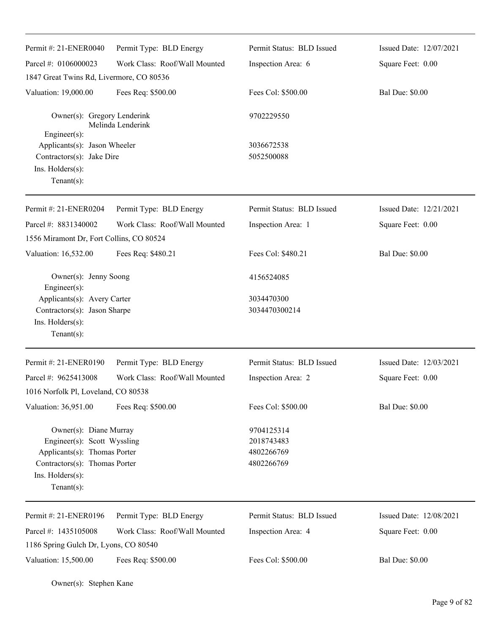| Permit #: 21-ENER0040                                                                                                                                        | Permit Type: BLD Energy       | Permit Status: BLD Issued                            | Issued Date: 12/07/2021 |
|--------------------------------------------------------------------------------------------------------------------------------------------------------------|-------------------------------|------------------------------------------------------|-------------------------|
| Parcel #: 0106000023                                                                                                                                         | Work Class: Roof/Wall Mounted | Inspection Area: 6                                   | Square Feet: 0.00       |
| 1847 Great Twins Rd, Livermore, CO 80536                                                                                                                     |                               |                                                      |                         |
| Valuation: 19,000.00                                                                                                                                         | Fees Req: \$500.00            | Fees Col: \$500.00                                   | <b>Bal Due: \$0.00</b>  |
| Owner(s): Gregory Lenderink                                                                                                                                  | Melinda Lenderink             | 9702229550                                           |                         |
| $Engineering(s)$ :<br>Applicants(s): Jason Wheeler<br>Contractors(s): Jake Dire<br>Ins. Holders(s):<br>$Tenant(s)$ :                                         |                               | 3036672538<br>5052500088                             |                         |
| Permit #: 21-ENER0204                                                                                                                                        | Permit Type: BLD Energy       | Permit Status: BLD Issued                            | Issued Date: 12/21/2021 |
| Parcel #: 8831340002                                                                                                                                         | Work Class: Roof/Wall Mounted | Inspection Area: 1                                   | Square Feet: 0.00       |
| 1556 Miramont Dr, Fort Collins, CO 80524                                                                                                                     |                               |                                                      |                         |
| Valuation: 16,532.00                                                                                                                                         | Fees Req: \$480.21            | Fees Col: \$480.21                                   | <b>Bal Due: \$0.00</b>  |
| Owner(s): Jenny Soong<br>Engineer(s):                                                                                                                        |                               | 4156524085                                           |                         |
| Applicants(s): Avery Carter                                                                                                                                  |                               | 3034470300                                           |                         |
| Contractors(s): Jason Sharpe                                                                                                                                 |                               | 3034470300214                                        |                         |
| Ins. Holders(s):<br>$Tenant(s)$ :                                                                                                                            |                               |                                                      |                         |
| Permit #: 21-ENER0190                                                                                                                                        | Permit Type: BLD Energy       | Permit Status: BLD Issued                            | Issued Date: 12/03/2021 |
| Parcel #: 9625413008                                                                                                                                         | Work Class: Roof/Wall Mounted | Inspection Area: 2                                   | Square Feet: 0.00       |
| 1016 Norfolk Pl, Loveland, CO 80538                                                                                                                          |                               |                                                      |                         |
| Valuation: 36,951.00                                                                                                                                         | Fees Req: \$500.00            | Fees Col: \$500.00                                   | <b>Bal Due: \$0.00</b>  |
| Owner(s): Diane Murray<br>Engineer(s): Scott Wyssling<br>Applicants(s): Thomas Porter<br>Contractors(s): Thomas Porter<br>Ins. Holders(s):<br>Tenant $(s)$ : |                               | 9704125314<br>2018743483<br>4802266769<br>4802266769 |                         |
| Permit #: 21-ENER0196                                                                                                                                        | Permit Type: BLD Energy       | Permit Status: BLD Issued                            | Issued Date: 12/08/2021 |
| Parcel #: 1435105008                                                                                                                                         | Work Class: Roof/Wall Mounted | Inspection Area: 4                                   | Square Feet: 0.00       |
| 1186 Spring Gulch Dr, Lyons, CO 80540                                                                                                                        |                               |                                                      |                         |
| Valuation: 15,500.00                                                                                                                                         | Fees Req: \$500.00            | Fees Col: \$500.00                                   | <b>Bal Due: \$0.00</b>  |

Owner(s): Stephen Kane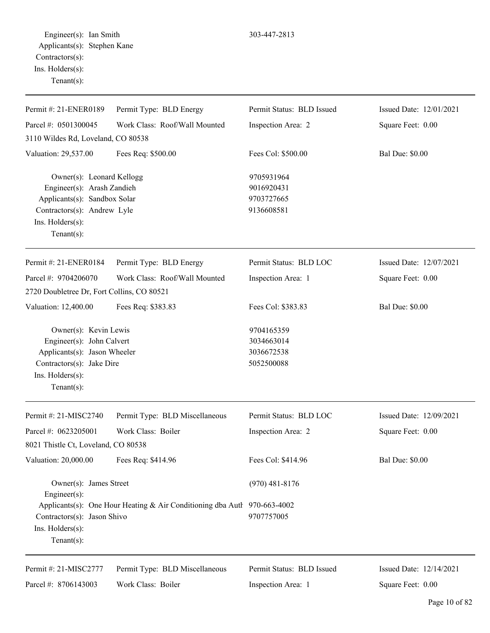Engineer(s): Ian Smith 303-447-2813 Applicants(s): Stephen Kane Contractors(s): Ins. Holders(s): Tenant(s):

| Permit #: 21-ENER0189                                                                                                                                 | Permit Type: BLD Energy                                                  | Permit Status: BLD Issued                            | Issued Date: 12/01/2021 |
|-------------------------------------------------------------------------------------------------------------------------------------------------------|--------------------------------------------------------------------------|------------------------------------------------------|-------------------------|
| Parcel #: 0501300045                                                                                                                                  | Work Class: Roof/Wall Mounted                                            | Inspection Area: 2                                   | Square Feet: 0.00       |
| 3110 Wildes Rd, Loveland, CO 80538                                                                                                                    |                                                                          |                                                      |                         |
| Valuation: 29,537.00                                                                                                                                  | Fees Req: \$500.00                                                       | Fees Col: \$500.00                                   | <b>Bal Due: \$0.00</b>  |
| Owner(s): Leonard Kellogg<br>Engineer(s): Arash Zandieh<br>Applicants(s): Sandbox Solar<br>Contractors(s): Andrew Lyle                                |                                                                          | 9705931964<br>9016920431<br>9703727665<br>9136608581 |                         |
| Ins. Holders(s):<br>Tenant $(s)$ :                                                                                                                    |                                                                          |                                                      |                         |
| Permit #: 21-ENER0184                                                                                                                                 | Permit Type: BLD Energy                                                  | Permit Status: BLD LOC                               | Issued Date: 12/07/2021 |
| Parcel #: 9704206070                                                                                                                                  | Work Class: Roof/Wall Mounted                                            | Inspection Area: 1                                   | Square Feet: 0.00       |
| 2720 Doubletree Dr, Fort Collins, CO 80521                                                                                                            |                                                                          |                                                      |                         |
| Valuation: 12,400.00                                                                                                                                  | Fees Req: \$383.83                                                       | Fees Col: \$383.83                                   | <b>Bal Due: \$0.00</b>  |
| Owner(s): Kevin Lewis<br>Engineer(s): John Calvert<br>Applicants(s): Jason Wheeler<br>Contractors(s): Jake Dire<br>Ins. Holders(s):<br>Tenant $(s)$ : |                                                                          | 9704165359<br>3034663014<br>3036672538<br>5052500088 |                         |
| Permit #: 21-MISC2740                                                                                                                                 | Permit Type: BLD Miscellaneous                                           | Permit Status: BLD LOC                               | Issued Date: 12/09/2021 |
| Parcel #: 0623205001                                                                                                                                  | Work Class: Boiler                                                       | Inspection Area: 2                                   | Square Feet: 0.00       |
| 8021 Thistle Ct, Loveland, CO 80538                                                                                                                   |                                                                          |                                                      |                         |
| Valuation: 20,000.00                                                                                                                                  | Fees Req: \$414.96                                                       | Fees Col: \$414.96                                   | <b>Bal Due: \$0.00</b>  |
| Owner(s): James Street<br>Engineer $(s)$ :                                                                                                            |                                                                          | $(970)$ 481-8176                                     |                         |
| Contractors(s): Jason Shivo<br>Ins. Holders(s):<br>Tenant $(s)$ :                                                                                     | Applicants(s): One Hour Heating & Air Conditioning dba Autl 970-663-4002 | 9707757005                                           |                         |
| Permit #: 21-MISC2777                                                                                                                                 | Permit Type: BLD Miscellaneous                                           | Permit Status: BLD Issued                            | Issued Date: 12/14/2021 |
| Parcel #: 8706143003                                                                                                                                  | Work Class: Boiler                                                       | Inspection Area: 1                                   | Square Feet: 0.00       |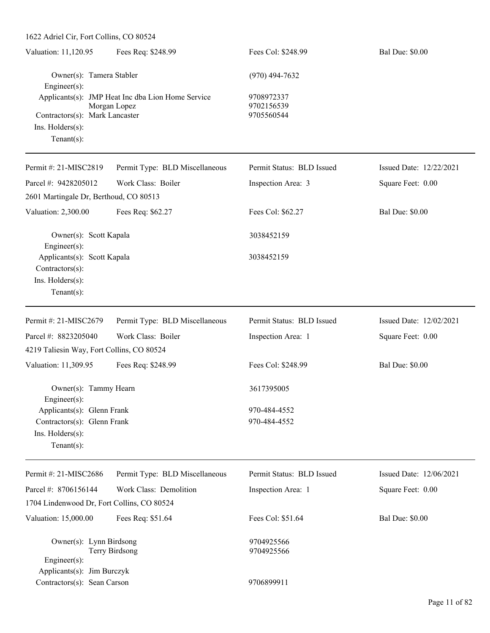| 1622 Adriel Cir, Fort Collins, CO 80524                                                         |                                                                   |                                        |                         |
|-------------------------------------------------------------------------------------------------|-------------------------------------------------------------------|----------------------------------------|-------------------------|
| Valuation: 11,120.95                                                                            | Fees Req: \$248.99                                                | Fees Col: \$248.99                     | <b>Bal Due: \$0.00</b>  |
| Owner(s): Tamera Stabler<br>Engineer(s):                                                        |                                                                   | $(970)$ 494-7632                       |                         |
| Contractors(s): Mark Lancaster<br>Ins. Holders(s):<br>$Tenant(s)$ :                             | Applicants(s): JMP Heat Inc dba Lion Home Service<br>Morgan Lopez | 9708972337<br>9702156539<br>9705560544 |                         |
| Permit #: 21-MISC2819                                                                           | Permit Type: BLD Miscellaneous                                    | Permit Status: BLD Issued              | Issued Date: 12/22/2021 |
| Parcel #: 9428205012<br>2601 Martingale Dr, Berthoud, CO 80513                                  | Work Class: Boiler                                                | Inspection Area: 3                     | Square Feet: 0.00       |
| Valuation: 2,300.00                                                                             | Fees Req: \$62.27                                                 | Fees Col: \$62.27                      | <b>Bal Due: \$0.00</b>  |
| Owner(s): Scott Kapala<br>Engineer(s):                                                          |                                                                   | 3038452159                             |                         |
| Applicants(s): Scott Kapala<br>Contractors(s):<br>Ins. Holders(s):<br>$Tenant(s)$ :             |                                                                   | 3038452159                             |                         |
| Permit #: 21-MISC2679                                                                           | Permit Type: BLD Miscellaneous                                    | Permit Status: BLD Issued              | Issued Date: 12/02/2021 |
| Parcel #: 8823205040                                                                            | Work Class: Boiler                                                | Inspection Area: 1                     | Square Feet: 0.00       |
| 4219 Taliesin Way, Fort Collins, CO 80524                                                       |                                                                   |                                        |                         |
| Valuation: 11,309.95                                                                            | Fees Req: \$248.99                                                | Fees Col: \$248.99                     | <b>Bal Due: \$0.00</b>  |
| Owner(s): Tammy Hearn<br>Engineer(s):                                                           |                                                                   | 3617395005                             |                         |
| Applicants(s): Glenn Frank<br>Contractors(s): Glenn Frank<br>Ins. Holders(s):<br>Tenant $(s)$ : |                                                                   | 970-484-4552<br>970-484-4552           |                         |
| Permit #: 21-MISC2686                                                                           | Permit Type: BLD Miscellaneous                                    | Permit Status: BLD Issued              | Issued Date: 12/06/2021 |
| Parcel #: 8706156144                                                                            | Work Class: Demolition                                            | Inspection Area: 1                     | Square Feet: 0.00       |
| 1704 Lindenwood Dr, Fort Collins, CO 80524                                                      |                                                                   |                                        |                         |
| Valuation: 15,000.00                                                                            | Fees Req: \$51.64                                                 | Fees Col: \$51.64                      | <b>Bal Due: \$0.00</b>  |
| Owner(s): Lynn Birdsong<br>Engineer(s):<br>Applicants(s): Jim Burczyk                           | Terry Birdsong                                                    | 9704925566<br>9704925566               |                         |
| Contractors(s): Sean Carson                                                                     |                                                                   | 9706899911                             |                         |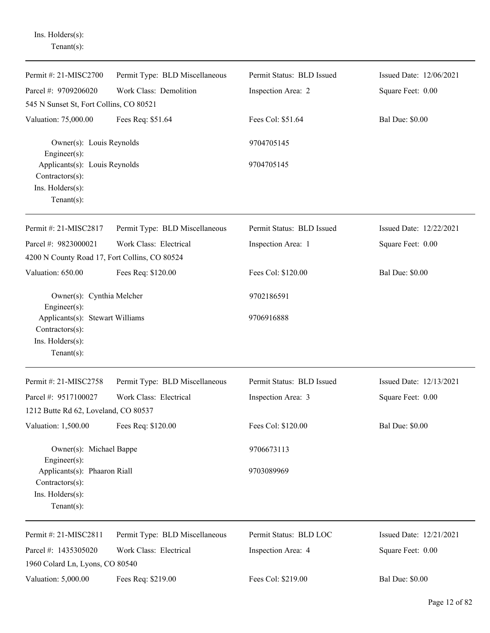Ins. Holders(s): Tenant(s):

| Permit #: 21-MISC2700                                                                   | Permit Type: BLD Miscellaneous | Permit Status: BLD Issued | Issued Date: 12/06/2021 |
|-----------------------------------------------------------------------------------------|--------------------------------|---------------------------|-------------------------|
| Parcel #: 9709206020                                                                    | Work Class: Demolition         | Inspection Area: 2        | Square Feet: 0.00       |
| 545 N Sunset St, Fort Collins, CO 80521                                                 |                                |                           |                         |
| Valuation: 75,000.00                                                                    | Fees Req: \$51.64              | Fees Col: \$51.64         | <b>Bal Due: \$0.00</b>  |
| Owner(s): Louis Reynolds<br>$Engineering(s)$ :                                          |                                | 9704705145                |                         |
| Applicants(s): Louis Reynolds<br>Contractors(s):                                        |                                | 9704705145                |                         |
| Ins. Holders(s):<br>Tenant $(s)$ :                                                      |                                |                           |                         |
| Permit #: 21-MISC2817                                                                   | Permit Type: BLD Miscellaneous | Permit Status: BLD Issued | Issued Date: 12/22/2021 |
| Parcel #: 9823000021<br>4200 N County Road 17, Fort Collins, CO 80524                   | Work Class: Electrical         | Inspection Area: 1        | Square Feet: 0.00       |
| Valuation: 650.00                                                                       | Fees Req: \$120.00             | Fees Col: \$120.00        | <b>Bal Due: \$0.00</b>  |
| Owner(s): Cynthia Melcher<br>Engineer(s):                                               |                                | 9702186591                |                         |
| Applicants(s): Stewart Williams<br>Contractors(s):<br>Ins. Holders(s):<br>$Tenant(s)$ : |                                | 9706916888                |                         |
| Permit #: 21-MISC2758                                                                   | Permit Type: BLD Miscellaneous | Permit Status: BLD Issued | Issued Date: 12/13/2021 |
| Parcel #: 9517100027                                                                    | Work Class: Electrical         | Inspection Area: 3        | Square Feet: 0.00       |
| 1212 Butte Rd 62, Loveland, CO 80537                                                    |                                |                           |                         |
| Valuation: 1,500.00                                                                     | Fees Req: \$120.00             | Fees Col: \$120.00        | <b>Bal Due: \$0.00</b>  |
| Owner(s): Michael Bappe<br>$Engineering(s)$ :                                           |                                | 9706673113                |                         |
| Applicants(s): Phaaron Riall<br>Contractors(s):<br>Ins. Holders(s):<br>$Tenant(s)$ :    |                                | 9703089969                |                         |
| Permit #: 21-MISC2811                                                                   | Permit Type: BLD Miscellaneous | Permit Status: BLD LOC    | Issued Date: 12/21/2021 |
| Parcel #: 1435305020                                                                    | Work Class: Electrical         | Inspection Area: 4        | Square Feet: 0.00       |
| 1960 Colard Ln, Lyons, CO 80540                                                         |                                |                           |                         |
| Valuation: 5,000.00                                                                     | Fees Req: \$219.00             | Fees Col: \$219.00        | <b>Bal Due: \$0.00</b>  |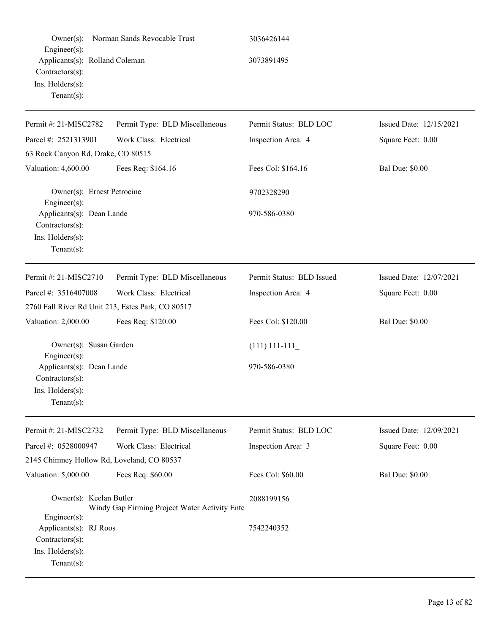| $Owner(s)$ :<br>Engineer(s):<br>Applicants(s): Rolland Coleman<br>Contractors(s):<br>Ins. Holders(s):<br>$Tenant(s)$ : | Norman Sands Revocable Trust                  | 3036426144<br>3073891495  |                         |
|------------------------------------------------------------------------------------------------------------------------|-----------------------------------------------|---------------------------|-------------------------|
| Permit #: 21-MISC2782                                                                                                  | Permit Type: BLD Miscellaneous                | Permit Status: BLD LOC    | Issued Date: 12/15/2021 |
| Parcel #: 2521313901                                                                                                   | Work Class: Electrical                        | Inspection Area: 4        | Square Feet: 0.00       |
| 63 Rock Canyon Rd, Drake, CO 80515                                                                                     |                                               |                           |                         |
| Valuation: 4,600.00                                                                                                    | Fees Req: \$164.16                            | Fees Col: \$164.16        | <b>Bal Due: \$0.00</b>  |
| Owner(s): Ernest Petrocine<br>Engineer(s):                                                                             |                                               | 9702328290                |                         |
| Applicants(s): Dean Lande<br>Contractors(s):<br>Ins. Holders(s):<br>$Tenant(s)$ :                                      |                                               | 970-586-0380              |                         |
| Permit #: 21-MISC2710                                                                                                  | Permit Type: BLD Miscellaneous                | Permit Status: BLD Issued | Issued Date: 12/07/2021 |
| Parcel #: 3516407008                                                                                                   | Work Class: Electrical                        | Inspection Area: 4        | Square Feet: 0.00       |
| 2760 Fall River Rd Unit 213, Estes Park, CO 80517                                                                      |                                               |                           |                         |
| Valuation: 2,000.00                                                                                                    | Fees Req: \$120.00                            | Fees Col: \$120.00        | <b>Bal Due: \$0.00</b>  |
| Owner(s): Susan Garden<br>Engineer(s):                                                                                 |                                               | $(111)$ 111-111           |                         |
| Applicants(s): Dean Lande<br>$Contractors(s)$ :<br>Ins. Holders(s):<br>$Tenant(s)$ :                                   |                                               | 970-586-0380              |                         |
| Permit #: 21-MISC2732                                                                                                  | Permit Type: BLD Miscellaneous                | Permit Status: BLD LOC    | Issued Date: 12/09/2021 |
| Parcel #: 0528000947                                                                                                   | Work Class: Electrical                        | Inspection Area: 3        | Square Feet: 0.00       |
| 2145 Chimney Hollow Rd, Loveland, CO 80537                                                                             |                                               |                           |                         |
| Valuation: 5,000.00                                                                                                    | Fees Req: \$60.00                             | Fees Col: \$60.00         | <b>Bal Due: \$0.00</b>  |
| Owner(s): Keelan Butler<br>$Engineering(s)$ :                                                                          | Windy Gap Firming Project Water Activity Ente | 2088199156                |                         |
| Applicants(s): RJ Roos<br>Contractors(s):<br>Ins. Holders(s):<br>Tenant $(s)$ :                                        |                                               | 7542240352                |                         |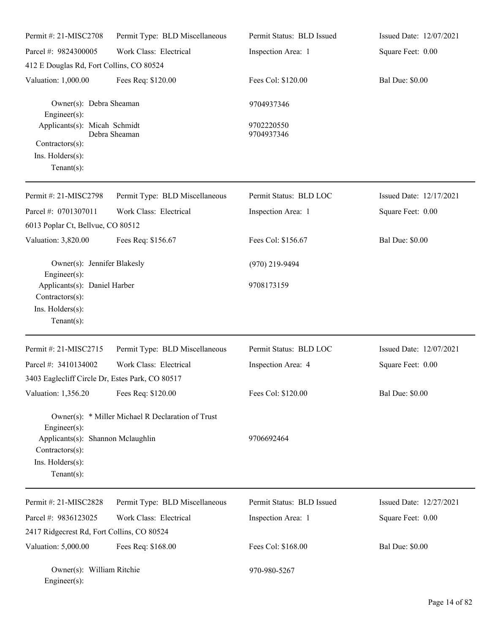| Permit #: 21-MISC2708                                                                                            | Permit Type: BLD Miscellaneous                    | Permit Status: BLD Issued | Issued Date: 12/07/2021 |
|------------------------------------------------------------------------------------------------------------------|---------------------------------------------------|---------------------------|-------------------------|
| Parcel #: 9824300005                                                                                             | Work Class: Electrical                            | Inspection Area: 1        | Square Feet: 0.00       |
| 412 E Douglas Rd, Fort Collins, CO 80524                                                                         |                                                   |                           |                         |
| Valuation: 1,000.00                                                                                              | Fees Req: \$120.00                                | Fees Col: \$120.00        | <b>Bal Due: \$0.00</b>  |
| Owner(s): Debra Sheaman<br>$Engineering(s)$ :                                                                    |                                                   | 9704937346                |                         |
| Applicants(s): Micah Schmidt                                                                                     | Debra Sheaman                                     | 9702220550<br>9704937346  |                         |
| Contractors(s):<br>Ins. Holders(s):<br>Tenant $(s)$ :                                                            |                                                   |                           |                         |
| Permit #: 21-MISC2798                                                                                            | Permit Type: BLD Miscellaneous                    | Permit Status: BLD LOC    | Issued Date: 12/17/2021 |
| Parcel #: 0701307011                                                                                             | Work Class: Electrical                            | Inspection Area: 1        | Square Feet: 0.00       |
| 6013 Poplar Ct, Bellvue, CO 80512                                                                                |                                                   |                           |                         |
| Valuation: 3,820.00                                                                                              | Fees Req: \$156.67                                | Fees Col: \$156.67        | <b>Bal Due: \$0.00</b>  |
| Owner(s): Jennifer Blakesly<br>Engineer(s):                                                                      |                                                   | (970) 219-9494            |                         |
| Applicants(s): Daniel Harber<br>Contractors(s):<br>Ins. Holders(s):<br>$Tenant(s)$ :                             |                                                   | 9708173159                |                         |
| Permit #: 21-MISC2715                                                                                            | Permit Type: BLD Miscellaneous                    | Permit Status: BLD LOC    | Issued Date: 12/07/2021 |
| Parcel #: 3410134002                                                                                             | Work Class: Electrical                            | Inspection Area: 4        | Square Feet: 0.00       |
| 3403 Eaglecliff Circle Dr, Estes Park, CO 80517                                                                  |                                                   |                           |                         |
| Valuation: 1,356.20                                                                                              | Fees Req: \$120.00                                | Fees Col: \$120.00        | <b>Bal Due: \$0.00</b>  |
| $Engineering(s)$ :<br>Applicants(s): Shannon Mclaughlin<br>Contractors(s):<br>Ins. Holders(s):<br>Tenant $(s)$ : | Owner(s): * Miller Michael R Declaration of Trust | 9706692464                |                         |
| Permit #: 21-MISC2828                                                                                            | Permit Type: BLD Miscellaneous                    | Permit Status: BLD Issued | Issued Date: 12/27/2021 |
| Parcel #: 9836123025                                                                                             | Work Class: Electrical                            | Inspection Area: 1        | Square Feet: 0.00       |
| 2417 Ridgecrest Rd, Fort Collins, CO 80524                                                                       |                                                   |                           |                         |
| Valuation: 5,000.00                                                                                              | Fees Req: \$168.00                                | Fees Col: \$168.00        | <b>Bal Due: \$0.00</b>  |
| Owner(s): William Ritchie<br>Engineer(s):                                                                        |                                                   | 970-980-5267              |                         |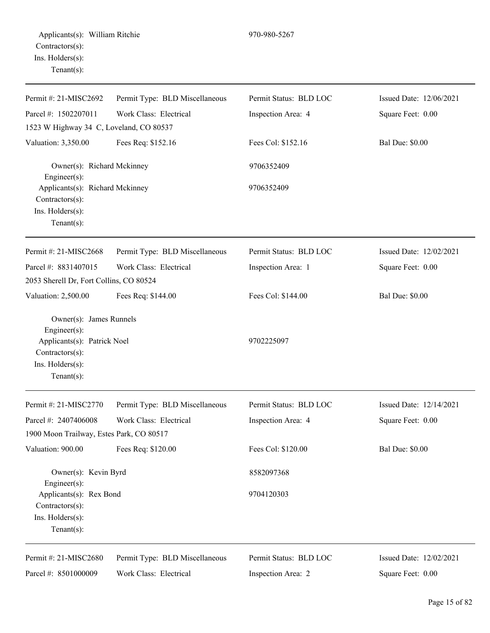| Permit #: 21-MISC2692                                                                                                          | Permit Type: BLD Miscellaneous | Permit Status: BLD LOC | Issued Date: 12/06/2021 |
|--------------------------------------------------------------------------------------------------------------------------------|--------------------------------|------------------------|-------------------------|
| Parcel #: 1502207011<br>Work Class: Electrical                                                                                 |                                | Inspection Area: 4     | Square Feet: 0.00       |
| 1523 W Highway 34 C, Loveland, CO 80537                                                                                        |                                |                        |                         |
| Valuation: 3,350.00                                                                                                            | Fees Req: \$152.16             | Fees Col: \$152.16     | <b>Bal Due: \$0.00</b>  |
| Owner(s): Richard Mckinney<br>Engineer(s):                                                                                     |                                | 9706352409             |                         |
| Applicants(s): Richard Mckinney<br>Contractors(s):<br>Ins. Holders(s):<br>$Tenant(s)$ :                                        |                                | 9706352409             |                         |
| Permit #: 21-MISC2668                                                                                                          | Permit Type: BLD Miscellaneous | Permit Status: BLD LOC | Issued Date: 12/02/2021 |
| Parcel #: 8831407015                                                                                                           | Work Class: Electrical         | Inspection Area: 1     | Square Feet: 0.00       |
| 2053 Sherell Dr, Fort Collins, CO 80524                                                                                        |                                |                        |                         |
| Valuation: 2,500.00                                                                                                            | Fees Req: \$144.00             | Fees Col: \$144.00     | <b>Bal Due: \$0.00</b>  |
| Owner(s): James Runnels<br>Engineer(s):<br>Applicants(s): Patrick Noel<br>Contractors(s):<br>Ins. Holders(s):<br>$Tenant(s)$ : |                                | 9702225097             |                         |
| Permit #: 21-MISC2770                                                                                                          | Permit Type: BLD Miscellaneous | Permit Status: BLD LOC | Issued Date: 12/14/2021 |
| Parcel #: 2407406008                                                                                                           | Work Class: Electrical         | Inspection Area: 4     | Square Feet: 0.00       |
| 1900 Moon Trailway, Estes Park, CO 80517                                                                                       |                                |                        |                         |
| Valuation: 900.00                                                                                                              | Fees Req: \$120.00             | Fees Col: \$120.00     | <b>Bal Due: \$0.00</b>  |
| Owner(s): Kevin Byrd<br>Engineer(s):                                                                                           |                                | 8582097368             |                         |
| Applicants(s): Rex Bond<br>Contractors(s):<br>Ins. Holders(s):                                                                 |                                | 9704120303             |                         |

Tenant(s):

Parcel #: 8501000009

Permit #: 21-MISC2680

Permit Type: BLD Miscellaneous Work Class: Electrical

Permit Status: BLD LOC

Inspection Area: 2

Issued Date: 12/02/2021 Square Feet: 0.00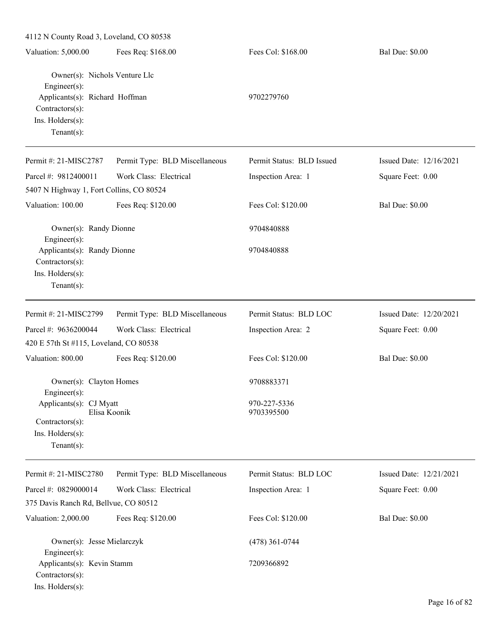| 4112 N County Road 3, Loveland, CO 80538                                                                                                   |                                |                            |                         |  |
|--------------------------------------------------------------------------------------------------------------------------------------------|--------------------------------|----------------------------|-------------------------|--|
| Valuation: 5,000.00                                                                                                                        | Fees Req: \$168.00             | Fees Col: \$168.00         | <b>Bal Due: \$0.00</b>  |  |
| Owner(s): Nichols Venture Llc<br>$Engineering(s)$ :<br>Applicants(s): Richard Hoffman<br>Contractors(s):<br>Ins. Holders(s):<br>Tenant(s): |                                | 9702279760                 |                         |  |
| Permit #: 21-MISC2787                                                                                                                      | Permit Type: BLD Miscellaneous | Permit Status: BLD Issued  | Issued Date: 12/16/2021 |  |
| Parcel #: 9812400011                                                                                                                       | Work Class: Electrical         | Inspection Area: 1         | Square Feet: 0.00       |  |
| 5407 N Highway 1, Fort Collins, CO 80524                                                                                                   |                                |                            |                         |  |
| Valuation: 100.00                                                                                                                          | Fees Req: \$120.00             | Fees Col: \$120.00         | <b>Bal Due: \$0.00</b>  |  |
| Owner(s): Randy Dionne<br>$Engineering(s)$ :                                                                                               |                                | 9704840888                 |                         |  |
| Applicants(s): Randy Dionne<br>Contractors(s):<br>Ins. Holders(s):<br>$Tenant(s)$ :                                                        |                                | 9704840888                 |                         |  |
| Permit #: 21-MISC2799                                                                                                                      | Permit Type: BLD Miscellaneous | Permit Status: BLD LOC     | Issued Date: 12/20/2021 |  |
| Parcel #: 9636200044                                                                                                                       | Work Class: Electrical         | Inspection Area: 2         | Square Feet: 0.00       |  |
| 420 E 57th St #115, Loveland, CO 80538                                                                                                     |                                |                            |                         |  |
| Valuation: 800.00                                                                                                                          | Fees Req: \$120.00             | Fees Col: \$120.00         | <b>Bal Due: \$0.00</b>  |  |
| Owner(s): Clayton Homes<br>Engineer(s):                                                                                                    |                                | 9708883371                 |                         |  |
| Applicants(s): CJ Myatt<br>Elisa Koonik<br>Contractors(s):<br>Ins. Holders(s):<br>Tenant $(s)$ :                                           |                                | 970-227-5336<br>9703395500 |                         |  |
| Permit #: 21-MISC2780                                                                                                                      | Permit Type: BLD Miscellaneous | Permit Status: BLD LOC     | Issued Date: 12/21/2021 |  |
| Parcel #: 0829000014                                                                                                                       | Work Class: Electrical         | Inspection Area: 1         | Square Feet: 0.00       |  |
| 375 Davis Ranch Rd, Bellvue, CO 80512                                                                                                      |                                |                            |                         |  |
| Valuation: 2,000.00                                                                                                                        | Fees Req: \$120.00             | Fees Col: \$120.00         | <b>Bal Due: \$0.00</b>  |  |
| Owner(s): Jesse Mielarczyk<br>$Engineering(s)$ :                                                                                           |                                | $(478)$ 361-0744           |                         |  |
| Applicants(s): Kevin Stamm<br>Contractors(s):<br>Ins. Holders(s):                                                                          |                                | 7209366892                 |                         |  |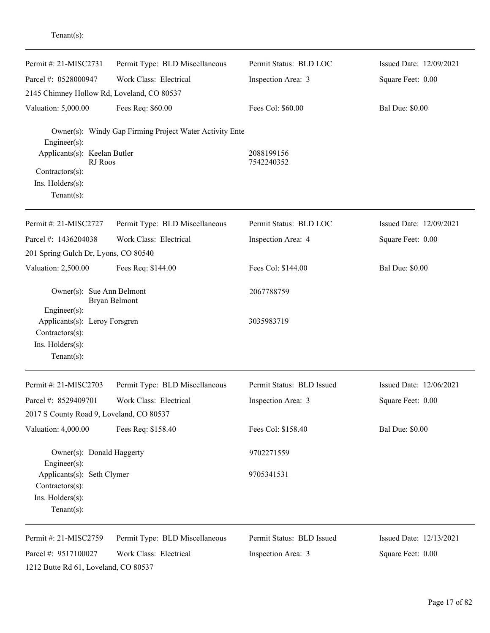| Permit #: 21-MISC2731                                                                                        | Permit Type: BLD Miscellaneous                          | Permit Status: BLD LOC    | Issued Date: 12/09/2021 |
|--------------------------------------------------------------------------------------------------------------|---------------------------------------------------------|---------------------------|-------------------------|
| Parcel #: 0528000947                                                                                         | Work Class: Electrical                                  | Inspection Area: 3        | Square Feet: 0.00       |
| 2145 Chimney Hollow Rd, Loveland, CO 80537                                                                   |                                                         |                           |                         |
| Valuation: 5,000.00                                                                                          | Fees Req: \$60.00                                       | Fees Col: \$60.00         | <b>Bal Due: \$0.00</b>  |
| $Engineering(s)$ :                                                                                           | Owner(s): Windy Gap Firming Project Water Activity Ente |                           |                         |
| Applicants(s): Keelan Butler<br>RJ Roos                                                                      |                                                         | 2088199156<br>7542240352  |                         |
| Contractors(s):                                                                                              |                                                         |                           |                         |
| Ins. Holders(s):<br>Tenant $(s)$ :                                                                           |                                                         |                           |                         |
| Permit #: 21-MISC2727                                                                                        | Permit Type: BLD Miscellaneous                          | Permit Status: BLD LOC    | Issued Date: 12/09/2021 |
| Parcel #: 1436204038                                                                                         | Work Class: Electrical                                  | Inspection Area: 4        | Square Feet: 0.00       |
| 201 Spring Gulch Dr, Lyons, CO 80540                                                                         |                                                         |                           |                         |
| Valuation: 2,500.00                                                                                          | Fees Req: \$144.00                                      | Fees Col: \$144.00        | <b>Bal Due: \$0.00</b>  |
| Owner(s): Sue Ann Belmont                                                                                    | Bryan Belmont                                           | 2067788759                |                         |
| $Engineering(s)$ :<br>Applicants(s): Leroy Forsgren<br>Contractors(s):<br>Ins. Holders(s):<br>Tenant $(s)$ : |                                                         | 3035983719                |                         |
| Permit #: 21-MISC2703                                                                                        | Permit Type: BLD Miscellaneous                          | Permit Status: BLD Issued | Issued Date: 12/06/2021 |
| Parcel #: 8529409701                                                                                         | Work Class: Electrical                                  | Inspection Area: 3        | Square Feet: 0.00       |
| 2017 S County Road 9, Loveland, CO 80537                                                                     |                                                         |                           |                         |
| Valuation: 4,000.00                                                                                          | Fees Req: \$158.40                                      | Fees Col: \$158.40        | <b>Bal Due: \$0.00</b>  |
| Owner(s): Donald Haggerty<br>$Engineering(s)$ :                                                              |                                                         | 9702271559                |                         |
| Applicants(s): Seth Clymer<br>Contractors(s):                                                                |                                                         | 9705341531                |                         |
| Ins. Holders(s):<br>Tenant $(s)$ :                                                                           |                                                         |                           |                         |
| Permit #: 21-MISC2759                                                                                        | Permit Type: BLD Miscellaneous                          | Permit Status: BLD Issued | Issued Date: 12/13/2021 |
| Parcel #: 9517100027                                                                                         | Work Class: Electrical                                  | Inspection Area: 3        | Square Feet: 0.00       |
| 1212 Butte Rd 61, Loveland, CO 80537                                                                         |                                                         |                           |                         |

Tenant(s):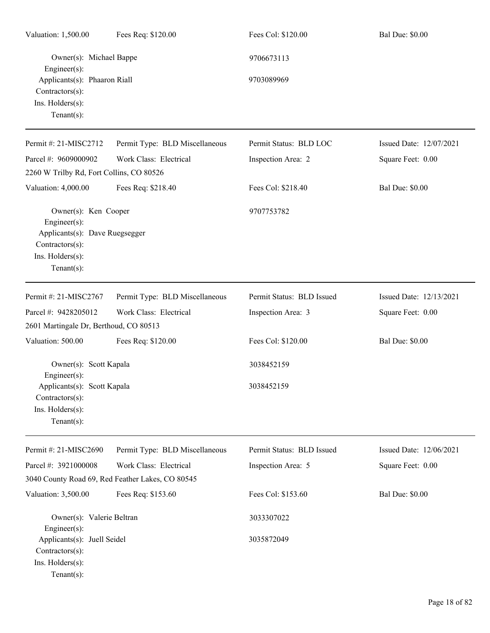| Valuation: 1,500.00                                                                                                            | Fees Req: \$120.00                               | Fees Col: \$120.00        | <b>Bal Due: \$0.00</b>  |
|--------------------------------------------------------------------------------------------------------------------------------|--------------------------------------------------|---------------------------|-------------------------|
| Owner(s): Michael Bappe<br>Engineer(s):                                                                                        |                                                  | 9706673113                |                         |
| Applicants(s): Phaaron Riall<br>Contractors(s):<br>Ins. Holders(s):<br>Tenant $(s)$ :                                          |                                                  | 9703089969                |                         |
| Permit #: 21-MISC2712                                                                                                          | Permit Type: BLD Miscellaneous                   | Permit Status: BLD LOC    | Issued Date: 12/07/2021 |
| Parcel #: 9609000902                                                                                                           | Work Class: Electrical                           | Inspection Area: 2        | Square Feet: 0.00       |
| 2260 W Trilby Rd, Fort Collins, CO 80526                                                                                       |                                                  |                           |                         |
| Valuation: 4,000.00                                                                                                            | Fees Req: \$218.40                               | Fees Col: \$218.40        | <b>Bal Due: \$0.00</b>  |
| Owner(s): Ken Cooper<br>Engineer(s):<br>Applicants(s): Dave Ruegsegger<br>Contractors(s):<br>Ins. Holders(s):<br>$Tenant(s)$ : |                                                  | 9707753782                |                         |
| Permit #: 21-MISC2767                                                                                                          | Permit Type: BLD Miscellaneous                   | Permit Status: BLD Issued | Issued Date: 12/13/2021 |
| Parcel #: 9428205012<br>2601 Martingale Dr, Berthoud, CO 80513                                                                 | Work Class: Electrical                           | Inspection Area: 3        | Square Feet: 0.00       |
| Valuation: 500.00                                                                                                              | Fees Req: \$120.00                               | Fees Col: \$120.00        | <b>Bal Due: \$0.00</b>  |
| Owner(s): Scott Kapala<br>Engineer(s):                                                                                         |                                                  | 3038452159                |                         |
| Applicants(s): Scott Kapala<br>Contractors(s):<br>Ins. Holders(s):<br>Tenant $(s)$ :                                           |                                                  | 3038452159                |                         |
| Permit #: 21-MISC2690                                                                                                          | Permit Type: BLD Miscellaneous                   | Permit Status: BLD Issued | Issued Date: 12/06/2021 |
| Parcel #: 3921000008                                                                                                           | Work Class: Electrical                           | Inspection Area: 5        | Square Feet: 0.00       |
|                                                                                                                                | 3040 County Road 69, Red Feather Lakes, CO 80545 |                           |                         |
| Valuation: 3,500.00                                                                                                            | Fees Req: \$153.60                               | Fees Col: \$153.60        | <b>Bal Due: \$0.00</b>  |
| Owner(s): Valerie Beltran<br>Engineer(s):                                                                                      |                                                  | 3033307022                |                         |
| Applicants(s): Juell Seidel<br>Contractors(s):<br>Ins. Holders(s):<br>$Tenant(s)$ :                                            |                                                  | 3035872049                |                         |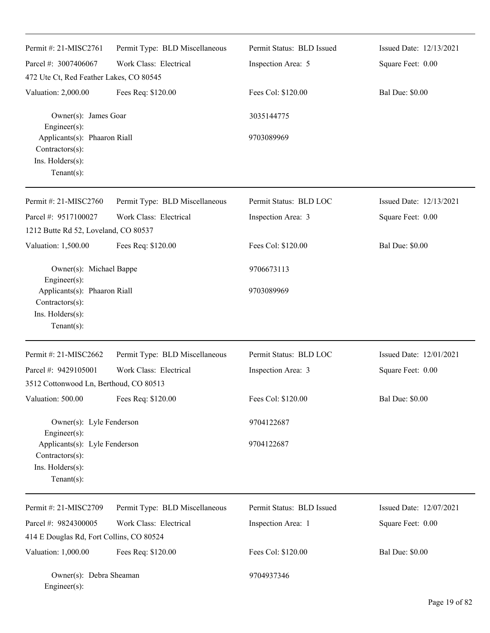| Permit #: 21-MISC2761<br>Parcel #: 3007406067<br>472 Ute Ct, Red Feather Lakes, CO 80545               | Permit Type: BLD Miscellaneous<br>Work Class: Electrical | Permit Status: BLD Issued<br>Inspection Area: 5 | Issued Date: 12/13/2021<br>Square Feet: 0.00 |
|--------------------------------------------------------------------------------------------------------|----------------------------------------------------------|-------------------------------------------------|----------------------------------------------|
| Valuation: 2,000.00<br>Owner(s): James Goar                                                            | Fees Req: \$120.00                                       | Fees Col: \$120.00<br>3035144775                | <b>Bal Due: \$0.00</b>                       |
| Engineer(s):<br>Applicants(s): Phaaron Riall<br>Contractors(s):<br>Ins. Holders(s):<br>Tenant $(s)$ :  |                                                          | 9703089969                                      |                                              |
| Permit #: 21-MISC2760                                                                                  | Permit Type: BLD Miscellaneous                           | Permit Status: BLD LOC                          | Issued Date: 12/13/2021                      |
| Parcel #: 9517100027                                                                                   | Work Class: Electrical                                   | Inspection Area: 3                              | Square Feet: 0.00                            |
| 1212 Butte Rd 52, Loveland, CO 80537                                                                   |                                                          |                                                 |                                              |
| Valuation: 1,500.00                                                                                    | Fees Req: \$120.00                                       | Fees Col: \$120.00                              | <b>Bal Due: \$0.00</b>                       |
| Owner(s): Michael Bappe                                                                                |                                                          | 9706673113                                      |                                              |
| Engineer(s):<br>Applicants(s): Phaaron Riall<br>Contractors(s):<br>Ins. Holders(s):<br>$Tenant(s)$ :   |                                                          | 9703089969                                      |                                              |
| Permit #: 21-MISC2662                                                                                  | Permit Type: BLD Miscellaneous                           | Permit Status: BLD LOC                          | Issued Date: 12/01/2021                      |
| Parcel #: 9429105001                                                                                   | Work Class: Electrical                                   | Inspection Area: 3                              | Square Feet: 0.00                            |
| 3512 Cottonwood Ln, Berthoud, CO 80513                                                                 |                                                          |                                                 |                                              |
| Valuation: 500.00                                                                                      | Fees Req: \$120.00                                       | Fees Col: \$120.00                              | <b>Bal Due: \$0.00</b>                       |
| Owner(s): Lyle Fenderson                                                                               |                                                          | 9704122687                                      |                                              |
| Engineer(s):<br>Applicants(s): Lyle Fenderson<br>Contractors(s):<br>Ins. Holders(s):<br>Tenant $(s)$ : |                                                          | 9704122687                                      |                                              |
| Permit #: 21-MISC2709                                                                                  | Permit Type: BLD Miscellaneous                           | Permit Status: BLD Issued                       | Issued Date: 12/07/2021                      |
| Parcel #: 9824300005                                                                                   | Work Class: Electrical                                   | Inspection Area: 1                              | Square Feet: 0.00                            |
| 414 E Douglas Rd, Fort Collins, CO 80524                                                               |                                                          |                                                 |                                              |
| Valuation: 1,000.00                                                                                    | Fees Req: \$120.00                                       | Fees Col: \$120.00                              | <b>Bal Due: \$0.00</b>                       |
| Owner(s): Debra Sheaman<br>Engineer(s):                                                                |                                                          | 9704937346                                      |                                              |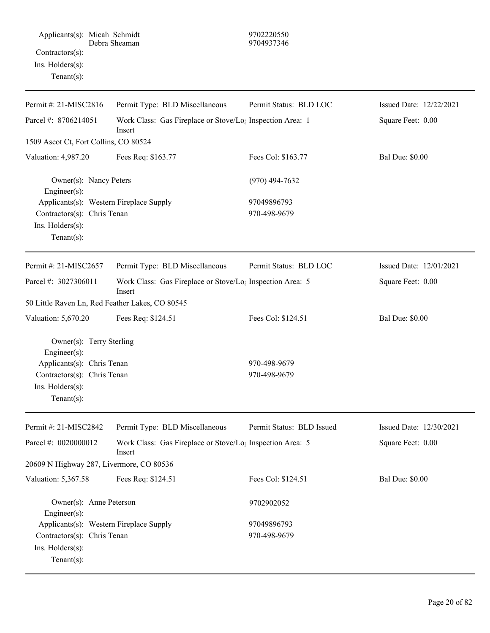| Permit #: 21-MISC2816                                                                                                                       | Permit Type: BLD Miscellaneous                                                  | Permit Status: BLD LOC       | Issued Date: 12/22/2021 |
|---------------------------------------------------------------------------------------------------------------------------------------------|---------------------------------------------------------------------------------|------------------------------|-------------------------|
| Parcel #: 8706214051                                                                                                                        | Work Class: Gas Fireplace or Stove/Lo; Inspection Area: 1<br>Insert             |                              | Square Feet: 0.00       |
| 1509 Ascot Ct, Fort Collins, CO 80524                                                                                                       |                                                                                 |                              |                         |
| Valuation: 4,987.20                                                                                                                         | Fees Req: \$163.77                                                              | Fees Col: \$163.77           | <b>Bal Due: \$0.00</b>  |
| Owner(s): Nancy Peters<br>Engineer(s):                                                                                                      |                                                                                 | $(970)$ 494-7632             |                         |
| Applicants(s): Western Fireplace Supply<br>Contractors(s): Chris Tenan<br>Ins. Holders(s):<br>Tenant $(s)$ :                                |                                                                                 | 97049896793<br>970-498-9679  |                         |
| Permit #: 21-MISC2657                                                                                                                       | Permit Type: BLD Miscellaneous                                                  | Permit Status: BLD LOC       | Issued Date: 12/01/2021 |
| Parcel #: 3027306011                                                                                                                        | Work Class: Gas Fireplace or Stove/Lo <sub>1</sub> Inspection Area: 5<br>Insert |                              | Square Feet: 0.00       |
| 50 Little Raven Ln, Red Feather Lakes, CO 80545                                                                                             |                                                                                 |                              |                         |
| Valuation: 5,670.20                                                                                                                         | Fees Req: \$124.51                                                              | Fees Col: \$124.51           | <b>Bal Due: \$0.00</b>  |
| Owner(s): Terry Sterling<br>Engineer(s):<br>Applicants(s): Chris Tenan<br>Contractors(s): Chris Tenan<br>Ins. Holders(s):<br>Tenant $(s)$ : |                                                                                 | 970-498-9679<br>970-498-9679 |                         |
| Permit #: 21-MISC2842                                                                                                                       | Permit Type: BLD Miscellaneous                                                  | Permit Status: BLD Issued    | Issued Date: 12/30/2021 |
| Parcel #: 0020000012                                                                                                                        | Work Class: Gas Fireplace or Stove/Lo <sub>1</sub> Inspection Area: 5<br>Insert |                              | Square Feet: 0.00       |
| 20609 N Highway 287, Livermore, CO 80536                                                                                                    |                                                                                 |                              |                         |
| Valuation: 5,367.58                                                                                                                         | Fees Req: \$124.51                                                              | Fees Col: \$124.51           | <b>Bal Due: \$0.00</b>  |
| Owner(s): Anne Peterson<br>Engineer(s):                                                                                                     |                                                                                 | 9702902052                   |                         |
| Applicants(s): Western Fireplace Supply                                                                                                     |                                                                                 | 97049896793                  |                         |
| Contractors(s): Chris Tenan<br>Ins. Holders(s):<br>$Tenant(s)$ :                                                                            |                                                                                 | 970-498-9679                 |                         |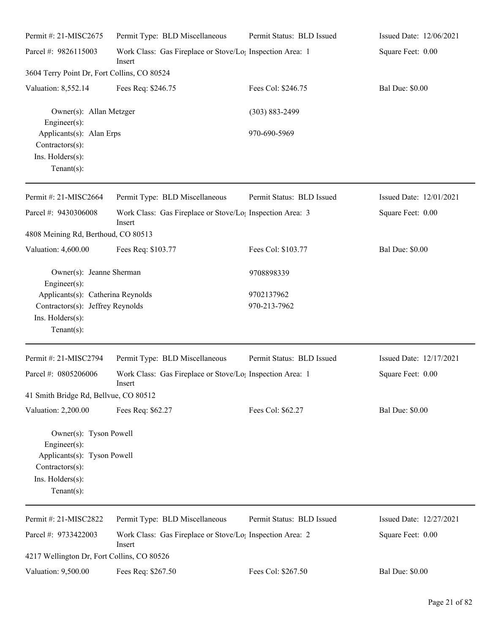| Permit #: 21-MISC2675                                                                | Permit Type: BLD Miscellaneous                                                  | Permit Status: BLD Issued | Issued Date: 12/06/2021 |
|--------------------------------------------------------------------------------------|---------------------------------------------------------------------------------|---------------------------|-------------------------|
| Parcel #: 9826115003                                                                 | Work Class: Gas Fireplace or Stove/Lo <sub>1</sub> Inspection Area: 1<br>Insert |                           | Square Feet: 0.00       |
| 3604 Terry Point Dr, Fort Collins, CO 80524                                          |                                                                                 |                           |                         |
| Valuation: 8,552.14                                                                  | Fees Req: \$246.75                                                              | Fees Col: \$246.75        | <b>Bal Due: \$0.00</b>  |
| Owner(s): Allan Metzger<br>Engineer $(s)$ :                                          |                                                                                 | $(303) 883 - 2499$        |                         |
| Applicants(s): Alan Erps<br>$Contractors(s)$ :<br>Ins. Holders(s):<br>Tenant $(s)$ : |                                                                                 | 970-690-5969              |                         |
| Permit #: 21-MISC2664                                                                | Permit Type: BLD Miscellaneous                                                  | Permit Status: BLD Issued | Issued Date: 12/01/2021 |
| Parcel #: 9430306008                                                                 | Work Class: Gas Fireplace or Stove/Lo <sub>1</sub> Inspection Area: 3<br>Insert |                           | Square Feet: 0.00       |
| 4808 Meining Rd, Berthoud, CO 80513                                                  |                                                                                 |                           |                         |
| Valuation: 4,600.00                                                                  | Fees Req: \$103.77                                                              | Fees Col: \$103.77        | <b>Bal Due: \$0.00</b>  |
| Owner(s): Jeanne Sherman<br>$Engineering(s)$ :                                       |                                                                                 | 9708898339                |                         |
| Applicants(s): Catherina Reynolds                                                    |                                                                                 | 9702137962                |                         |
| Contractors(s): Jeffrey Reynolds<br>Ins. Holders(s):<br>$Tenant(s)$ :                |                                                                                 | 970-213-7962              |                         |
| Permit #: 21-MISC2794                                                                | Permit Type: BLD Miscellaneous                                                  | Permit Status: BLD Issued | Issued Date: 12/17/2021 |
| Parcel #: 0805206006                                                                 | Work Class: Gas Fireplace or Stove/Lo; Inspection Area: 1<br>Insert             |                           | Square Feet: 0.00       |
| 41 Smith Bridge Rd, Bellvue, CO 80512                                                |                                                                                 |                           |                         |
| Valuation: 2,200.00                                                                  | Fees Req: \$62.27                                                               | Fees Col: \$62.27         | <b>Bal Due: \$0.00</b>  |
| Owner(s): Tyson Powell<br>Engineer(s):<br>Applicants(s): Tyson Powell                |                                                                                 |                           |                         |
| Contractors(s):                                                                      |                                                                                 |                           |                         |
| Ins. Holders(s):                                                                     |                                                                                 |                           |                         |
| Tenant $(s)$ :                                                                       |                                                                                 |                           |                         |
| Permit #: 21-MISC2822                                                                | Permit Type: BLD Miscellaneous                                                  | Permit Status: BLD Issued | Issued Date: 12/27/2021 |
| Parcel #: 9733422003                                                                 | Work Class: Gas Fireplace or Stove/Lo <sub>1</sub> Inspection Area: 2<br>Insert |                           | Square Feet: 0.00       |
| 4217 Wellington Dr, Fort Collins, CO 80526                                           |                                                                                 |                           |                         |
| Valuation: 9,500.00                                                                  | Fees Req: \$267.50                                                              | Fees Col: \$267.50        | <b>Bal Due: \$0.00</b>  |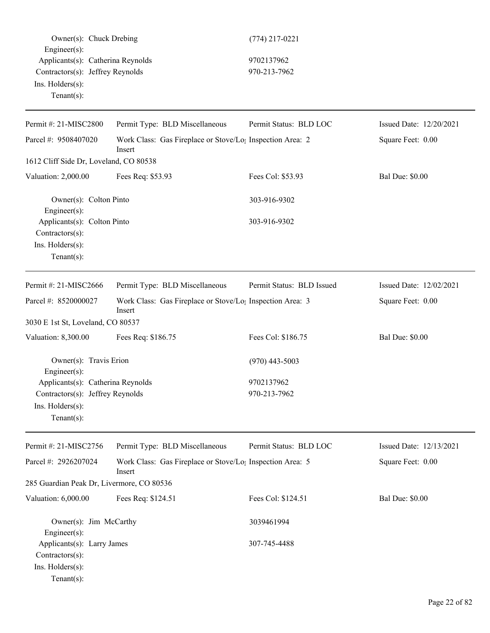|                        | Owner(s): Chuck Drebing           | $(774)$ 217-022 |
|------------------------|-----------------------------------|-----------------|
| $Engineer(s)$ :        |                                   |                 |
|                        | Applicants(s): Catherina Reynolds | 9702137962      |
|                        | Contractors(s): Jeffrey Reynolds  | 970-213-7962    |
| $Ins.$ Holders $(s)$ : |                                   |                 |
| Tenant $(s)$ :         |                                   |                 |

### $(774)$  217-0221

# $\frac{1}{5}$  9702137962

| Permit #: 21-MISC2800                                                                                   | Permit Type: BLD Miscellaneous                                                  | Permit Status: BLD LOC    | Issued Date: 12/20/2021 |
|---------------------------------------------------------------------------------------------------------|---------------------------------------------------------------------------------|---------------------------|-------------------------|
| Work Class: Gas Fireplace or Stove/Lo <sub>1</sub> Inspection Area: 2<br>Parcel #: 9508407020<br>Insert |                                                                                 |                           | Square Feet: 0.00       |
| 1612 Cliff Side Dr, Loveland, CO 80538                                                                  |                                                                                 |                           |                         |
| Valuation: 2,000.00                                                                                     | Fees Req: \$53.93                                                               | Fees Col: \$53.93         | <b>Bal Due: \$0.00</b>  |
| Owner(s): Colton Pinto<br>Engineer(s):                                                                  |                                                                                 | 303-916-9302              |                         |
| Applicants(s): Colton Pinto<br>Contractors(s):<br>Ins. Holders(s):<br>Tenant $(s)$ :                    |                                                                                 | 303-916-9302              |                         |
| Permit #: 21-MISC2666                                                                                   | Permit Type: BLD Miscellaneous                                                  | Permit Status: BLD Issued | Issued Date: 12/02/2021 |
| Parcel #: 8520000027                                                                                    | Work Class: Gas Fireplace or Stove/Lo <sub>1</sub> Inspection Area: 3<br>Insert |                           | Square Feet: 0.00       |
| 3030 E 1st St, Loveland, CO 80537                                                                       |                                                                                 |                           |                         |
| Valuation: 8,300.00                                                                                     | Fees Req: \$186.75                                                              | Fees Col: \$186.75        | <b>Bal Due: \$0.00</b>  |
| Owner(s): Travis Erion<br>Engineer $(s)$ :                                                              |                                                                                 | $(970)$ 443-5003          |                         |
| Applicants(s): Catherina Reynolds                                                                       |                                                                                 | 9702137962                |                         |
| Contractors(s): Jeffrey Reynolds<br>Ins. Holders(s):<br>$Tenant(s)$ :                                   |                                                                                 | 970-213-7962              |                         |
| Permit #: 21-MISC2756                                                                                   | Permit Type: BLD Miscellaneous                                                  | Permit Status: BLD LOC    | Issued Date: 12/13/2021 |
| Parcel #: 2926207024                                                                                    | Work Class: Gas Fireplace or Stove/Lo <sub>1</sub> Inspection Area: 5<br>Insert |                           | Square Feet: 0.00       |
| 285 Guardian Peak Dr, Livermore, CO 80536                                                               |                                                                                 |                           |                         |
| Valuation: 6,000.00                                                                                     | Fees Req: \$124.51                                                              | Fees Col: \$124.51        | <b>Bal Due: \$0.00</b>  |
| Owner(s): Jim McCarthy<br>Engineer(s):                                                                  |                                                                                 | 3039461994                |                         |
| Applicants(s): Larry James<br>Contractors(s):<br>Ins. Holders(s):<br>Tenant(s):                         |                                                                                 | 307-745-4488              |                         |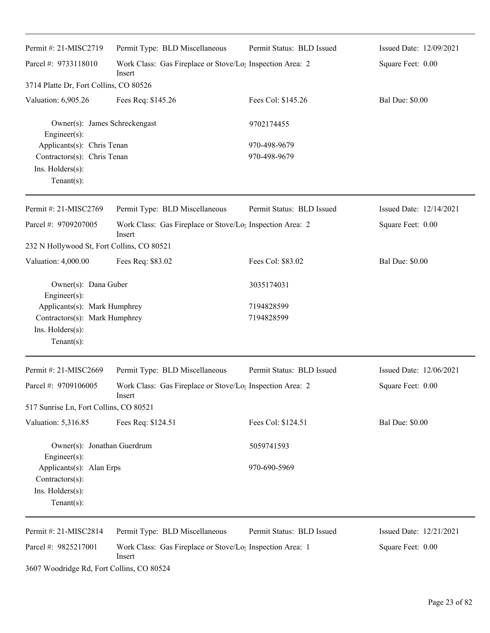| Permit #: 21-MISC2719                                                                              | Permit Type: BLD Miscellaneous                                                  | Permit Status: BLD Issued    | Issued Date: 12/09/2021 |
|----------------------------------------------------------------------------------------------------|---------------------------------------------------------------------------------|------------------------------|-------------------------|
| Parcel #: 9733118010                                                                               | Work Class: Gas Fireplace or Stove/Lo <sub>1</sub> Inspection Area: 2<br>Insert |                              | Square Feet: 0.00       |
| 3714 Platte Dr, Fort Collins, CO 80526                                                             |                                                                                 |                              |                         |
| Valuation: 6,905.26                                                                                | Fees Req: \$145.26                                                              | Fees Col: \$145.26           | <b>Bal Due: \$0.00</b>  |
| Owner(s): James Schreckengast<br>Engineer(s):                                                      |                                                                                 | 9702174455                   |                         |
| Applicants(s): Chris Tenan<br>Contractors(s): Chris Tenan<br>Ins. Holders(s):<br>$Tenant(s)$ :     |                                                                                 | 970-498-9679<br>970-498-9679 |                         |
| Permit #: 21-MISC2769                                                                              | Permit Type: BLD Miscellaneous                                                  | Permit Status: BLD Issued    | Issued Date: 12/14/2021 |
| Parcel #: 9709207005                                                                               | Work Class: Gas Fireplace or Stove/Lo <sub>1</sub> Inspection Area: 2<br>Insert |                              | Square Feet: 0.00       |
| 232 N Hollywood St, Fort Collins, CO 80521                                                         |                                                                                 |                              |                         |
| Valuation: 4,000.00                                                                                | Fees Req: \$83.02                                                               | Fees Col: \$83.02            | <b>Bal Due: \$0.00</b>  |
| Owner(s): Dana Guber<br>Engineer(s):                                                               |                                                                                 | 3035174031                   |                         |
| Applicants(s): Mark Humphrey<br>Contractors(s): Mark Humphrey<br>Ins. Holders(s):<br>$Tenant(s)$ : |                                                                                 | 7194828599<br>7194828599     |                         |
| Permit #: 21-MISC2669                                                                              | Permit Type: BLD Miscellaneous                                                  | Permit Status: BLD Issued    | Issued Date: 12/06/2021 |
| Parcel #: 9709106005                                                                               | Work Class: Gas Fireplace or Stove/Lo <sub>1</sub> Inspection Area: 2<br>Insert |                              | Square Feet: 0.00       |
| 517 Sunrise Ln, Fort Collins, CO 80521                                                             |                                                                                 |                              |                         |
| Valuation: 5,316.85                                                                                | Fees Req: \$124.51                                                              | Fees Col: \$124.51           | <b>Bal Due: \$0.00</b>  |
| Owner(s): Jonathan Guerdrum<br>Engineer(s):                                                        |                                                                                 | 5059741593                   |                         |
| Applicants(s): Alan Erps<br>Contractors(s):<br>Ins. Holders(s):<br>$Tenant(s)$ :                   |                                                                                 | 970-690-5969                 |                         |
| Permit #: 21-MISC2814                                                                              | Permit Type: BLD Miscellaneous                                                  | Permit Status: BLD Issued    | Issued Date: 12/21/2021 |
| Parcel #: 9825217001                                                                               | Work Class: Gas Fireplace or Stove/Lo <sub>1</sub> Inspection Area: 1<br>Insert |                              | Square Feet: 0.00       |

3607 Woodridge Rd, Fort Collins, CO 80524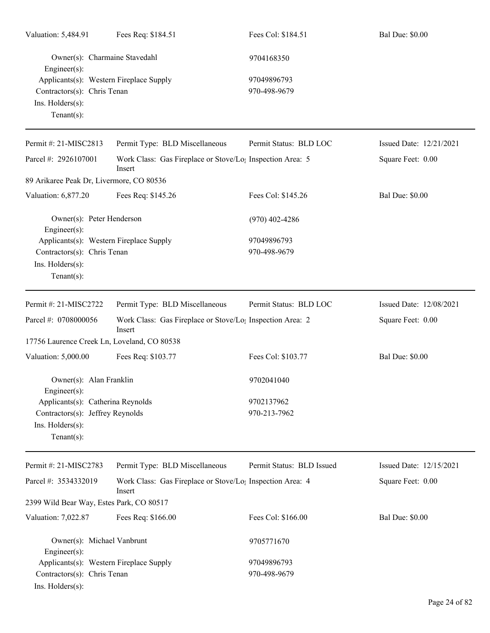| Valuation: 5,484.91                                                                                          | Fees Req: \$184.51                                                              | Fees Col: \$184.51          | <b>Bal Due: \$0.00</b>  |
|--------------------------------------------------------------------------------------------------------------|---------------------------------------------------------------------------------|-----------------------------|-------------------------|
| Owner(s): Charmaine Stavedahl<br>Engineer(s):                                                                |                                                                                 | 9704168350                  |                         |
| Applicants(s): Western Fireplace Supply<br>Contractors(s): Chris Tenan<br>Ins. Holders(s):<br>Tenant $(s)$ : |                                                                                 | 97049896793<br>970-498-9679 |                         |
| Permit #: 21-MISC2813                                                                                        | Permit Type: BLD Miscellaneous                                                  | Permit Status: BLD LOC      | Issued Date: 12/21/2021 |
| Parcel #: 2926107001                                                                                         | Work Class: Gas Fireplace or Stove/Lo <sub>1</sub> Inspection Area: 5<br>Insert |                             | Square Feet: 0.00       |
| 89 Arikaree Peak Dr, Livermore, CO 80536                                                                     |                                                                                 |                             |                         |
| Valuation: 6,877.20                                                                                          | Fees Req: \$145.26                                                              | Fees Col: \$145.26          | <b>Bal Due: \$0.00</b>  |
| Owner(s): Peter Henderson<br>Engineer(s):                                                                    |                                                                                 | $(970)$ 402-4286            |                         |
| Applicants(s): Western Fireplace Supply<br>Contractors(s): Chris Tenan<br>Ins. Holders(s):<br>$Tenant(s)$ :  |                                                                                 | 97049896793<br>970-498-9679 |                         |
| Permit #: 21-MISC2722                                                                                        | Permit Type: BLD Miscellaneous                                                  | Permit Status: BLD LOC      | Issued Date: 12/08/2021 |
| Parcel #: 0708000056                                                                                         | Work Class: Gas Fireplace or Stove/Lo <sub>1</sub> Inspection Area: 2<br>Insert |                             | Square Feet: 0.00       |
| 17756 Laurence Creek Ln, Loveland, CO 80538                                                                  |                                                                                 |                             |                         |
| Valuation: 5,000.00                                                                                          | Fees Req: \$103.77                                                              | Fees Col: \$103.77          | <b>Bal Due: \$0.00</b>  |
| Owner(s): Alan Franklin<br>Engineer(s):                                                                      |                                                                                 | 9702041040                  |                         |
| Applicants(s): Catherina Reynolds<br>Contractors(s): Jeffrey Reynolds<br>Ins. Holders(s):<br>Tenant $(s)$ :  |                                                                                 | 9702137962<br>970-213-7962  |                         |
| Permit #: 21-MISC2783                                                                                        | Permit Type: BLD Miscellaneous                                                  | Permit Status: BLD Issued   | Issued Date: 12/15/2021 |
| Parcel #: 3534332019                                                                                         | Work Class: Gas Fireplace or Stove/Lo <sub>!</sub> Inspection Area: 4<br>Insert |                             | Square Feet: 0.00       |
| 2399 Wild Bear Way, Estes Park, CO 80517                                                                     |                                                                                 |                             |                         |
| Valuation: 7,022.87                                                                                          | Fees Req: \$166.00                                                              | Fees Col: \$166.00          | <b>Bal Due: \$0.00</b>  |
| Owner(s): Michael Vanbrunt<br>Engineer(s):                                                                   |                                                                                 | 9705771670                  |                         |
| Applicants(s): Western Fireplace Supply<br>Contractors(s): Chris Tenan<br>Ins. Holders(s):                   |                                                                                 | 97049896793<br>970-498-9679 |                         |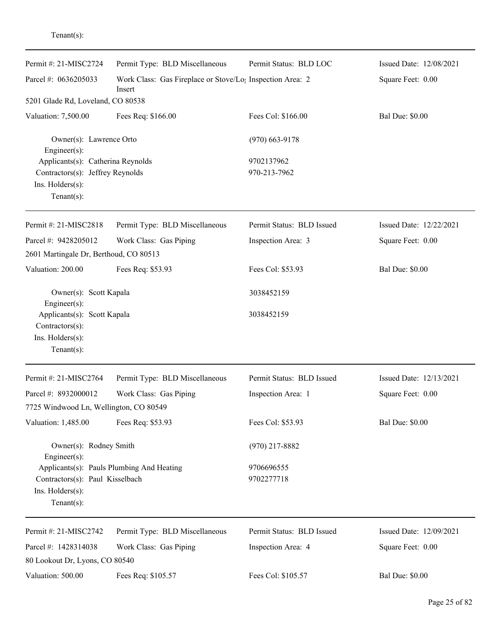| Permit #: 21-MISC2724                                                                                       | Permit Type: BLD Miscellaneous                                                  | Permit Status: BLD LOC     | Issued Date: 12/08/2021 |
|-------------------------------------------------------------------------------------------------------------|---------------------------------------------------------------------------------|----------------------------|-------------------------|
| Parcel #: 0636205033                                                                                        | Work Class: Gas Fireplace or Stove/Lo <sub>1</sub> Inspection Area: 2<br>Insert |                            | Square Feet: 0.00       |
| 5201 Glade Rd, Loveland, CO 80538                                                                           |                                                                                 |                            |                         |
| Valuation: 7,500.00                                                                                         | Fees Req: \$166.00                                                              | Fees Col: \$166.00         | <b>Bal Due: \$0.00</b>  |
| Owner(s): Lawrence Orto<br>Engineer(s):                                                                     |                                                                                 | $(970)$ 663-9178           |                         |
| Applicants(s): Catherina Reynolds<br>Contractors(s): Jeffrey Reynolds<br>Ins. Holders(s):<br>Tenant $(s)$ : |                                                                                 | 9702137962<br>970-213-7962 |                         |
| Permit #: 21-MISC2818                                                                                       | Permit Type: BLD Miscellaneous                                                  | Permit Status: BLD Issued  | Issued Date: 12/22/2021 |
| Parcel #: 9428205012                                                                                        | Work Class: Gas Piping                                                          | Inspection Area: 3         | Square Feet: 0.00       |
| 2601 Martingale Dr, Berthoud, CO 80513                                                                      |                                                                                 |                            |                         |
| Valuation: 200.00                                                                                           | Fees Req: \$53.93                                                               | Fees Col: \$53.93          | <b>Bal Due: \$0.00</b>  |
| Owner(s): Scott Kapala<br>Engineer(s):                                                                      |                                                                                 | 3038452159                 |                         |
| Applicants(s): Scott Kapala<br>Contractors(s):<br>Ins. Holders(s):<br>$Tenant(s)$ :                         |                                                                                 | 3038452159                 |                         |
| Permit #: 21-MISC2764                                                                                       | Permit Type: BLD Miscellaneous                                                  | Permit Status: BLD Issued  | Issued Date: 12/13/2021 |
| Parcel #: 8932000012                                                                                        | Work Class: Gas Piping                                                          | Inspection Area: 1         | Square Feet: 0.00       |
| 7725 Windwood Ln, Wellington, CO 80549                                                                      |                                                                                 |                            |                         |
| Valuation: 1,485.00                                                                                         | Fees Req: \$53.93                                                               | Fees Col: \$53.93          | <b>Bal Due: \$0.00</b>  |
| Owner(s): Rodney Smith<br>Engineer(s):                                                                      |                                                                                 | $(970)$ 217-8882           |                         |
| Contractors(s): Paul Kisselbach<br>Ins. Holders(s):<br>Tenant $(s)$ :                                       | Applicants(s): Pauls Plumbing And Heating                                       | 9706696555<br>9702277718   |                         |
| Permit #: 21-MISC2742                                                                                       | Permit Type: BLD Miscellaneous                                                  | Permit Status: BLD Issued  | Issued Date: 12/09/2021 |
| Parcel #: 1428314038<br>80 Lookout Dr, Lyons, CO 80540                                                      | Work Class: Gas Piping                                                          | Inspection Area: 4         | Square Feet: 0.00       |
| Valuation: 500.00                                                                                           | Fees Req: \$105.57                                                              | Fees Col: \$105.57         | <b>Bal Due: \$0.00</b>  |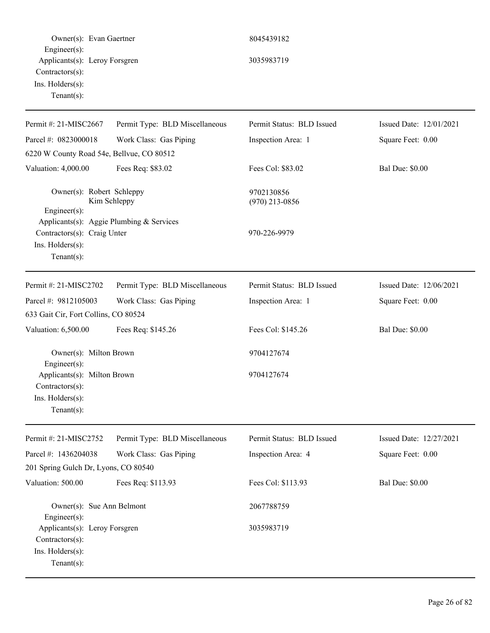| Owner(s): Evan Gaertner                                                                                      |                                | 8045439182                     |                         |
|--------------------------------------------------------------------------------------------------------------|--------------------------------|--------------------------------|-------------------------|
| $Engineering(s)$ :<br>Applicants(s): Leroy Forsgren<br>Contractors(s):<br>Ins. Holders(s):<br>Tenant $(s)$ : |                                | 3035983719                     |                         |
| Permit #: 21-MISC2667                                                                                        | Permit Type: BLD Miscellaneous | Permit Status: BLD Issued      | Issued Date: 12/01/2021 |
| Parcel #: 0823000018<br>6220 W County Road 54e, Bellvue, CO 80512                                            | Work Class: Gas Piping         | Inspection Area: 1             | Square Feet: 0.00       |
| Valuation: 4,000.00                                                                                          | Fees Req: \$83.02              | Fees Col: \$83.02              | <b>Bal Due: \$0.00</b>  |
| Owner(s): Robert Schleppy<br>Engineer $(s)$ :                                                                | Kim Schleppy                   | 9702130856<br>$(970)$ 213-0856 |                         |
| Applicants(s): Aggie Plumbing & Services<br>Contractors(s): Craig Unter<br>Ins. Holders(s):<br>$Tenant(s)$ : |                                | 970-226-9979                   |                         |
| Permit #: 21-MISC2702                                                                                        | Permit Type: BLD Miscellaneous | Permit Status: BLD Issued      | Issued Date: 12/06/2021 |
| Parcel #: 9812105003                                                                                         | Work Class: Gas Piping         | Inspection Area: 1             | Square Feet: 0.00       |
| 633 Gait Cir, Fort Collins, CO 80524                                                                         |                                |                                |                         |
| Valuation: 6,500.00                                                                                          | Fees Req: \$145.26             | Fees Col: \$145.26             | <b>Bal Due: \$0.00</b>  |
| Owner(s): Milton Brown<br>$Engineering(s)$ :                                                                 |                                | 9704127674                     |                         |
| Applicants(s): Milton Brown<br>$Contractors(s)$ :<br>Ins. Holders(s):<br>Tenant $(s)$ :                      |                                | 9704127674                     |                         |
| Permit #: 21-MISC2752                                                                                        | Permit Type: BLD Miscellaneous | Permit Status: BLD Issued      | Issued Date: 12/27/2021 |
| Parcel #: 1436204038                                                                                         | Work Class: Gas Piping         | Inspection Area: 4             | Square Feet: 0.00       |
| 201 Spring Gulch Dr, Lyons, CO 80540                                                                         |                                |                                |                         |
| Valuation: 500.00                                                                                            | Fees Req: \$113.93             | Fees Col: \$113.93             | <b>Bal Due: \$0.00</b>  |
| Owner(s): Sue Ann Belmont<br>Engineer $(s)$ :                                                                |                                | 2067788759                     |                         |
| Applicants(s): Leroy Forsgren<br>Contractors(s):<br>Ins. Holders(s):<br>Tenant $(s)$ :                       |                                | 3035983719                     |                         |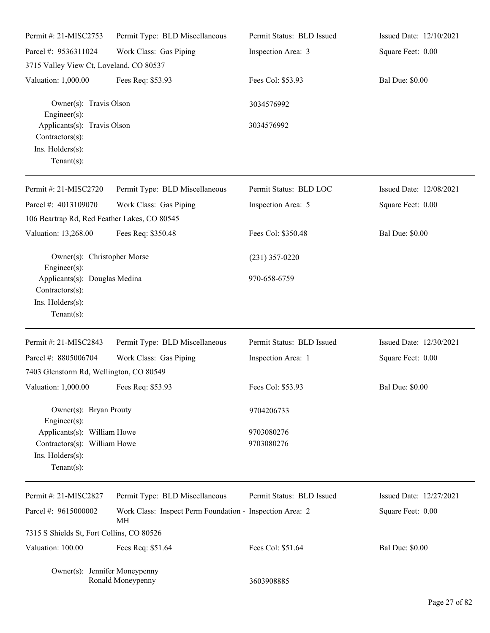| Permit #: 21-MISC2753                                                                            | Permit Type: BLD Miscellaneous                                 | Permit Status: BLD Issued | Issued Date: 12/10/2021 |
|--------------------------------------------------------------------------------------------------|----------------------------------------------------------------|---------------------------|-------------------------|
| Parcel #: 9536311024                                                                             | Work Class: Gas Piping                                         | Inspection Area: 3        | Square Feet: 0.00       |
| 3715 Valley View Ct, Loveland, CO 80537                                                          |                                                                |                           |                         |
| Valuation: 1,000.00                                                                              | Fees Req: \$53.93                                              | Fees Col: \$53.93         | <b>Bal Due: \$0.00</b>  |
| Owner(s): Travis Olson<br>Engineer $(s)$ :                                                       |                                                                | 3034576992                |                         |
| Applicants(s): Travis Olson<br>Contractors(s):<br>Ins. Holders(s):<br>Tenant $(s)$ :             |                                                                | 3034576992                |                         |
| Permit #: 21-MISC2720                                                                            | Permit Type: BLD Miscellaneous                                 | Permit Status: BLD LOC    | Issued Date: 12/08/2021 |
| Parcel #: 4013109070                                                                             | Work Class: Gas Piping                                         | Inspection Area: 5        | Square Feet: 0.00       |
| 106 Beartrap Rd, Red Feather Lakes, CO 80545                                                     |                                                                |                           |                         |
| Valuation: 13,268.00                                                                             | Fees Req: \$350.48                                             | Fees Col: \$350.48        | <b>Bal Due: \$0.00</b>  |
| Owner(s): Christopher Morse<br>Engineer(s):                                                      |                                                                | $(231)$ 357-0220          |                         |
| Applicants(s): Douglas Medina<br>Contractors(s):<br>Ins. Holders(s):<br>Tenant $(s)$ :           |                                                                | 970-658-6759              |                         |
| Permit #: 21-MISC2843                                                                            | Permit Type: BLD Miscellaneous                                 | Permit Status: BLD Issued | Issued Date: 12/30/2021 |
| Parcel #: 8805006704                                                                             | Work Class: Gas Piping                                         | Inspection Area: 1        | Square Feet: 0.00       |
| 7403 Glenstorm Rd, Wellington, CO 80549                                                          |                                                                |                           |                         |
| Valuation: 1,000.00 Fees Req: \$53.93                                                            |                                                                | Fees Col: \$53.93         | <b>Bal Due: \$0.00</b>  |
| Owner(s): Bryan Prouty<br>$Engineering(s)$ :                                                     |                                                                | 9704206733                |                         |
| Applicants(s): William Howe<br>Contractors(s): William Howe<br>Ins. Holders(s):<br>$Tenant(s)$ : |                                                                | 9703080276<br>9703080276  |                         |
| Permit #: 21-MISC2827                                                                            | Permit Type: BLD Miscellaneous                                 | Permit Status: BLD Issued | Issued Date: 12/27/2021 |
| Parcel #: 9615000002                                                                             | Work Class: Inspect Perm Foundation - Inspection Area: 2<br>МH |                           | Square Feet: 0.00       |
| 7315 S Shields St, Fort Collins, CO 80526                                                        |                                                                |                           |                         |
| Valuation: 100.00                                                                                | Fees Req: \$51.64                                              | Fees Col: \$51.64         | <b>Bal Due: \$0.00</b>  |
| Owner(s): Jennifer Moneypenny                                                                    | Ronald Moneypenny                                              | 3603908885                |                         |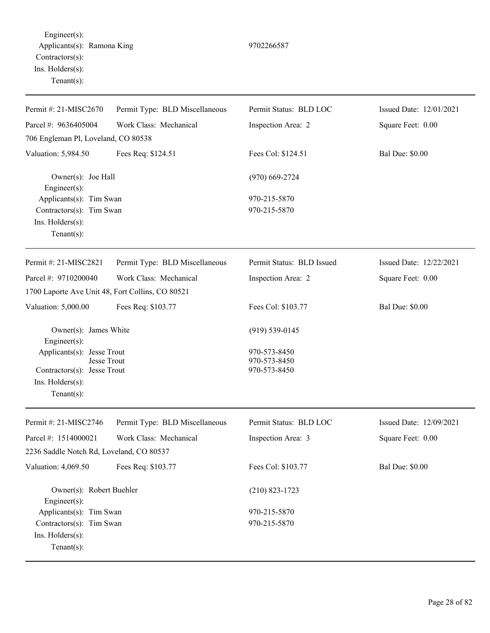Engineer(s): Applicants(s): Ramona King 9702266587 Contractors(s): Ins. Holders(s): Tenant(s):

Permit #: 21-MISC2670 Parcel #: 9636405004 Permit Type: BLD Miscellaneous Work Class: Mechanical Permit Status: BLD LOC Inspection Area: 2 Issued Date: 12/01/2021 Square Feet: 0.00 706 Engleman Pl, Loveland, CO 80538 Valuation: 5,984.50 Fees Req: \$124.51 Fees Col: \$124.51 Bal Due: \$0.00 Owner(s): Joe Hall (970) 669-2724 Engineer(s): Applicants(s): Tim Swan 970-215-5870  $Contractors(s):$  Tim Swan 970-215-5870 Ins. Holders(s): Tenant(s): Permit #: 21-MISC2821 Parcel #: 9710200040 Permit Type: BLD Miscellaneous Work Class: Mechanical Permit Status: BLD Issued Inspection Area: 2 Issued Date: 12/22/2021 Square Feet: 0.00 1700 Laporte Ave Unit 48, Fort Collins, CO 80521 Valuation: 5,000.00 Fees Req: \$103.77 Fees Col: \$103.77 Bal Due: \$0.00 Owner(s): James White (919) 539-0145 Engineer(s): Applicants(s): Jesse Trout 970-573-8450 Jesse Trout 970-573-8450 Contractors(s): Jesse Trout 970-573-8450 Ins. Holders(s): Tenant(s): Permit #: 21-MISC2746 Parcel #: 1514000021 Permit Type: BLD Miscellaneous Work Class: Mechanical Permit Status: BLD LOC Inspection Area: 3 Issued Date: 12/09/2021 Square Feet: 0.00 2236 Saddle Notch Rd, Loveland, CO 80537 Valuation: 4,069.50 Fees Req: \$103.77 Fees Col: \$103.77 Bal Due: \$0.00 Owner(s): Robert Buehler (210) 823-1723 Engineer(s): Applicants(s): Tim Swan  $970-215-5870$  $Contractors(s):$  Tim Swan 970-215-5870

Ins. Holders(s):

Tenant(s):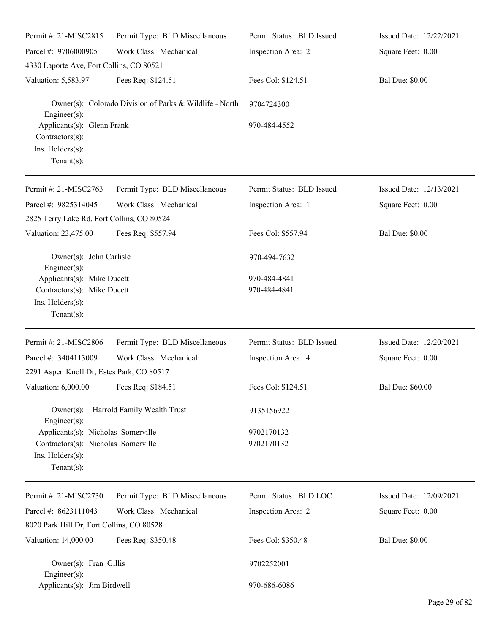| Permit #: 21-MISC2815                                              | Permit Type: BLD Miscellaneous                          | Permit Status: BLD Issued | Issued Date: 12/22/2021 |  |
|--------------------------------------------------------------------|---------------------------------------------------------|---------------------------|-------------------------|--|
| Parcel #: 9706000905                                               | Work Class: Mechanical                                  | Inspection Area: 2        | Square Feet: 0.00       |  |
| 4330 Laporte Ave, Fort Collins, CO 80521                           |                                                         |                           |                         |  |
| Valuation: 5,583.97                                                | Fees Req: \$124.51                                      | Fees Col: \$124.51        | <b>Bal Due: \$0.00</b>  |  |
| Engineer(s):                                                       | Owner(s): Colorado Division of Parks & Wildlife - North | 9704724300                |                         |  |
| Applicants(s): Glenn Frank<br>Contractors(s):                      |                                                         | 970-484-4552              |                         |  |
| Ins. Holders(s):<br>$Tenant(s)$ :                                  |                                                         |                           |                         |  |
| Permit #: 21-MISC2763                                              | Permit Type: BLD Miscellaneous                          | Permit Status: BLD Issued | Issued Date: 12/13/2021 |  |
| Parcel #: 9825314045<br>2825 Terry Lake Rd, Fort Collins, CO 80524 | Work Class: Mechanical                                  | Inspection Area: 1        | Square Feet: 0.00       |  |
| Valuation: 23,475.00                                               | Fees Req: \$557.94                                      | Fees Col: \$557.94        | <b>Bal Due: \$0.00</b>  |  |
| Owner(s): John Carlisle<br>Engineer(s):                            |                                                         | 970-494-7632              |                         |  |
| Applicants(s): Mike Ducett                                         |                                                         | 970-484-4841              |                         |  |
| Contractors(s): Mike Ducett                                        |                                                         | 970-484-4841              |                         |  |
| Ins. Holders(s):<br>$Tenant(s)$ :                                  |                                                         |                           |                         |  |
| Permit #: 21-MISC2806                                              | Permit Type: BLD Miscellaneous                          | Permit Status: BLD Issued | Issued Date: 12/20/2021 |  |
| Parcel #: 3404113009                                               | Work Class: Mechanical                                  | Inspection Area: 4        | Square Feet: 0.00       |  |
| 2291 Aspen Knoll Dr, Estes Park, CO 80517                          |                                                         |                           |                         |  |
| Valuation: 6,000.00                                                | Fees Req: \$184.51                                      | Fees Col: \$124.51        | Bal Due: \$60.00        |  |
| $Owner(s)$ :<br>Engineer(s):                                       | Harrold Family Wealth Trust                             | 9135156922                |                         |  |
| Applicants(s): Nicholas Somerville                                 |                                                         | 9702170132                |                         |  |
| Contractors(s): Nicholas Somerville                                |                                                         | 9702170132                |                         |  |
| Ins. Holders(s):<br>Tenant $(s)$ :                                 |                                                         |                           |                         |  |
| Permit #: 21-MISC2730                                              | Permit Type: BLD Miscellaneous                          | Permit Status: BLD LOC    | Issued Date: 12/09/2021 |  |
| Parcel #: 8623111043                                               | Work Class: Mechanical                                  | Inspection Area: 2        | Square Feet: 0.00       |  |
| 8020 Park Hill Dr, Fort Collins, CO 80528                          |                                                         |                           |                         |  |
| Valuation: 14,000.00                                               | Fees Req: \$350.48                                      | Fees Col: \$350.48        | <b>Bal Due: \$0.00</b>  |  |
| Owner(s): Fran Gillis<br>Engineer(s):                              |                                                         | 9702252001                |                         |  |
| Applicants(s): Jim Birdwell                                        |                                                         | 970-686-6086              |                         |  |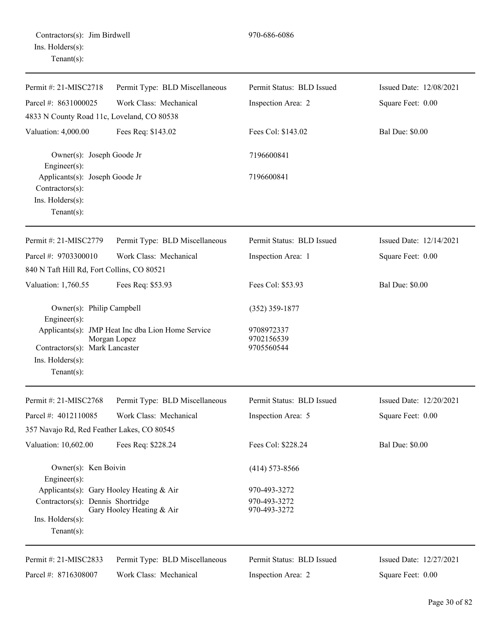| Permit #: 21-MISC2718                                              | Permit Type: BLD Miscellaneous                                    | Permit Status: BLD Issued              | Issued Date: 12/08/2021 |
|--------------------------------------------------------------------|-------------------------------------------------------------------|----------------------------------------|-------------------------|
| Parcel #: 8631000025                                               | Work Class: Mechanical                                            | Inspection Area: 2                     | Square Feet: 0.00       |
| 4833 N County Road 11c, Loveland, CO 80538                         |                                                                   |                                        |                         |
| Valuation: 4,000.00                                                | Fees Req: \$143.02                                                | Fees Col: \$143.02                     | <b>Bal Due: \$0.00</b>  |
| Owner(s): Joseph Goode Jr<br>Engineer(s):                          |                                                                   | 7196600841                             |                         |
| Applicants(s): Joseph Goode Jr<br>$Contractors(s)$ :               |                                                                   | 7196600841                             |                         |
| Ins. Holders(s):<br>Tenant $(s)$ :                                 |                                                                   |                                        |                         |
| Permit #: 21-MISC2779                                              | Permit Type: BLD Miscellaneous                                    | Permit Status: BLD Issued              | Issued Date: 12/14/2021 |
| Parcel #: 9703300010<br>840 N Taft Hill Rd, Fort Collins, CO 80521 | Work Class: Mechanical                                            | Inspection Area: 1                     | Square Feet: 0.00       |
| Valuation: 1,760.55                                                | Fees Req: \$53.93                                                 | Fees Col: \$53.93                      | <b>Bal Due: \$0.00</b>  |
| Owner(s): Philip Campbell<br>Engineer(s):                          |                                                                   | $(352)$ 359-1877                       |                         |
| Contractors(s): Mark Lancaster<br>Ins. $H$ olders $(s)$ :          | Applicants(s): JMP Heat Inc dba Lion Home Service<br>Morgan Lopez | 9708972337<br>9702156539<br>9705560544 |                         |
| Tenant $(s)$ :                                                     |                                                                   |                                        |                         |
| Permit #: 21-MISC2768                                              | Permit Type: BLD Miscellaneous                                    | Permit Status: BLD Issued              | Issued Date: 12/20/2021 |
| Parcel #: 4012110085                                               | Work Class: Mechanical                                            | Inspection Area: 5                     | Square Feet: 0.00       |
| 357 Navajo Rd, Red Feather Lakes, CO 80545                         |                                                                   |                                        |                         |
| Valuation: 10,602.00                                               | Fees Req: \$228.24                                                | Fees Col: \$228.24                     | <b>Bal Due: \$0.00</b>  |
| Owner(s): Ken Boivin<br>Engineer(s):                               |                                                                   | $(414)$ 573-8566                       |                         |
| Applicants(s): Gary Hooley Heating & Air                           |                                                                   | 970-493-3272                           |                         |
| Contractors(s): Dennis Shortridge<br>Ins. $H$ olders $(s)$ :       | Gary Hooley Heating & Air                                         | 970-493-3272<br>970-493-3272           |                         |
| Tenant $(s)$ :                                                     |                                                                   |                                        |                         |
| Permit #: 21-MISC2833                                              | Permit Type: BLD Miscellaneous                                    | Permit Status: BLD Issued              | Issued Date: 12/27/2021 |
| Parcel #: 8716308007                                               | Work Class: Mechanical                                            | Inspection Area: 2                     | Square Feet: 0.00       |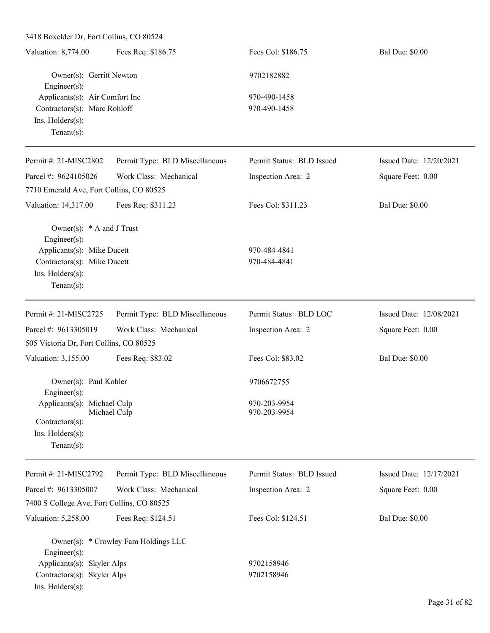3418 Boxelder Dr, Fort Collins, CO 80524

Tenant(s):

| Fees Req: \$186.75<br>Valuation: 8,774.00 | Fees Col: \$186.75 | <b>Bal Due: \$0.00</b> |
|-------------------------------------------|--------------------|------------------------|
| Owner(s): Gerritt Newton                  | 9702182882         |                        |
| $Engineering(s)$ :                        |                    |                        |
| Applicants(s): Air Comfort Inc            | 970-490-1458       |                        |
| Contractors(s): Marc Rohloff              | 970-490-1458       |                        |
| $Ins.$ Holders $(s)$ :                    |                    |                        |
| Tenant $(s)$ :                            |                    |                        |

| Permit #: $21-MISC2802$                  | Permit Type: BLD Miscellaneous | Permit Status: BLD Issued | Issued Date: 12/20/2021 |
|------------------------------------------|--------------------------------|---------------------------|-------------------------|
| Parcel #: $9624105026$                   | Work Class: Mechanical         | Inspection Area: 2        | Square Feet: 0.00       |
| 7710 Emerald Ave, Fort Collins, CO 80525 |                                |                           |                         |
| Valuation: 14,317.00                     | Fees Req: \$311.23             | Fees Col: \$311.23        | <b>Bal Due: \$0.00</b>  |
| Owner(s): $*$ A and J Trust              |                                |                           |                         |
| $Engineering(s)$ :                       |                                |                           |                         |
| Applicants(s): Mike Ducett               |                                | 970-484-4841              |                         |
| Contractors(s): Mike Ducett              |                                | 970-484-4841              |                         |
| $Ins.$ Holders $(s)$ :                   |                                |                           |                         |
| Tenant $(s)$ :                           |                                |                           |                         |
| Permit #: 21-MISC2725                    | Permit Type: BLD Miscellaneous | Permit Status: BLD LOC    | Issued Date: 12/08/2021 |
| Parcel #: $9613305019$                   | Work Class: Mechanical         | Inspection Area: 2        | Square Feet: 0.00       |

| 505 Victoria Dr, Fort Collins, CO 80525         |                   |                        |
|-------------------------------------------------|-------------------|------------------------|
| Fees Req: \$83.02<br>Valuation: 3,155.00        | Fees Col: \$83.02 | <b>Bal Due: \$0.00</b> |
| Owner(s): Paul Kohler                           | 9706672755        |                        |
| Engineer $(s)$ :<br>Applicants(s): Michael Culp | 970-203-9954      |                        |
| Michael Culp<br>$Contractors(s)$ :              | 970-203-9954      |                        |
| $Ins.$ Holders $(s)$ :                          |                   |                        |

| Permit #: 21-MISC2792                      | Permit Type: BLD Miscellaneous       | Permit Status: BLD Issued | Issued Date: 12/17/2021 |
|--------------------------------------------|--------------------------------------|---------------------------|-------------------------|
| Parcel #: 9613305007                       | Work Class: Mechanical               | Inspection Area: 2        | Square Feet: 0.00       |
| 7400 S College Ave, Fort Collins, CO 80525 |                                      |                           |                         |
| Valuation: 5,258.00                        | Fees Req: \$124.51                   | Fees Col: \$124.51        | <b>Bal Due: \$0.00</b>  |
|                                            | Owner(s): * Crowley Fam Holdings LLC |                           |                         |
| $Engineering(s)$ :                         |                                      |                           |                         |
| Applicants(s): Skyler Alps                 |                                      | 9702158946                |                         |
| Contractors(s): Skyler Alps                |                                      | 9702158946                |                         |
| $Ins.$ Holders $(s)$ :                     |                                      |                           |                         |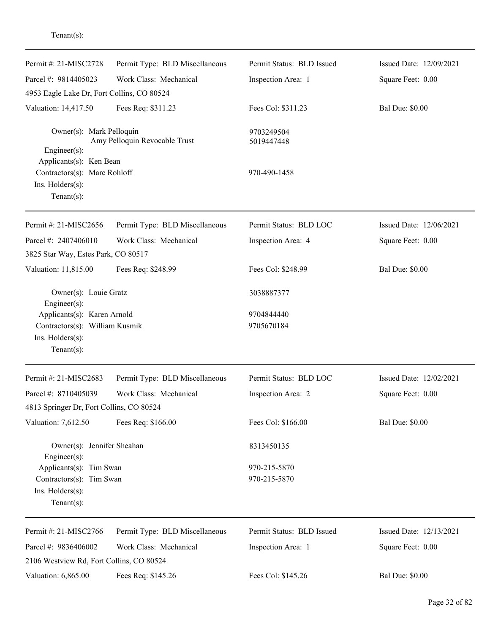| Permit #: 21-MISC2728                                                                         | Permit Type: BLD Miscellaneous | Permit Status: BLD Issued    | Issued Date: 12/09/2021 |
|-----------------------------------------------------------------------------------------------|--------------------------------|------------------------------|-------------------------|
| Parcel #: 9814405023                                                                          | Work Class: Mechanical         | Inspection Area: 1           | Square Feet: 0.00       |
| 4953 Eagle Lake Dr, Fort Collins, CO 80524                                                    |                                |                              |                         |
| Valuation: 14,417.50                                                                          | Fees Req: \$311.23             | Fees Col: \$311.23           | <b>Bal Due: \$0.00</b>  |
| Owner(s): Mark Pelloquin<br>Amy Pelloquin Revocable Trust<br>$Engineering(s)$ :               |                                | 9703249504<br>5019447448     |                         |
| Applicants(s): Ken Bean<br>Contractors(s): Marc Rohloff<br>Ins. Holders(s):<br>Tenant $(s)$ : |                                | 970-490-1458                 |                         |
| Permit #: 21-MISC2656                                                                         | Permit Type: BLD Miscellaneous | Permit Status: BLD LOC       | Issued Date: 12/06/2021 |
| Parcel #: 2407406010<br>3825 Star Way, Estes Park, CO 80517                                   | Work Class: Mechanical         | Inspection Area: 4           | Square Feet: 0.00       |
| Valuation: 11,815.00                                                                          | Fees Req: \$248.99             | Fees Col: \$248.99           | <b>Bal Due: \$0.00</b>  |
| Owner(s): Louie Gratz<br>Engineer $(s)$ :                                                     |                                | 3038887377                   |                         |
| Applicants(s): Karen Arnold                                                                   |                                | 9704844440                   |                         |
| Contractors(s): William Kusmik                                                                |                                | 9705670184                   |                         |
| Ins. Holders(s):<br>Tenant $(s)$ :                                                            |                                |                              |                         |
| Permit #: 21-MISC2683                                                                         | Permit Type: BLD Miscellaneous | Permit Status: BLD LOC       | Issued Date: 12/02/2021 |
| Parcel #: 8710405039                                                                          | Work Class: Mechanical         | Inspection Area: 2           | Square Feet: 0.00       |
| 4813 Springer Dr, Fort Collins, CO 80524                                                      |                                |                              |                         |
| Valuation: 7,612.50                                                                           | Fees Req: \$166.00             | Fees Col: \$166.00           | <b>Bal Due: \$0.00</b>  |
| Owner(s): Jennifer Sheahan<br>Engineer $(s)$ :                                                |                                | 8313450135                   |                         |
| Applicants(s): Tim Swan<br>Contractors(s): Tim Swan<br>Ins. Holders(s):<br>Tenant $(s)$ :     |                                | 970-215-5870<br>970-215-5870 |                         |
| Permit #: 21-MISC2766                                                                         | Permit Type: BLD Miscellaneous | Permit Status: BLD Issued    | Issued Date: 12/13/2021 |
| Parcel #: 9836406002<br>2106 Westview Rd, Fort Collins, CO 80524                              | Work Class: Mechanical         | Inspection Area: 1           | Square Feet: 0.00       |
| Valuation: 6,865.00                                                                           | Fees Req: \$145.26             | Fees Col: \$145.26           | <b>Bal Due: \$0.00</b>  |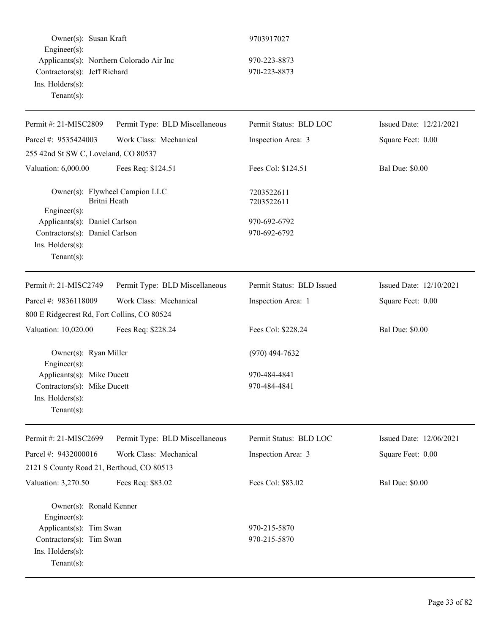| Owner(s): Susan Kraft<br>Engineer(s):<br>Applicants(s): Northern Colorado Air Inc |                                | 9703917027                   |                         |
|-----------------------------------------------------------------------------------|--------------------------------|------------------------------|-------------------------|
|                                                                                   |                                | 970-223-8873<br>970-223-8873 |                         |
| Contractors(s): Jeff Richard<br>Ins. Holders(s):                                  |                                |                              |                         |
| Tenant $(s)$ :                                                                    |                                |                              |                         |
|                                                                                   |                                |                              |                         |
| Permit #: 21-MISC2809                                                             | Permit Type: BLD Miscellaneous | Permit Status: BLD LOC       | Issued Date: 12/21/2021 |
| Parcel #: 9535424003                                                              | Work Class: Mechanical         | Inspection Area: 3           | Square Feet: 0.00       |
| 255 42nd St SW C, Loveland, CO 80537                                              |                                |                              |                         |
| Valuation: 6,000.00                                                               | Fees Req: \$124.51             | Fees Col: \$124.51           | <b>Bal Due: \$0.00</b>  |
| Owner(s): Flywheel Campion LLC<br>Britni Heath                                    |                                | 7203522611<br>7203522611     |                         |
| Engineer(s):<br>Applicants(s): Daniel Carlson                                     |                                | 970-692-6792                 |                         |
| Contractors(s): Daniel Carlson                                                    |                                | 970-692-6792                 |                         |
| Ins. Holders(s):                                                                  |                                |                              |                         |
| Tenant $(s)$ :                                                                    |                                |                              |                         |
| Permit #: 21-MISC2749                                                             | Permit Type: BLD Miscellaneous | Permit Status: BLD Issued    | Issued Date: 12/10/2021 |
| Parcel #: 9836118009                                                              | Work Class: Mechanical         | Inspection Area: 1           | Square Feet: 0.00       |
|                                                                                   |                                |                              |                         |
| 800 E Ridgecrest Rd, Fort Collins, CO 80524                                       |                                |                              |                         |
| Valuation: 10,020.00                                                              | Fees Req: \$228.24             | Fees Col: \$228.24           | <b>Bal Due: \$0.00</b>  |
| Owner(s): Ryan Miller                                                             |                                | $(970)$ 494-7632             |                         |
| $Enginer(s)$ :                                                                    |                                |                              |                         |
| Applicants(s): Mike Ducett                                                        |                                | 970-484-4841                 |                         |
| Contractors(s): Mike Ducett                                                       |                                | 970-484-4841                 |                         |
| Ins. Holders(s):                                                                  |                                |                              |                         |
| Tenant $(s)$ :                                                                    |                                |                              |                         |
| Permit #: 21-MISC2699                                                             | Permit Type: BLD Miscellaneous | Permit Status: BLD LOC       | Issued Date: 12/06/2021 |
| Parcel #: 9432000016                                                              | Work Class: Mechanical         | Inspection Area: 3           | Square Feet: 0.00       |
| 2121 S County Road 21, Berthoud, CO 80513                                         |                                |                              |                         |
| Valuation: 3,270.50                                                               | Fees Req: \$83.02              | Fees Col: \$83.02            | <b>Bal Due: \$0.00</b>  |
| Owner(s): Ronald Kenner<br>Engineer(s):                                           |                                |                              |                         |
| Applicants(s): Tim Swan                                                           |                                | 970-215-5870                 |                         |
| Contractors(s): Tim Swan                                                          |                                | 970-215-5870                 |                         |
| Ins. Holders(s):                                                                  |                                |                              |                         |
| $Tenant(s)$ :                                                                     |                                |                              |                         |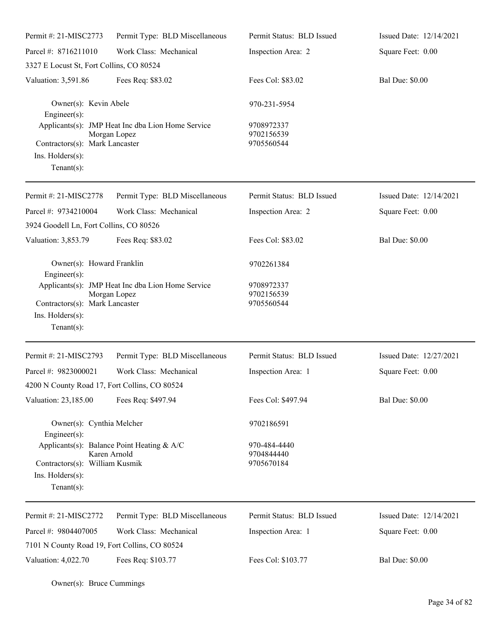| Permit #: 21-MISC2773                                                                                                                                                              | Permit Type: BLD Miscellaneous                                    | Permit Status: BLD Issued                | Issued Date: 12/14/2021 |
|------------------------------------------------------------------------------------------------------------------------------------------------------------------------------------|-------------------------------------------------------------------|------------------------------------------|-------------------------|
| Parcel #: 8716211010                                                                                                                                                               | Work Class: Mechanical                                            | Inspection Area: 2                       | Square Feet: 0.00       |
| 3327 E Locust St, Fort Collins, CO 80524                                                                                                                                           |                                                                   |                                          |                         |
| Valuation: 3,591.86                                                                                                                                                                | Fees Req: \$83.02                                                 | Fees Col: \$83.02                        | <b>Bal Due: \$0.00</b>  |
| Owner(s): Kevin Abele<br>Engineer(s):<br>Applicants(s): JMP Heat Inc dba Lion Home Service<br>Morgan Lopez<br>Contractors(s): Mark Lancaster<br>Ins. Holders(s):<br>Tenant $(s)$ : |                                                                   | 970-231-5954                             |                         |
|                                                                                                                                                                                    |                                                                   | 9708972337<br>9702156539<br>9705560544   |                         |
| Permit #: 21-MISC2778                                                                                                                                                              | Permit Type: BLD Miscellaneous                                    | Permit Status: BLD Issued                | Issued Date: 12/14/2021 |
| Parcel #: 9734210004                                                                                                                                                               | Work Class: Mechanical                                            | Inspection Area: 2                       | Square Feet: 0.00       |
| 3924 Goodell Ln, Fort Collins, CO 80526                                                                                                                                            |                                                                   |                                          |                         |
| Valuation: 3,853.79                                                                                                                                                                | Fees Req: \$83.02                                                 | Fees Col: \$83.02                        | <b>Bal Due: \$0.00</b>  |
| Owner(s): Howard Franklin<br>Engineer(s):                                                                                                                                          |                                                                   | 9702261384                               |                         |
| Contractors(s): Mark Lancaster<br>Ins. Holders(s):<br>Tenant $(s)$ :                                                                                                               | Applicants(s): JMP Heat Inc dba Lion Home Service<br>Morgan Lopez | 9708972337<br>9702156539<br>9705560544   |                         |
| Permit #: 21-MISC2793                                                                                                                                                              | Permit Type: BLD Miscellaneous                                    | Permit Status: BLD Issued                | Issued Date: 12/27/2021 |
| Parcel #: 9823000021<br>4200 N County Road 17, Fort Collins, CO 80524                                                                                                              | Work Class: Mechanical                                            | Inspection Area: 1                       | Square Feet: 0.00       |
| Valuation: 23,185.00                                                                                                                                                               | Fees Req: \$497.94                                                | Fees Col: \$497.94                       | <b>Bal Due: \$0.00</b>  |
| Owner(s): Cynthia Melcher<br>Engineer(s):                                                                                                                                          |                                                                   | 9702186591                               |                         |
| Applicants(s): Balance Point Heating & A/C<br>Karen Arnold<br>Contractors(s): William Kusmik<br>Ins. Holders(s):<br>Tenant $(s)$ :                                                 |                                                                   | 970-484-4440<br>9704844440<br>9705670184 |                         |
| Permit #: 21-MISC2772                                                                                                                                                              | Permit Type: BLD Miscellaneous                                    | Permit Status: BLD Issued                | Issued Date: 12/14/2021 |
| Parcel #: 9804407005                                                                                                                                                               | Work Class: Mechanical                                            | Inspection Area: 1                       | Square Feet: 0.00       |
| 7101 N County Road 19, Fort Collins, CO 80524                                                                                                                                      |                                                                   |                                          |                         |
| Valuation: 4,022.70                                                                                                                                                                | Fees Req: \$103.77                                                | Fees Col: \$103.77                       | <b>Bal Due: \$0.00</b>  |

Owner(s): Bruce Cummings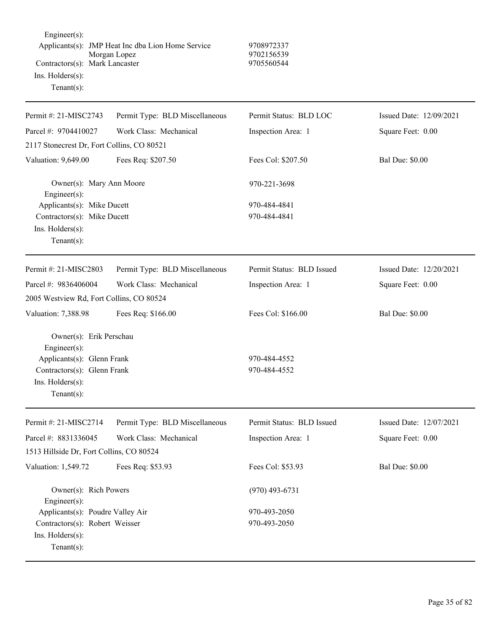| Engineer(s):<br>Contractors(s): Mark Lancaster<br>Ins. Holders(s):<br>$Tenant(s)$ :                                                    | Applicants(s): JMP Heat Inc dba Lion Home Service<br>Morgan Lopez | 9708972337<br>9702156539<br>9705560544 |                         |
|----------------------------------------------------------------------------------------------------------------------------------------|-------------------------------------------------------------------|----------------------------------------|-------------------------|
| Permit #: 21-MISC2743                                                                                                                  | Permit Type: BLD Miscellaneous                                    | Permit Status: BLD LOC                 | Issued Date: 12/09/2021 |
| Parcel #: 9704410027                                                                                                                   | Work Class: Mechanical                                            | Inspection Area: 1                     | Square Feet: 0.00       |
| 2117 Stonecrest Dr, Fort Collins, CO 80521                                                                                             |                                                                   |                                        |                         |
| Valuation: 9,649.00                                                                                                                    | Fees Req: \$207.50                                                | Fees Col: \$207.50                     | <b>Bal Due: \$0.00</b>  |
| Owner(s): Mary Ann Moore<br>Engineer $(s)$ :                                                                                           |                                                                   | 970-221-3698                           |                         |
| Applicants(s): Mike Ducett<br>Contractors(s): Mike Ducett<br>Ins. Holders(s):<br>$Tenant(s)$ :                                         |                                                                   | 970-484-4841<br>970-484-4841           |                         |
| Permit #: 21-MISC2803                                                                                                                  | Permit Type: BLD Miscellaneous                                    | Permit Status: BLD Issued              | Issued Date: 12/20/2021 |
| Parcel #: 9836406004                                                                                                                   | Work Class: Mechanical                                            | Inspection Area: 1                     | Square Feet: 0.00       |
| 2005 Westview Rd, Fort Collins, CO 80524                                                                                               |                                                                   |                                        |                         |
| Valuation: 7,388.98                                                                                                                    | Fees Req: \$166.00                                                | Fees Col: \$166.00                     | <b>Bal Due: \$0.00</b>  |
| Owner(s): Erik Perschau<br>Engineer(s):<br>Applicants(s): Glenn Frank<br>Contractors(s): Glenn Frank<br>Ins. Holders(s):<br>Tenant(s): |                                                                   | 970-484-4552<br>970-484-4552           |                         |
| Permit #: 21-MISC2714                                                                                                                  | Permit Type: BLD Miscellaneous                                    | Permit Status: BLD Issued              | Issued Date: 12/07/2021 |
| Parcel #: 8831336045                                                                                                                   | Work Class: Mechanical                                            | Inspection Area: 1                     | Square Feet: 0.00       |
| 1513 Hillside Dr, Fort Collins, CO 80524                                                                                               |                                                                   |                                        |                         |
| Valuation: 1,549.72                                                                                                                    | Fees Req: \$53.93                                                 | Fees Col: \$53.93                      | <b>Bal Due: \$0.00</b>  |
| Owner(s): Rich Powers<br>Engineer(s):                                                                                                  |                                                                   | $(970)$ 493-6731                       |                         |
| Applicants(s): Poudre Valley Air<br>Contractors(s): Robert Weisser<br>Ins. Holders(s):<br>$Tenant(s)$ :                                |                                                                   | 970-493-2050<br>970-493-2050           |                         |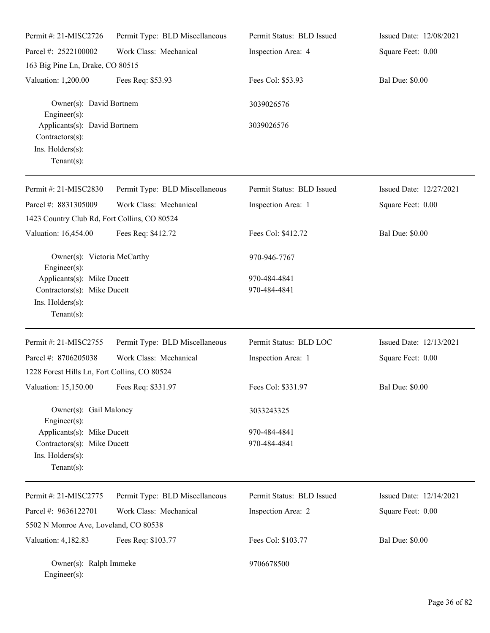| Permit #: 21-MISC2726                                                                                               | Permit Type: BLD Miscellaneous | Permit Status: BLD Issued    | Issued Date: 12/08/2021 |
|---------------------------------------------------------------------------------------------------------------------|--------------------------------|------------------------------|-------------------------|
| Parcel #: 2522100002                                                                                                | Work Class: Mechanical         | Inspection Area: 4           | Square Feet: 0.00       |
| 163 Big Pine Ln, Drake, CO 80515                                                                                    |                                |                              |                         |
| Valuation: 1,200.00                                                                                                 | Fees Req: \$53.93              | Fees Col: \$53.93            | <b>Bal Due: \$0.00</b>  |
| Owner(s): David Bortnem<br>$Engineering(s)$ :<br>Applicants(s): David Bortnem<br>Contractors(s):                    |                                | 3039026576                   |                         |
|                                                                                                                     |                                | 3039026576                   |                         |
| Ins. Holders(s):<br>Tenant $(s)$ :                                                                                  |                                |                              |                         |
| Permit #: 21-MISC2830                                                                                               | Permit Type: BLD Miscellaneous | Permit Status: BLD Issued    | Issued Date: 12/27/2021 |
| Parcel #: 8831305009                                                                                                | Work Class: Mechanical         | Inspection Area: 1           | Square Feet: 0.00       |
| 1423 Country Club Rd, Fort Collins, CO 80524                                                                        |                                |                              |                         |
| Valuation: 16,454.00                                                                                                | Fees Req: \$412.72             | Fees Col: \$412.72           | <b>Bal Due: \$0.00</b>  |
| Owner(s): Victoria McCarthy<br>$Engineering(s)$ :                                                                   |                                | 970-946-7767                 |                         |
| Applicants(s): Mike Ducett                                                                                          |                                | 970-484-4841                 |                         |
| Contractors(s): Mike Ducett<br>Ins. Holders(s):<br>Tenant $(s)$ :                                                   |                                | 970-484-4841                 |                         |
| Permit #: 21-MISC2755                                                                                               | Permit Type: BLD Miscellaneous | Permit Status: BLD LOC       | Issued Date: 12/13/2021 |
| Parcel #: 8706205038                                                                                                | Work Class: Mechanical         | Inspection Area: 1           | Square Feet: 0.00       |
| 1228 Forest Hills Ln, Fort Collins, CO 80524                                                                        |                                |                              |                         |
| Valuation: 15,150.00 Fees Req: \$331.97                                                                             |                                | Fees Col: \$331.97           | <b>Bal Due: \$0.00</b>  |
| Owner(s): Gail Maloney                                                                                              |                                | 3033243325                   |                         |
| Engineer $(s)$ :<br>Applicants(s): Mike Ducett<br>Contractors(s): Mike Ducett<br>Ins. Holders(s):<br>Tenant $(s)$ : |                                | 970-484-4841<br>970-484-4841 |                         |
| Permit #: 21-MISC2775                                                                                               | Permit Type: BLD Miscellaneous | Permit Status: BLD Issued    | Issued Date: 12/14/2021 |
| Parcel #: 9636122701                                                                                                | Work Class: Mechanical         | Inspection Area: 2           | Square Feet: 0.00       |
| 5502 N Monroe Ave, Loveland, CO 80538                                                                               |                                |                              |                         |
| Valuation: 4,182.83                                                                                                 | Fees Req: \$103.77             | Fees Col: \$103.77           | <b>Bal Due: \$0.00</b>  |
| Owner(s): Ralph Immeke<br>Engineer(s):                                                                              |                                | 9706678500                   |                         |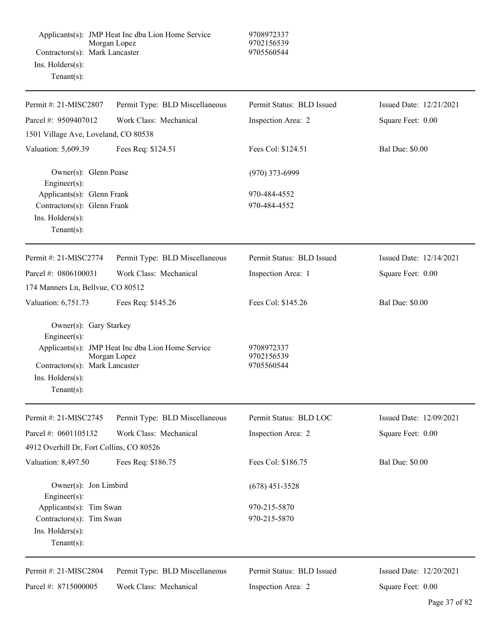| Contractors(s): Mark Lancaster<br>Ins. Holders(s):<br>Tenant $(s)$ :                                                 | Applicants(s): JMP Heat Inc dba Lion Home Service<br>Morgan Lopez | 9708972337<br>9702156539<br>9705560544 |                         |
|----------------------------------------------------------------------------------------------------------------------|-------------------------------------------------------------------|----------------------------------------|-------------------------|
| Permit #: 21-MISC2807                                                                                                | Permit Type: BLD Miscellaneous                                    | Permit Status: BLD Issued              | Issued Date: 12/21/2021 |
| Parcel #: 9509407012                                                                                                 | Work Class: Mechanical                                            | Inspection Area: 2                     | Square Feet: 0.00       |
| 1501 Village Ave, Loveland, CO 80538                                                                                 |                                                                   |                                        |                         |
| Valuation: 5,609.39                                                                                                  | Fees Req: \$124.51                                                | Fees Col: \$124.51                     | <b>Bal Due: \$0.00</b>  |
| Owner(s): Glenn Pease<br>Engineer(s):                                                                                |                                                                   | $(970)$ 373-6999                       |                         |
| Applicants(s): Glenn Frank                                                                                           |                                                                   | 970-484-4552                           |                         |
| Contractors(s): Glenn Frank                                                                                          |                                                                   | 970-484-4552                           |                         |
| Ins. Holders(s):<br>$Tenant(s)$ :                                                                                    |                                                                   |                                        |                         |
| Permit #: 21-MISC2774                                                                                                | Permit Type: BLD Miscellaneous                                    | Permit Status: BLD Issued              | Issued Date: 12/14/2021 |
| Parcel #: 0806100031                                                                                                 | Work Class: Mechanical                                            | Inspection Area: 1                     | Square Feet: 0.00       |
| 174 Manners Ln, Bellvue, CO 80512                                                                                    |                                                                   |                                        |                         |
| Valuation: 6,751.73                                                                                                  | Fees Req: \$145.26                                                | Fees Col: \$145.26                     | <b>Bal Due: \$0.00</b>  |
| Owner(s): Gary Starkey<br>Engineer $(s)$ :<br>Contractors(s): Mark Lancaster<br>$Ins.$ Holders $(s)$ :<br>Tenant(s): | Applicants(s): JMP Heat Inc dba Lion Home Service<br>Morgan Lopez | 9708972337<br>9702156539<br>9705560544 |                         |
| Permit #: 21-MISC2745                                                                                                | Permit Type: BLD Miscellaneous                                    | Permit Status: BLD LOC                 | Issued Date: 12/09/2021 |
| Parcel #: 0601105132                                                                                                 | Work Class: Mechanical                                            | Inspection Area: 2                     | Square Feet: 0.00       |
| 4912 Overhill Dr, Fort Collins, CO 80526                                                                             |                                                                   |                                        |                         |
| Valuation: 8,497.50                                                                                                  | Fees Req: \$186.75                                                | Fees Col: \$186.75                     | <b>Bal Due: \$0.00</b>  |
| Owner(s): Jon Limbird<br>Engineer(s):                                                                                |                                                                   | $(678)$ 451-3528                       |                         |
| Applicants(s): Tim Swan                                                                                              |                                                                   | 970-215-5870                           |                         |
| Contractors(s): Tim Swan<br>Ins. Holders(s):<br>Tenant $(s)$ :                                                       |                                                                   | 970-215-5870                           |                         |

Permit #: 21-MISC2804 Parcel #: 8715000005 Permit Type: BLD Miscellaneous Work Class: Mechanical

Permit Status: BLD Issued

Inspection Area: 2

Issued Date: 12/20/2021 Square Feet: 0.00

L.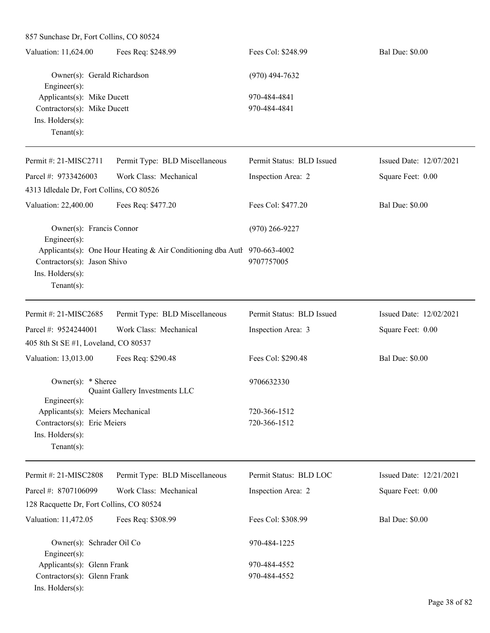857 Sunchase Dr, Fort Collins, CO 80524 Valuation: 11,624.00 Fees Req: \$248.99 Fees Col: \$248.99 Bal Due: \$0.00 Owner(s): Gerald Richardson (970) 494-7632 Engineer(s): Applicants(s): Mike Ducett 970-484-4841 Contractors(s): Mike Ducett 970-484-4841 Ins. Holders(s): Tenant(s): Permit #: 21-MISC2711 Parcel #: 9733426003 Permit Type: BLD Miscellaneous Work Class: Mechanical Permit Status: BLD Issued Inspection Area: 2 Issued Date: 12/07/2021 Square Feet: 0.00 4313 Idledale Dr, Fort Collins, CO 80526 Valuation: 22,400.00 Fees Req: \$477.20 Fees Col: \$477.20 Bal Due: \$0.00 Owner(s): Francis Connor (970) 266-9227 Engineer(s): Applicants(s): One Hour Heating & Air Conditioning dba Authorhority 970-663-4002 Contractors(s): Jason Shivo 9707757005 Ins. Holders(s): Tenant(s): Permit #: 21-MISC2685 Parcel #: 9524244001 Permit Type: BLD Miscellaneous Work Class: Mechanical Permit Status: BLD Issued Inspection Area: 3 Issued Date: 12/02/2021 Square Feet: 0.00 405 8th St SE #1, Loveland, CO 80537 Valuation: 13,013.00 Fees Req: \$290.48 Fees Col: \$290.48 Bal Due: \$0.00 Owner(s): \* Sheree 9706632330 Quaint Gallery Investments LLC Engineer(s): Applicants(s): Meiers Mechanical 720-366-1512 Contractors(s): Eric Meiers 720-366-1512 Ins. Holders(s): Tenant(s): Permit #: 21-MISC2808 Parcel #: 8707106099 Permit Type: BLD Miscellaneous Work Class: Mechanical Permit Status: BLD LOC Inspection Area: 2 Issued Date: 12/21/2021 Square Feet: 0.00 128 Racquette Dr, Fort Collins, CO 80524 Valuation: 11,472.05 Fees Req: \$308.99 Fees Col: \$308.99 Bal Due: \$0.00 Owner(s): Schrader Oil Co 970-484-1225 Engineer(s):

Contractors(s): Glenn Frank 970-484-4552 Ins. Holders(s):

Applicants(s): Glenn Frank 970-484-4552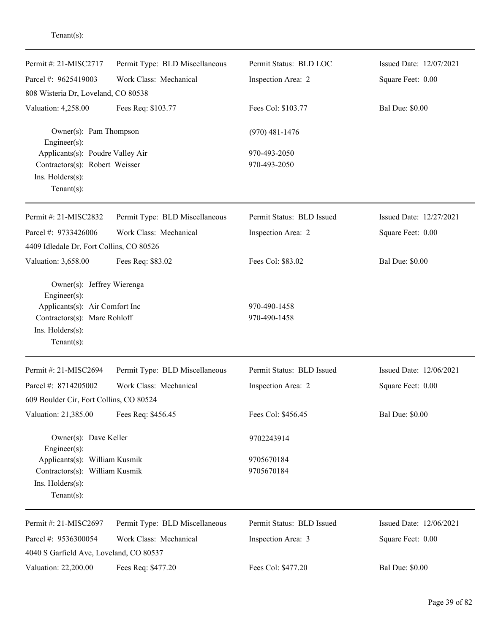| Permit #: 21-MISC2717                                                | Permit Type: BLD Miscellaneous | Permit Status: BLD LOC    | Issued Date: 12/07/2021 |
|----------------------------------------------------------------------|--------------------------------|---------------------------|-------------------------|
| Parcel #: 9625419003                                                 | Work Class: Mechanical         | Inspection Area: 2        | Square Feet: 0.00       |
| 808 Wisteria Dr, Loveland, CO 80538                                  |                                |                           |                         |
| Valuation: 4,258.00                                                  | Fees Req: \$103.77             | Fees Col: \$103.77        | <b>Bal Due: \$0.00</b>  |
| Owner(s): Pam Thompson<br>Engineer $(s)$ :                           |                                | $(970)$ 481-1476          |                         |
| Applicants(s): Poudre Valley Air                                     |                                | 970-493-2050              |                         |
| Contractors(s): Robert Weisser<br>Ins. Holders(s):<br>Tenant $(s)$ : |                                | 970-493-2050              |                         |
| Permit #: 21-MISC2832                                                | Permit Type: BLD Miscellaneous | Permit Status: BLD Issued | Issued Date: 12/27/2021 |
| Parcel #: 9733426006                                                 | Work Class: Mechanical         |                           |                         |
| 4409 Idledale Dr, Fort Collins, CO 80526                             |                                | Inspection Area: 2        | Square Feet: 0.00       |
| Valuation: 3,658.00                                                  | Fees Req: \$83.02              | Fees Col: \$83.02         | <b>Bal Due: \$0.00</b>  |
| Owner(s): Jeffrey Wierenga<br>Engineer(s):                           |                                |                           |                         |
| Applicants(s): Air Comfort Inc                                       |                                | 970-490-1458              |                         |
| Contractors(s): Marc Rohloff<br>Ins. Holders(s):<br>$Tenant(s)$ :    |                                | 970-490-1458              |                         |
| Permit #: 21-MISC2694                                                | Permit Type: BLD Miscellaneous | Permit Status: BLD Issued | Issued Date: 12/06/2021 |
| Parcel #: 8714205002                                                 | Work Class: Mechanical         | Inspection Area: 2        | Square Feet: 0.00       |
| 609 Boulder Cir, Fort Collins, CO 80524                              |                                |                           |                         |
| Valuation: 21,385.00                                                 | Fees Req: \$456.45             | Fees Col: \$456.45        | <b>Bal Due: \$0.00</b>  |
| Owner(s): Dave Keller<br>Engineer(s):                                |                                | 9702243914                |                         |
| Applicants(s): William Kusmik                                        |                                | 9705670184                |                         |
| Contractors(s): William Kusmik                                       |                                | 9705670184                |                         |
| Ins. Holders(s):<br>Tenant $(s)$ :                                   |                                |                           |                         |
| Permit #: 21-MISC2697                                                | Permit Type: BLD Miscellaneous | Permit Status: BLD Issued | Issued Date: 12/06/2021 |
| Parcel #: 9536300054<br>4040 S Garfield Ave, Loveland, CO 80537      | Work Class: Mechanical         | Inspection Area: 3        | Square Feet: 0.00       |
| Valuation: 22,200.00                                                 | Fees Req: \$477.20             | Fees Col: \$477.20        | <b>Bal Due: \$0.00</b>  |
|                                                                      |                                |                           |                         |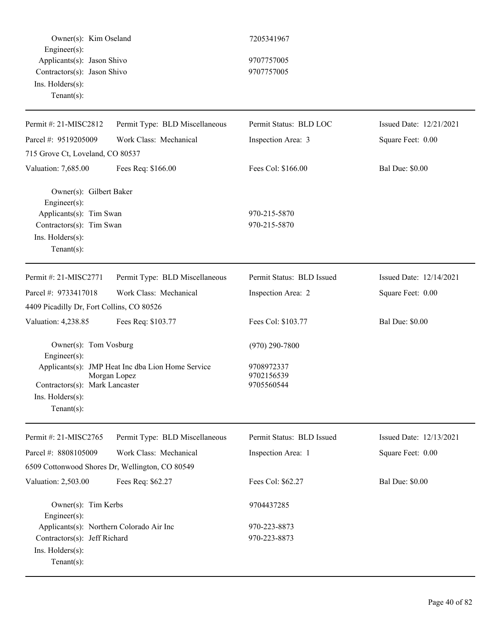Owner(s): Kim Oseland 7205341967 Engineer(s): Applicants(s): Jason Shivo 9707757005 Contractors(s): Jason Shivo 9707757005 Ins. Holders(s): Tenant(s): Permit #: 21-MISC2812 Parcel #: 9519205009 Permit Type: BLD Miscellaneous Work Class: Mechanical Permit Status: BLD LOC Inspection Area: 3 Issued Date: 12/21/2021 Square Feet: 0.00 715 Grove Ct, Loveland, CO 80537 Valuation: 7,685.00 Fees Req: \$166.00 Fees Col: \$166.00 Bal Due: \$0.00 Owner(s): Gilbert Baker Engineer(s): Applicants(s): Tim Swan 970-215-5870  $Contractors(s):$  Tim Swan  $970-215-5870$ Ins. Holders(s): Tenant(s): Permit #: 21-MISC2771 Parcel #: 9733417018 Permit Type: BLD Miscellaneous Work Class: Mechanical Permit Status: BLD Issued Inspection Area: 2 Issued Date: 12/14/2021 Square Feet: 0.00 4409 Picadilly Dr, Fort Collins, CO 80526 Valuation: 4,238.85 Fees Req: \$103.77 Fees Col: \$103.77 Bal Due: \$0.00 Owner(s): Tom Vosburg (970) 290-7800 Engineer(s): Applicants(s): JMP Heat Inc dba Lion Home Service 9708972337 Morgan Lopez 9702156539 Contractors(s): Mark Lancaster 9705560544 Ins. Holders(s): Tenant(s): Permit #: 21-MISC2765 Parcel #: 8808105009 Permit Type: BLD Miscellaneous Work Class: Mechanical Permit Status: BLD Issued Inspection Area: 1 Issued Date: 12/13/2021 Square Feet: 0.00 6509 Cottonwood Shores Dr, Wellington, CO 80549 Valuation: 2,503.00 Fees Req: \$62.27 Fees Col: \$62.27 Bal Due: \$0.00 Owner(s): Tim Kerbs 9704437285 Engineer(s): Applicants(s): Northern Colorado Air Inc 970-223-8873 Contractors(s): Jeff Richard 970-223-8873 Ins. Holders(s): Tenant(s):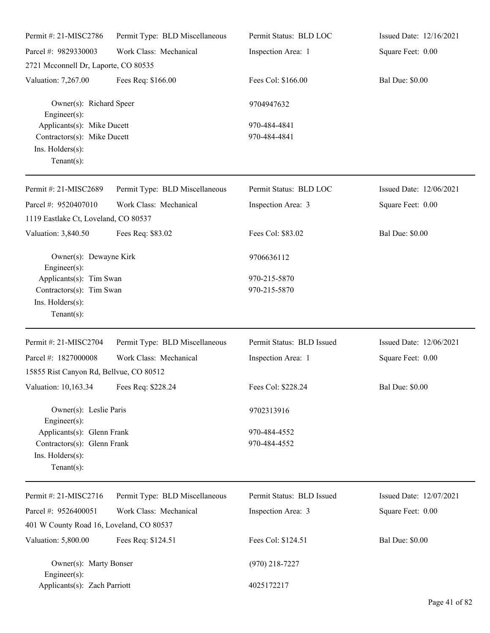| Permit #: 21-MISC2786                                                                           | Permit Type: BLD Miscellaneous | Permit Status: BLD LOC       | Issued Date: 12/16/2021 |
|-------------------------------------------------------------------------------------------------|--------------------------------|------------------------------|-------------------------|
| Parcel #: 9829330003                                                                            | Work Class: Mechanical         | Inspection Area: 1           | Square Feet: 0.00       |
| 2721 Mcconnell Dr, Laporte, CO 80535                                                            |                                |                              |                         |
| Valuation: 7,267.00                                                                             | Fees Req: \$166.00             | Fees Col: \$166.00           | <b>Bal Due: \$0.00</b>  |
| Owner(s): Richard Speer<br>Engineer $(s)$ :                                                     |                                | 9704947632                   |                         |
| Applicants(s): Mike Ducett<br>Contractors(s): Mike Ducett<br>Ins. Holders(s):<br>Tenant $(s)$ : |                                | 970-484-4841<br>970-484-4841 |                         |
| Permit #: 21-MISC2689                                                                           | Permit Type: BLD Miscellaneous | Permit Status: BLD LOC       | Issued Date: 12/06/2021 |
| Parcel #: 9520407010<br>1119 Eastlake Ct, Loveland, CO 80537                                    | Work Class: Mechanical         | Inspection Area: 3           | Square Feet: 0.00       |
| Valuation: 3,840.50                                                                             | Fees Req: \$83.02              | Fees Col: \$83.02            | <b>Bal Due: \$0.00</b>  |
| Owner(s): Dewayne Kirk<br>$Engineering(s)$ :                                                    |                                | 9706636112                   |                         |
| Applicants(s): Tim Swan<br>Contractors(s): Tim Swan<br>Ins. Holders(s):<br>Tenant $(s)$ :       |                                | 970-215-5870<br>970-215-5870 |                         |
| Permit #: 21-MISC2704                                                                           | Permit Type: BLD Miscellaneous | Permit Status: BLD Issued    | Issued Date: 12/06/2021 |
| Parcel #: 1827000008<br>15855 Rist Canyon Rd, Bellvue, CO 80512                                 | Work Class: Mechanical         | Inspection Area: 1           | Square Feet: 0.00       |
| Valuation: 10,163.34 Fees Req: \$228.24                                                         |                                | Fees Col: \$228.24           | <b>Bal Due: \$0.00</b>  |
| Owner(s): Leslie Paris<br>Engineer $(s)$ :                                                      |                                | 9702313916                   |                         |
| Applicants(s): Glenn Frank<br>Contractors(s): Glenn Frank<br>Ins. Holders(s):<br>Tenant $(s)$ : |                                | 970-484-4552<br>970-484-4552 |                         |
| Permit #: 21-MISC2716                                                                           | Permit Type: BLD Miscellaneous | Permit Status: BLD Issued    | Issued Date: 12/07/2021 |
| Parcel #: 9526400051                                                                            | Work Class: Mechanical         | Inspection Area: 3           | Square Feet: 0.00       |
| 401 W County Road 16, Loveland, CO 80537                                                        |                                |                              |                         |
| Valuation: 5,800.00                                                                             | Fees Req: \$124.51             | Fees Col: \$124.51           | <b>Bal Due: \$0.00</b>  |
| Owner(s): Marty Bonser<br>Engineer $(s)$ :                                                      |                                | $(970)$ 218-7227             |                         |
| Applicants(s): Zach Parriott                                                                    |                                | 4025172217                   |                         |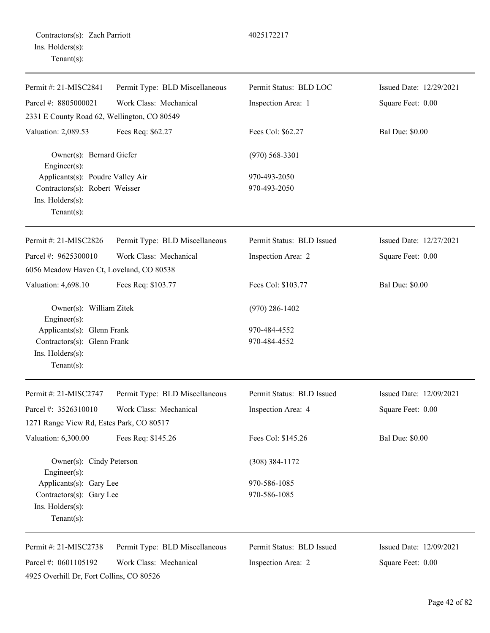| Permit #: 21-MISC2841                                                                           | Permit Type: BLD Miscellaneous | Permit Status: BLD LOC       | Issued Date: 12/29/2021 |
|-------------------------------------------------------------------------------------------------|--------------------------------|------------------------------|-------------------------|
| Parcel #: 8805000021                                                                            | Work Class: Mechanical         | Inspection Area: 1           | Square Feet: 0.00       |
| 2331 E County Road 62, Wellington, CO 80549                                                     |                                |                              |                         |
| Valuation: 2,089.53                                                                             | Fees Req: \$62.27              | Fees Col: \$62.27            | <b>Bal Due: \$0.00</b>  |
| Owner(s): Bernard Giefer<br>$Engineering(s)$ :                                                  |                                | $(970)$ 568-3301             |                         |
| Applicants(s): Poudre Valley Air                                                                |                                | 970-493-2050                 |                         |
| Contractors(s): Robert Weisser<br>Ins. Holders(s):<br>Tenant $(s)$ :                            |                                | 970-493-2050                 |                         |
| Permit #: 21-MISC2826                                                                           | Permit Type: BLD Miscellaneous | Permit Status: BLD Issued    | Issued Date: 12/27/2021 |
| Parcel #: 9625300010<br>6056 Meadow Haven Ct, Loveland, CO 80538                                | Work Class: Mechanical         | Inspection Area: 2           | Square Feet: 0.00       |
| Valuation: 4,698.10                                                                             | Fees Req: \$103.77             | Fees Col: \$103.77           | <b>Bal Due: \$0.00</b>  |
| Owner(s): William Zitek<br>$Engineering(s)$ :                                                   |                                | $(970)$ 286-1402             |                         |
| Applicants(s): Glenn Frank<br>Contractors(s): Glenn Frank<br>Ins. Holders(s):<br>Tenant $(s)$ : |                                | 970-484-4552<br>970-484-4552 |                         |
| Permit #: 21-MISC2747                                                                           | Permit Type: BLD Miscellaneous | Permit Status: BLD Issued    | Issued Date: 12/09/2021 |
| Parcel #: 3526310010                                                                            | Work Class: Mechanical         | Inspection Area: 4           | Square Feet: 0.00       |
| 1271 Range View Rd, Estes Park, CO 80517                                                        |                                |                              |                         |
| Valuation: 6,300.00                                                                             | Fees Req: \$145.26             | Fees Col: \$145.26           | <b>Bal Due: \$0.00</b>  |
| Owner(s): Cindy Peterson<br>Engineer $(s)$ :                                                    |                                | $(308)$ 384-1172             |                         |
| Applicants(s): Gary Lee                                                                         |                                | 970-586-1085                 |                         |
| Contractors(s): Gary Lee<br>Ins. Holders(s):<br>Tenant $(s)$ :                                  |                                | 970-586-1085                 |                         |
| Permit #: 21-MISC2738                                                                           | Permit Type: BLD Miscellaneous | Permit Status: BLD Issued    | Issued Date: 12/09/2021 |
| Parcel #: 0601105192<br>4925 Overhill Dr, Fort Collins, CO 80526                                | Work Class: Mechanical         | Inspection Area: 2           | Square Feet: 0.00       |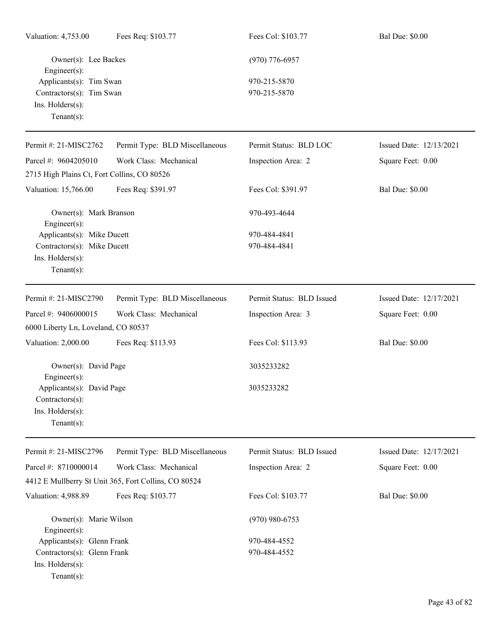| Valuation: 4,753.00                                                | Fees Req: \$103.77                                   | Fees Col: \$103.77        | <b>Bal Due: \$0.00</b>  |
|--------------------------------------------------------------------|------------------------------------------------------|---------------------------|-------------------------|
| Owner(s): Lee Backes<br>$Engineer(s)$ :<br>Applicants(s): Tim Swan |                                                      | $(970)$ 776-6957          |                         |
|                                                                    |                                                      | 970-215-5870              |                         |
| Contractors(s): Tim Swan                                           |                                                      | 970-215-5870              |                         |
| Ins. Holders(s):<br>$Tenant(s)$ :                                  |                                                      |                           |                         |
|                                                                    |                                                      |                           |                         |
| Permit #: 21-MISC2762                                              | Permit Type: BLD Miscellaneous                       | Permit Status: BLD LOC    | Issued Date: 12/13/2021 |
| Parcel #: 9604205010                                               | Work Class: Mechanical                               | Inspection Area: 2        | Square Feet: 0.00       |
| 2715 High Plains Ct, Fort Collins, CO 80526                        |                                                      |                           |                         |
| Valuation: 15,766.00                                               | Fees Req: \$391.97                                   | Fees Col: \$391.97        | <b>Bal Due: \$0.00</b>  |
| Owner(s): Mark Branson<br>Engineer $(s)$ :                         |                                                      | 970-493-4644              |                         |
| Applicants(s): Mike Ducett                                         |                                                      | 970-484-4841              |                         |
| Contractors(s): Mike Ducett                                        |                                                      | 970-484-4841              |                         |
| Ins. Holders(s):                                                   |                                                      |                           |                         |
| Tenant $(s)$ :                                                     |                                                      |                           |                         |
| Permit #: 21-MISC2790                                              | Permit Type: BLD Miscellaneous                       | Permit Status: BLD Issued | Issued Date: 12/17/2021 |
| Parcel #: 9406000015                                               | Work Class: Mechanical                               | Inspection Area: 3        | Square Feet: 0.00       |
| 6000 Liberty Ln, Loveland, CO 80537                                |                                                      |                           |                         |
| Valuation: 2,000.00                                                | Fees Req: \$113.93                                   | Fees Col: \$113.93        | <b>Bal Due: \$0.00</b>  |
| Owner(s): David Page<br>Engineer(s):                               |                                                      | 3035233282                |                         |
| Applicants(s): David Page                                          |                                                      | 3035233282                |                         |
| $Contractors(s)$ :                                                 |                                                      |                           |                         |
| Ins. Holders(s):                                                   |                                                      |                           |                         |
| Tenant $(s)$ :                                                     |                                                      |                           |                         |
| Permit #: 21-MISC2796                                              | Permit Type: BLD Miscellaneous                       | Permit Status: BLD Issued | Issued Date: 12/17/2021 |
| Parcel #: 8710000014                                               | Work Class: Mechanical                               | Inspection Area: 2        | Square Feet: 0.00       |
|                                                                    | 4412 E Mullberry St Unit 365, Fort Collins, CO 80524 |                           |                         |
| Valuation: 4,988.89                                                | Fees Req: \$103.77                                   | Fees Col: \$103.77        | <b>Bal Due: \$0.00</b>  |
| Owner(s): Marie Wilson<br>Engineer $(s)$ :                         |                                                      | $(970)$ 980-6753          |                         |
| Applicants(s): Glenn Frank                                         |                                                      | 970-484-4552              |                         |
| Contractors(s): Glenn Frank                                        |                                                      | 970-484-4552              |                         |
| Ins. Holders(s):                                                   |                                                      |                           |                         |
| Tenant $(s)$ :                                                     |                                                      |                           |                         |
|                                                                    |                                                      |                           |                         |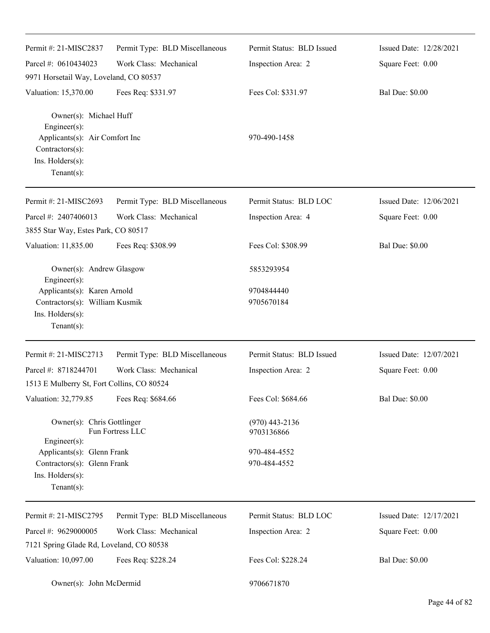| Permit #: 21-MISC2837                                                                                                               | Permit Type: BLD Miscellaneous | Permit Status: BLD Issued      | Issued Date: 12/28/2021 |
|-------------------------------------------------------------------------------------------------------------------------------------|--------------------------------|--------------------------------|-------------------------|
| Parcel #: 0610434023                                                                                                                | Work Class: Mechanical         | Inspection Area: 2             | Square Feet: 0.00       |
| 9971 Horsetail Way, Loveland, CO 80537                                                                                              |                                |                                |                         |
| Valuation: 15,370.00                                                                                                                | Fees Req: \$331.97             | Fees Col: \$331.97             | <b>Bal Due: \$0.00</b>  |
| Owner(s): Michael Huff<br>Engineer(s):<br>Applicants(s): Air Comfort Inc<br>$Contractors(s)$ :<br>Ins. Holders(s):<br>$Tenant(s)$ : |                                | 970-490-1458                   |                         |
| Permit #: 21-MISC2693                                                                                                               | Permit Type: BLD Miscellaneous | Permit Status: BLD LOC         | Issued Date: 12/06/2021 |
| Parcel #: 2407406013                                                                                                                | Work Class: Mechanical         | Inspection Area: 4             | Square Feet: 0.00       |
| 3855 Star Way, Estes Park, CO 80517                                                                                                 |                                |                                |                         |
| Valuation: 11,835.00                                                                                                                | Fees Req: \$308.99             | Fees Col: \$308.99             | <b>Bal Due: \$0.00</b>  |
| Owner(s): Andrew Glasgow<br>Engineer(s):                                                                                            |                                | 5853293954                     |                         |
| Applicants(s): Karen Arnold                                                                                                         |                                | 9704844440                     |                         |
| Contractors(s): William Kusmik<br>Ins. Holders(s):<br>$Tenant(s)$ :                                                                 |                                | 9705670184                     |                         |
| Permit #: 21-MISC2713                                                                                                               | Permit Type: BLD Miscellaneous | Permit Status: BLD Issued      | Issued Date: 12/07/2021 |
| Parcel #: 8718244701                                                                                                                | Work Class: Mechanical         | Inspection Area: 2             | Square Feet: 0.00       |
| 1513 E Mulberry St, Fort Collins, CO 80524                                                                                          |                                |                                |                         |
| Valuation: 32,779.85                                                                                                                | Fees Req: \$684.66             | Fees Col: \$684.66             | <b>Bal Due: \$0.00</b>  |
| Owner(s): Chris Gottlinger<br>Engineer(s):                                                                                          | Fun Fortress LLC               | $(970)$ 443-2136<br>9703136866 |                         |
| Applicants(s): Glenn Frank<br>Contractors(s): Glenn Frank<br>Ins. Holders(s):<br>$Tenant(s)$ :                                      |                                | 970-484-4552<br>970-484-4552   |                         |
| Permit #: 21-MISC2795                                                                                                               | Permit Type: BLD Miscellaneous | Permit Status: BLD LOC         | Issued Date: 12/17/2021 |
| Parcel #: 9629000005                                                                                                                | Work Class: Mechanical         | Inspection Area: 2             | Square Feet: 0.00       |
| 7121 Spring Glade Rd, Loveland, CO 80538                                                                                            |                                |                                |                         |
| Valuation: 10,097.00                                                                                                                | Fees Req: \$228.24             | Fees Col: \$228.24             | <b>Bal Due: \$0.00</b>  |
| Owner(s): John McDermid                                                                                                             |                                | 9706671870                     |                         |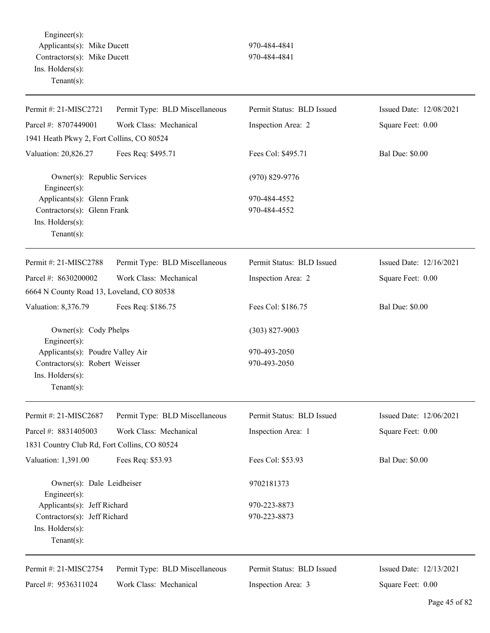Engineer(s): Applicants(s): Mike Ducett 970-484-4841 Contractors(s): Mike Ducett 970-484-4841 Ins. Holders(s): Tenant(s):

| Permit #: 21-MISC2721                                                                                   | Permit Type: BLD Miscellaneous | Permit Status: BLD Issued    | Issued Date: 12/08/2021 |
|---------------------------------------------------------------------------------------------------------|--------------------------------|------------------------------|-------------------------|
| Parcel #: 8707449001                                                                                    | Work Class: Mechanical         | Inspection Area: 2           | Square Feet: 0.00       |
| 1941 Heath Pkwy 2, Fort Collins, CO 80524                                                               |                                |                              |                         |
| Valuation: 20,826.27                                                                                    | Fees Req: \$495.71             | Fees Col: \$495.71           | <b>Bal Due: \$0.00</b>  |
| Owner(s): Republic Services<br>Engineer(s):                                                             |                                | $(970) 829 - 9776$           |                         |
| Applicants(s): Glenn Frank<br>Contractors(s): Glenn Frank<br>Ins. Holders(s):<br>$Tenant(s)$ :          |                                | 970-484-4552<br>970-484-4552 |                         |
| Permit #: 21-MISC2788                                                                                   | Permit Type: BLD Miscellaneous | Permit Status: BLD Issued    | Issued Date: 12/16/2021 |
| Parcel #: 8630200002                                                                                    | Work Class: Mechanical         | Inspection Area: 2           | Square Feet: 0.00       |
| 6664 N County Road 13, Loveland, CO 80538                                                               |                                |                              |                         |
| Valuation: 8,376.79                                                                                     | Fees Req: \$186.75             | Fees Col: \$186.75           | <b>Bal Due: \$0.00</b>  |
| Owner(s): Cody Phelps<br>Engineer(s):                                                                   |                                | $(303)$ 827-9003             |                         |
| Applicants(s): Poudre Valley Air<br>Contractors(s): Robert Weisser<br>Ins. Holders(s):<br>$Tenant(s)$ : |                                | 970-493-2050<br>970-493-2050 |                         |
| Permit #: 21-MISC2687                                                                                   | Permit Type: BLD Miscellaneous | Permit Status: BLD Issued    | Issued Date: 12/06/2021 |
| Parcel #: 8831405003                                                                                    | Work Class: Mechanical         | Inspection Area: 1           | Square Feet: 0.00       |
| 1831 Country Club Rd, Fort Collins, CO 80524                                                            |                                |                              |                         |
| Valuation: 1,391.00                                                                                     | Fees Req: \$53.93              | Fees Col: \$53.93            | <b>Bal Due: \$0.00</b>  |
| Owner(s): Dale Leidheiser<br>Engineer(s):                                                               |                                | 9702181373                   |                         |
| Applicants(s): Jeff Richard                                                                             |                                | 970-223-8873                 |                         |
| Contractors(s): Jeff Richard<br>Ins. Holders(s):<br>Tenant $(s)$ :                                      |                                | 970-223-8873                 |                         |
| Permit #: 21-MISC2754                                                                                   | Permit Type: BLD Miscellaneous | Permit Status: BLD Issued    | Issued Date: 12/13/2021 |
| Parcel #: 9536311024                                                                                    | Work Class: Mechanical         | Inspection Area: 3           | Square Feet: 0.00       |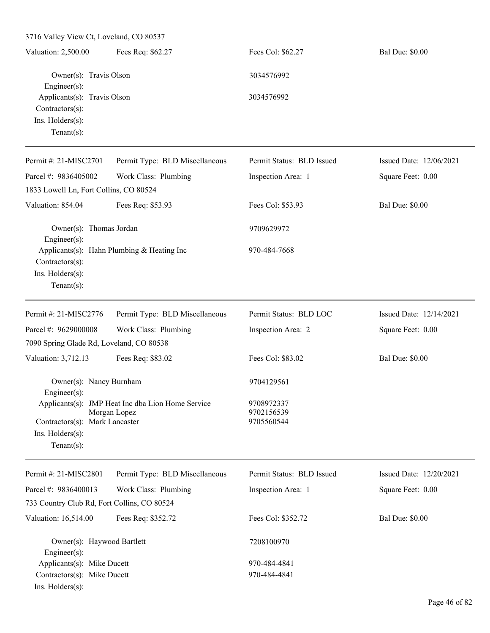3716 Valley View Ct, Loveland, CO 80537 Valuation: 2,500.00 Fees Req: \$62.27 Fees Col: \$62.27 Bal Due: \$0.00 Owner(s): Travis Olson 3034576992 Engineer(s): Applicants(s): Travis Olson 3034576992 Contractors(s): Ins. Holders(s): Tenant(s): Permit #: 21-MISC2701 Parcel #: 9836405002 Permit Type: BLD Miscellaneous Work Class: Plumbing Permit Status: BLD Issued Inspection Area: 1 Issued Date: 12/06/2021 Square Feet: 0.00 1833 Lowell Ln, Fort Collins, CO 80524 Valuation: 854.04 Fees Req: \$53.93 Fees Col: \$53.93 Bal Due: \$0.00 Owner(s): Thomas Jordan 9709629972 Engineer(s): Applicants(s): Hahn Plumbing & Heating Inc 970-484-7668 Contractors(s): Ins. Holders(s): Tenant(s): Permit #: 21-MISC2776 Parcel #: 9629000008 Permit Type: BLD Miscellaneous Work Class: Plumbing Permit Status: BLD LOC Inspection Area: 2 Issued Date: 12/14/2021 Square Feet: 0.00 7090 Spring Glade Rd, Loveland, CO 80538 Valuation: 3,712.13 Fees Req: \$83.02 Fees Col: \$83.02 Bal Due: \$0.00 Owner(s): Nancy Burnham 9704129561 Engineer(s): Applicants(s): JMP Heat Inc dba Lion Home Service 9708972337 Morgan Lopez 9702156539 Contractors(s): Mark Lancaster 9705560544 Ins. Holders(s): Tenant(s): Permit #: 21-MISC2801 Parcel #: 9836400013 Permit Type: BLD Miscellaneous Work Class: Plumbing Permit Status: BLD Issued Inspection Area: 1 Issued Date: 12/20/2021 Square Feet: 0.00 733 Country Club Rd, Fort Collins, CO 80524 Valuation: 16,514.00 Fees Req: \$352.72 Fees Col: \$352.72 Bal Due: \$0.00 Owner(s): Haywood Bartlett 7208100970 Engineer(s): Applicants(s): Mike Ducett 970-484-4841 Contractors(s): Mike Ducett 970-484-4841

Ins. Holders(s):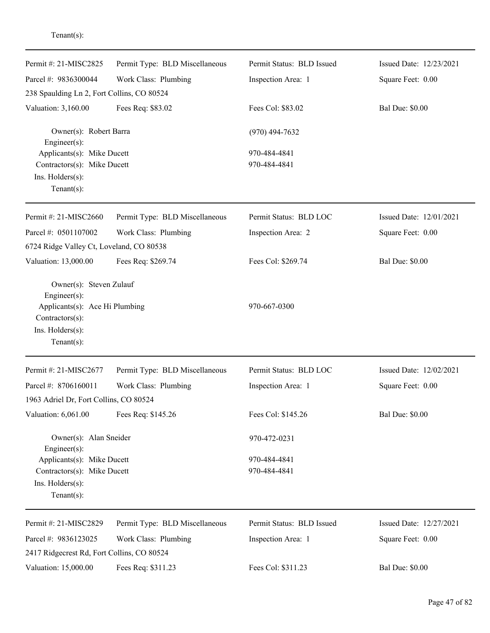| Permit #: 21-MISC2825                             | Permit Type: BLD Miscellaneous | Permit Status: BLD Issued | Issued Date: 12/23/2021 |
|---------------------------------------------------|--------------------------------|---------------------------|-------------------------|
| Parcel #: 9836300044                              | Work Class: Plumbing           | Inspection Area: 1        | Square Feet: 0.00       |
| 238 Spaulding Ln 2, Fort Collins, CO 80524        |                                |                           |                         |
| Valuation: 3,160.00                               | Fees Req: \$83.02              | Fees Col: \$83.02         | <b>Bal Due: \$0.00</b>  |
| Owner(s): Robert Barra<br>Engineer $(s)$ :        |                                | $(970)$ 494-7632          |                         |
| Applicants(s): Mike Ducett                        |                                | 970-484-4841              |                         |
| Contractors(s): Mike Ducett                       |                                | 970-484-4841              |                         |
| Ins. Holders(s):                                  |                                |                           |                         |
| $Tenant(s)$ :                                     |                                |                           |                         |
| Permit #: 21-MISC2660                             | Permit Type: BLD Miscellaneous | Permit Status: BLD LOC    | Issued Date: 12/01/2021 |
| Parcel #: 0501107002                              | Work Class: Plumbing           | Inspection Area: 2        | Square Feet: 0.00       |
| 6724 Ridge Valley Ct, Loveland, CO 80538          |                                |                           |                         |
| Valuation: 13,000.00                              | Fees Req: \$269.74             | Fees Col: \$269.74        | <b>Bal Due: \$0.00</b>  |
| Owner(s): Steven Zulauf<br>Engineer(s):           |                                |                           |                         |
| Applicants(s): Ace Hi Plumbing<br>Contractors(s): |                                | 970-667-0300              |                         |
| Ins. Holders(s):                                  |                                |                           |                         |
| $Tenant(s)$ :                                     |                                |                           |                         |
| Permit #: 21-MISC2677                             | Permit Type: BLD Miscellaneous | Permit Status: BLD LOC    | Issued Date: 12/02/2021 |
| Parcel #: 8706160011                              | Work Class: Plumbing           | Inspection Area: 1        | Square Feet: 0.00       |
| 1963 Adriel Dr, Fort Collins, CO 80524            |                                |                           |                         |
| Valuation: 6,061.00                               | Fees Req: \$145.26             | Fees Col: \$145.26        | <b>Bal Due: \$0.00</b>  |
| Owner(s): Alan Sneider<br>Engineer(s):            |                                | 970-472-0231              |                         |
| Applicants(s): Mike Ducett                        |                                | 970-484-4841              |                         |
| Contractors(s): Mike Ducett                       |                                | 970-484-4841              |                         |
| Ins. Holders(s):                                  |                                |                           |                         |
| $Tenant(s)$ :                                     |                                |                           |                         |
| Permit #: 21-MISC2829                             | Permit Type: BLD Miscellaneous | Permit Status: BLD Issued | Issued Date: 12/27/2021 |
| Parcel #: 9836123025                              | Work Class: Plumbing           | Inspection Area: 1        | Square Feet: 0.00       |
| 2417 Ridgecrest Rd, Fort Collins, CO 80524        |                                |                           |                         |
| Valuation: 15,000.00                              | Fees Req: \$311.23             | Fees Col: \$311.23        | <b>Bal Due: \$0.00</b>  |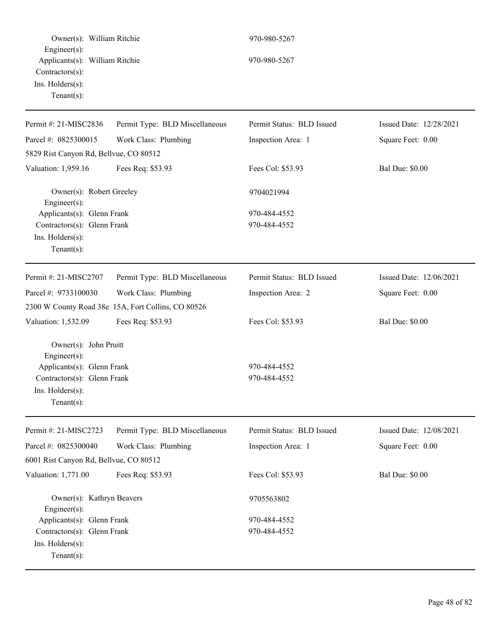| Owner(s): William Ritchie                                                                                                                      |                                                    | 970-980-5267                 |                         |
|------------------------------------------------------------------------------------------------------------------------------------------------|----------------------------------------------------|------------------------------|-------------------------|
| Engineer(s):<br>Applicants(s): William Ritchie<br>Contractors(s):<br>Ins. Holders(s):<br>Tenant $(s)$ :                                        |                                                    | 970-980-5267                 |                         |
| Permit #: 21-MISC2836                                                                                                                          | Permit Type: BLD Miscellaneous                     | Permit Status: BLD Issued    | Issued Date: 12/28/2021 |
| Parcel #: 0825300015                                                                                                                           | Work Class: Plumbing                               | Inspection Area: 1           | Square Feet: 0.00       |
| 5829 Rist Canyon Rd, Bellvue, CO 80512                                                                                                         |                                                    |                              |                         |
| Valuation: 1,959.16                                                                                                                            | Fees Req: \$53.93                                  | Fees Col: \$53.93            | <b>Bal Due: \$0.00</b>  |
| Owner(s): Robert Greeley<br>Engineer(s):                                                                                                       |                                                    | 9704021994                   |                         |
| Applicants(s): Glenn Frank<br>Contractors(s): Glenn Frank<br>Ins. Holders(s):<br>Tenant $(s)$ :                                                |                                                    | 970-484-4552<br>970-484-4552 |                         |
| Permit #: 21-MISC2707                                                                                                                          | Permit Type: BLD Miscellaneous                     | Permit Status: BLD Issued    | Issued Date: 12/06/2021 |
| Parcel #: 9733100030                                                                                                                           | Work Class: Plumbing                               | Inspection Area: 2           | Square Feet: 0.00       |
|                                                                                                                                                | 2300 W County Road 38e 15A, Fort Collins, CO 80526 |                              |                         |
| Valuation: 1,532.09                                                                                                                            | Fees Req: \$53.93                                  | Fees Col: \$53.93            | <b>Bal Due: \$0.00</b>  |
| Owner(s): John Pruitt<br>$Engineering(s)$ :<br>Applicants(s): Glenn Frank<br>Contractors(s): Glenn Frank<br>Ins. Holders(s):<br>Tenant $(s)$ : |                                                    | 970-484-4552<br>970-484-4552 |                         |
| Permit #: 21-MISC2723                                                                                                                          | Permit Type: BLD Miscellaneous                     | Permit Status: BLD Issued    | Issued Date: 12/08/2021 |
| Parcel #: 0825300040                                                                                                                           | Work Class: Plumbing                               | Inspection Area: 1           | Square Feet: 0.00       |
| 6001 Rist Canyon Rd, Bellvue, CO 80512                                                                                                         |                                                    |                              |                         |
| Valuation: 1,771.00                                                                                                                            | Fees Req: \$53.93                                  | Fees Col: \$53.93            | <b>Bal Due: \$0.00</b>  |
| Owner(s): Kathryn Beavers<br>Engineer $(s)$ :                                                                                                  |                                                    | 9705563802                   |                         |
| Applicants(s): Glenn Frank                                                                                                                     |                                                    | 970-484-4552                 |                         |
| Contractors(s): Glenn Frank<br>Ins. Holders(s):<br>Tenant $(s)$ :                                                                              |                                                    | 970-484-4552                 |                         |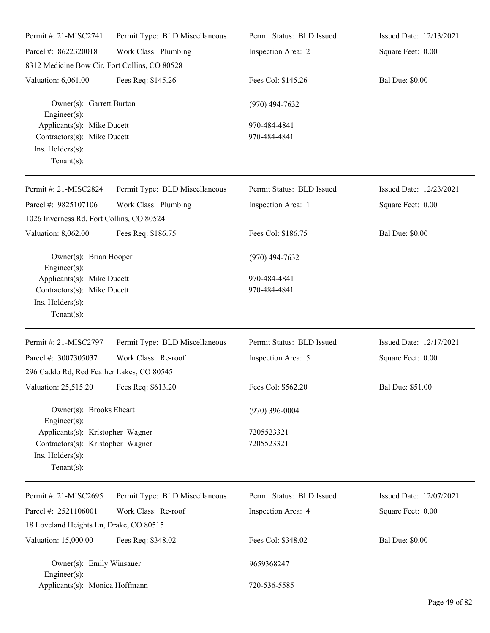| Permit #: 21-MISC2741                                                                                      | Permit Type: BLD Miscellaneous | Permit Status: BLD Issued    | Issued Date: 12/13/2021 |
|------------------------------------------------------------------------------------------------------------|--------------------------------|------------------------------|-------------------------|
| Parcel #: 8622320018                                                                                       | Work Class: Plumbing           | Inspection Area: 2           | Square Feet: 0.00       |
| 8312 Medicine Bow Cir, Fort Collins, CO 80528                                                              |                                |                              |                         |
| Valuation: 6,061.00                                                                                        | Fees Req: \$145.26             | Fees Col: \$145.26           | <b>Bal Due: \$0.00</b>  |
| Owner(s): Garrett Burton<br>Engineer(s):                                                                   |                                | $(970)$ 494-7632             |                         |
| Applicants(s): Mike Ducett<br>Contractors(s): Mike Ducett<br>Ins. Holders(s):<br>$Tenant(s)$ :             |                                | 970-484-4841<br>970-484-4841 |                         |
| Permit #: 21-MISC2824                                                                                      | Permit Type: BLD Miscellaneous | Permit Status: BLD Issued    | Issued Date: 12/23/2021 |
| Parcel #: 9825107106<br>1026 Inverness Rd, Fort Collins, CO 80524                                          | Work Class: Plumbing           | Inspection Area: 1           | Square Feet: 0.00       |
| Valuation: 8,062.00                                                                                        | Fees Req: \$186.75             | Fees Col: \$186.75           | <b>Bal Due: \$0.00</b>  |
| Owner(s): Brian Hooper<br>$Engineering(s)$ :                                                               |                                | $(970)$ 494-7632             |                         |
| Applicants(s): Mike Ducett<br>Contractors(s): Mike Ducett<br>Ins. Holders(s):<br>$Tenant(s)$ :             |                                | 970-484-4841<br>970-484-4841 |                         |
| Permit #: 21-MISC2797                                                                                      | Permit Type: BLD Miscellaneous | Permit Status: BLD Issued    | Issued Date: 12/17/2021 |
| Parcel #: 3007305037                                                                                       | Work Class: Re-roof            | Inspection Area: 5           | Square Feet: 0.00       |
| 296 Caddo Rd, Red Feather Lakes, CO 80545                                                                  |                                |                              |                         |
| Valuation: 25,515.20 Fees Req: \$613.20                                                                    |                                | Fees Col: \$562.20           | Bal Due: \$51.00        |
| Owner(s): Brooks Eheart<br>Engineer(s):                                                                    |                                | $(970)$ 396-0004             |                         |
| Applicants(s): Kristopher Wagner<br>Contractors(s): Kristopher Wagner<br>Ins. Holders(s):<br>$Tenant(s)$ : |                                | 7205523321<br>7205523321     |                         |
| Permit #: 21-MISC2695                                                                                      | Permit Type: BLD Miscellaneous | Permit Status: BLD Issued    | Issued Date: 12/07/2021 |
| Parcel #: 2521106001                                                                                       | Work Class: Re-roof            | Inspection Area: 4           | Square Feet: 0.00       |
| 18 Loveland Heights Ln, Drake, CO 80515                                                                    |                                |                              |                         |
| Valuation: 15,000.00                                                                                       | Fees Req: \$348.02             | Fees Col: \$348.02           | <b>Bal Due: \$0.00</b>  |
| Owner(s): Emily Winsauer<br>Engineer(s):                                                                   |                                | 9659368247                   |                         |
| Applicants(s): Monica Hoffmann                                                                             |                                | 720-536-5585                 |                         |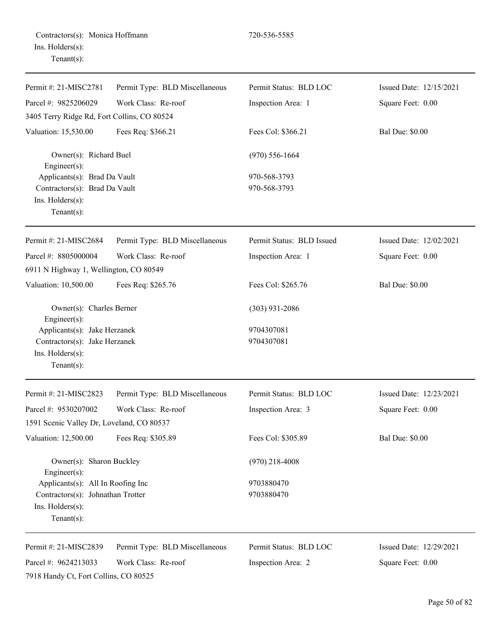| Permit #: 21-MISC2781                                                                                                  | Permit Type: BLD Miscellaneous | Permit Status: BLD LOC    | Issued Date: 12/15/2021 |
|------------------------------------------------------------------------------------------------------------------------|--------------------------------|---------------------------|-------------------------|
| Parcel #: 9825206029                                                                                                   | Work Class: Re-roof            | Inspection Area: 1        | Square Feet: 0.00       |
| 3405 Terry Ridge Rd, Fort Collins, CO 80524                                                                            |                                |                           |                         |
| Valuation: 15,530.00                                                                                                   | Fees Req: \$366.21             | Fees Col: \$366.21        | <b>Bal Due: \$0.00</b>  |
| Owner(s): Richard Buel<br>Engineer $(s)$ :<br>Applicants(s): Brad Da Vault                                             |                                | $(970) 556 - 1664$        |                         |
|                                                                                                                        |                                | 970-568-3793              |                         |
| Contractors(s): Brad Da Vault                                                                                          |                                | 970-568-3793              |                         |
| Ins. Holders(s):<br>Tenant $(s)$ :                                                                                     |                                |                           |                         |
| Permit #: 21-MISC2684                                                                                                  | Permit Type: BLD Miscellaneous | Permit Status: BLD Issued | Issued Date: 12/02/2021 |
| Parcel #: 8805000004                                                                                                   | Work Class: Re-roof            | Inspection Area: 1        | Square Feet: 0.00       |
| 6911 N Highway 1, Wellington, CO 80549                                                                                 |                                |                           |                         |
| Valuation: 10,500.00                                                                                                   | Fees Req: \$265.76             | Fees Col: \$265.76        | <b>Bal Due: \$0.00</b>  |
| Owner(s): Charles Berner                                                                                               |                                | $(303)$ 931-2086          |                         |
| Engineer $(s)$ :<br>Applicants(s): Jake Herzanek<br>Contractors(s): Jake Herzanek<br>Ins. Holders(s):<br>$Tenant(s)$ : |                                | 9704307081<br>9704307081  |                         |
| Permit #: 21-MISC2823                                                                                                  | Permit Type: BLD Miscellaneous | Permit Status: BLD LOC    | Issued Date: 12/23/2021 |
| Parcel #: 9530207002                                                                                                   | Work Class: Re-roof            | Inspection Area: 3        | Square Feet: 0.00       |
| 1591 Scenic Valley Dr, Loveland, CO 80537                                                                              |                                |                           |                         |
| Valuation: 12,500.00                                                                                                   | Fees Req: \$305.89             | Fees Col: \$305.89        | <b>Bal Due: \$0.00</b>  |
| Owner(s): Sharon Buckley<br>Engineer(s):                                                                               |                                | $(970)$ 218-4008          |                         |
| Applicants(s): All In Roofing Inc                                                                                      |                                | 9703880470                |                         |
| Contractors(s): Johnathan Trotter<br>Ins. Holders(s):<br>Tenant $(s)$ :                                                |                                | 9703880470                |                         |
| Permit #: 21-MISC2839                                                                                                  | Permit Type: BLD Miscellaneous | Permit Status: BLD LOC    | Issued Date: 12/29/2021 |
| Parcel #: 9624213033                                                                                                   | Work Class: Re-roof            | Inspection Area: 2        | Square Feet: 0.00       |
| 7918 Handy Ct, Fort Collins, CO 80525                                                                                  |                                |                           |                         |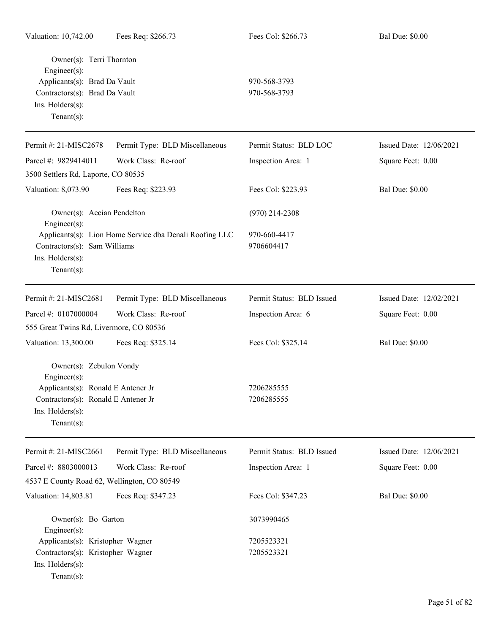| Owner(s): Terri Thornton<br>Engineer(s):<br>Applicants(s): Brad Da Vault<br>Contractors(s): Brad Da Vault<br>Ins. Holders(s):<br>$Tenant(s)$ :                |                                                         | 970-568-3793<br>970-568-3793 |                         |
|---------------------------------------------------------------------------------------------------------------------------------------------------------------|---------------------------------------------------------|------------------------------|-------------------------|
| Permit #: 21-MISC2678                                                                                                                                         | Permit Type: BLD Miscellaneous                          | Permit Status: BLD LOC       | Issued Date: 12/06/2021 |
| Parcel #: 9829414011                                                                                                                                          | Work Class: Re-roof                                     | Inspection Area: 1           | Square Feet: 0.00       |
| 3500 Settlers Rd, Laporte, CO 80535                                                                                                                           |                                                         |                              |                         |
| Valuation: 8,073.90                                                                                                                                           | Fees Req: \$223.93                                      | Fees Col: \$223.93           | <b>Bal Due: \$0.00</b>  |
| Owner(s): Aecian Pendelton<br>Engineer(s):                                                                                                                    |                                                         | $(970)$ 214-2308             |                         |
| Contractors(s): Sam Williams<br>Ins. Holders(s):<br>Tenant $(s)$ :                                                                                            | Applicants(s): Lion Home Service dba Denali Roofing LLC | 970-660-4417<br>9706604417   |                         |
| Permit #: 21-MISC2681                                                                                                                                         | Permit Type: BLD Miscellaneous                          | Permit Status: BLD Issued    | Issued Date: 12/02/2021 |
| Parcel #: 0107000004                                                                                                                                          | Work Class: Re-roof                                     | Inspection Area: 6           | Square Feet: 0.00       |
| 555 Great Twins Rd, Livermore, CO 80536                                                                                                                       |                                                         |                              |                         |
| Valuation: 13,300.00                                                                                                                                          | Fees Req: \$325.14                                      | Fees Col: \$325.14           | <b>Bal Due: \$0.00</b>  |
| Owner(s): Zebulon Vondy<br>Engineer $(s)$ :<br>Applicants(s): Ronald E Antener Jr<br>Contractors(s): Ronald E Antener Jr<br>Ins. Holders(s):<br>$Tenant(s)$ : |                                                         | 7206285555<br>7206285555     |                         |
|                                                                                                                                                               |                                                         |                              |                         |
| Permit #: 21-MISC2661                                                                                                                                         | Permit Type: BLD Miscellaneous                          | Permit Status: BLD Issued    | Issued Date: 12/06/2021 |
| Parcel #: 8803000013                                                                                                                                          | Work Class: Re-roof                                     | Inspection Area: 1           | Square Feet: 0.00       |
| 4537 E County Road 62, Wellington, CO 80549                                                                                                                   |                                                         |                              |                         |
| Valuation: 14,803.81                                                                                                                                          | Fees Req: \$347.23                                      | Fees Col: \$347.23           | <b>Bal Due: \$0.00</b>  |
| Owner(s): Bo Garton<br>Engineer(s):                                                                                                                           |                                                         | 3073990465                   |                         |
| Applicants(s): Kristopher Wagner                                                                                                                              |                                                         | 7205523321                   |                         |
| Contractors(s): Kristopher Wagner<br>Ins. Holders(s):<br>Tenant $(s)$ :                                                                                       |                                                         | 7205523321                   |                         |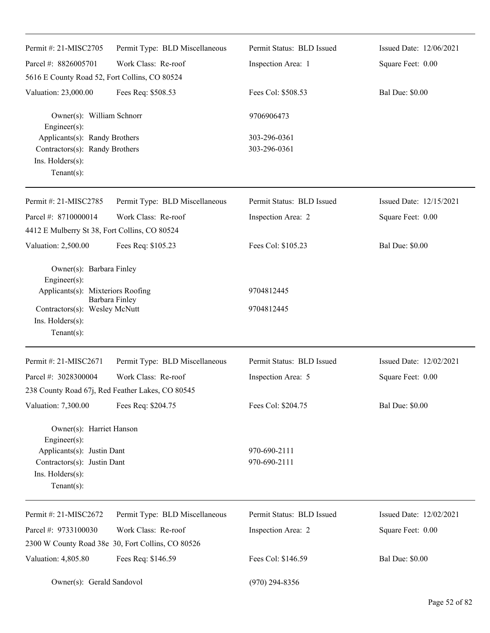| Permit #: 21-MISC2705                                                                                                                                | Permit Type: BLD Miscellaneous                    | Permit Status: BLD Issued    | Issued Date: 12/06/2021 |
|------------------------------------------------------------------------------------------------------------------------------------------------------|---------------------------------------------------|------------------------------|-------------------------|
| Parcel #: 8826005701                                                                                                                                 | Work Class: Re-roof                               | Inspection Area: 1           | Square Feet: 0.00       |
| 5616 E County Road 52, Fort Collins, CO 80524                                                                                                        |                                                   |                              |                         |
| Valuation: 23,000.00                                                                                                                                 | Fees Req: \$508.53                                | Fees Col: \$508.53           | <b>Bal Due: \$0.00</b>  |
| Owner(s): William Schnorr<br>Engineer(s):                                                                                                            |                                                   | 9706906473                   |                         |
| Applicants(s): Randy Brothers<br>Contractors(s): Randy Brothers<br>Ins. Holders(s):<br>$Tenant(s)$ :                                                 |                                                   | 303-296-0361<br>303-296-0361 |                         |
| Permit #: 21-MISC2785                                                                                                                                | Permit Type: BLD Miscellaneous                    | Permit Status: BLD Issued    | Issued Date: 12/15/2021 |
| Parcel #: 8710000014                                                                                                                                 | Work Class: Re-roof                               | Inspection Area: 2           | Square Feet: 0.00       |
| 4412 E Mulberry St 38, Fort Collins, CO 80524                                                                                                        |                                                   |                              |                         |
| Valuation: 2,500.00                                                                                                                                  | Fees Req: \$105.23                                | Fees Col: \$105.23           | <b>Bal Due: \$0.00</b>  |
| Owner(s): Barbara Finley<br>Engineer(s):<br>Applicants(s): Mixteriors Roofing<br>Contractors(s): Wesley McNutt<br>Ins. Holders(s):<br>Tenant $(s)$ : | Barbara Finley                                    | 9704812445<br>9704812445     |                         |
| Permit #: 21-MISC2671                                                                                                                                | Permit Type: BLD Miscellaneous                    | Permit Status: BLD Issued    | Issued Date: 12/02/2021 |
| Parcel #: 3028300004                                                                                                                                 | Work Class: Re-roof                               | Inspection Area: 5           | Square Feet: 0.00       |
| 238 County Road 67j, Red Feather Lakes, CO 80545                                                                                                     |                                                   |                              |                         |
| Valuation: 7,300.00                                                                                                                                  | Fees Req: \$204.75                                | Fees Col: \$204.75           | <b>Bal Due: \$0.00</b>  |
| Owner(s): Harriet Hanson<br>Engineer(s):<br>Applicants(s): Justin Dant<br>Contractors(s): Justin Dant<br>Ins. Holders(s):<br>Tenant $(s)$ :          |                                                   | 970-690-2111<br>970-690-2111 |                         |
| Permit #: 21-MISC2672                                                                                                                                | Permit Type: BLD Miscellaneous                    | Permit Status: BLD Issued    | Issued Date: 12/02/2021 |
| Parcel #: 9733100030                                                                                                                                 | Work Class: Re-roof                               | Inspection Area: 2           | Square Feet: 0.00       |
|                                                                                                                                                      | 2300 W County Road 38e 30, Fort Collins, CO 80526 |                              |                         |
| Valuation: 4,805.80                                                                                                                                  | Fees Req: \$146.59                                | Fees Col: \$146.59           | <b>Bal Due: \$0.00</b>  |
| Owner(s): Gerald Sandovol                                                                                                                            |                                                   | $(970)$ 294-8356             |                         |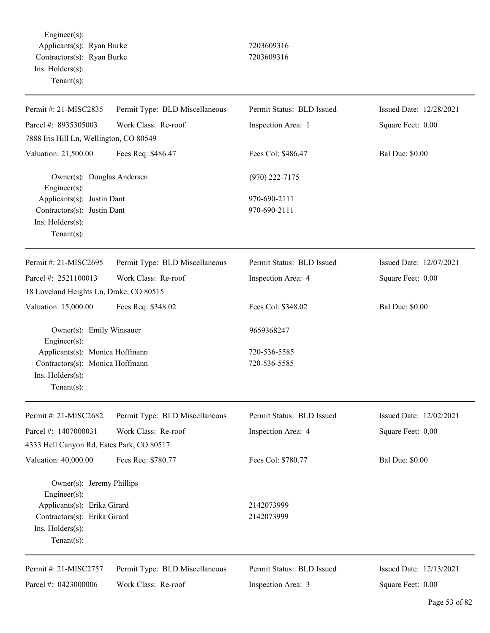Engineer(s): Applicants(s): Ryan Burke 7203609316 Contractors(s): Ryan Burke 7203609316 Ins. Holders(s): Tenant(s):

| Permit #: 21-MISC2835                       | Permit Type: BLD Miscellaneous | Permit Status: BLD Issued | Issued Date: 12/28/2021 |
|---------------------------------------------|--------------------------------|---------------------------|-------------------------|
| Parcel #: 8935305003                        | Work Class: Re-roof            | Inspection Area: 1        | Square Feet: 0.00       |
| 7888 Iris Hill Ln, Wellington, CO 80549     |                                |                           |                         |
| Valuation: 21,500.00                        | Fees Req: \$486.47             | Fees Col: \$486.47        | <b>Bal Due: \$0.00</b>  |
| Owner(s): Douglas Andersen<br>Engineer(s):  |                                | $(970)$ 222-7175          |                         |
| Applicants(s): Justin Dant                  |                                | 970-690-2111              |                         |
| Contractors(s): Justin Dant                 |                                | 970-690-2111              |                         |
| Ins. Holders(s):                            |                                |                           |                         |
| $Tenant(s)$ :                               |                                |                           |                         |
| Permit #: 21-MISC2695                       | Permit Type: BLD Miscellaneous | Permit Status: BLD Issued | Issued Date: 12/07/2021 |
| Parcel #: 2521100013                        | Work Class: Re-roof            | Inspection Area: 4        | Square Feet: 0.00       |
| 18 Loveland Heights Ln, Drake, CO 80515     |                                |                           |                         |
| Valuation: 15,000.00                        | Fees Req: \$348.02             | Fees Col: \$348.02        | <b>Bal Due: \$0.00</b>  |
| Owner(s): Emily Winsauer<br>Engineer(s):    |                                | 9659368247                |                         |
| Applicants(s): Monica Hoffmann              |                                | 720-536-5585              |                         |
| Contractors(s): Monica Hoffmann             |                                | 720-536-5585              |                         |
| Ins. Holders(s):                            |                                |                           |                         |
| $Tenant(s)$ :                               |                                |                           |                         |
| Permit #: 21-MISC2682                       | Permit Type: BLD Miscellaneous | Permit Status: BLD Issued | Issued Date: 12/02/2021 |
| Parcel #: 1407000031                        | Work Class: Re-roof            | Inspection Area: 4        | Square Feet: 0.00       |
| 4333 Hell Canyon Rd, Estes Park, CO 80517   |                                |                           |                         |
| Valuation: 40,000.00                        | Fees Req: \$780.77             | Fees Col: \$780.77        | <b>Bal Due: \$0.00</b>  |
| Owner(s): Jeremy Phillips                   |                                |                           |                         |
| Engineer(s):<br>Applicants(s): Erika Girard |                                | 2142073999                |                         |
| Contractors(s): Erika Girard                |                                | 2142073999                |                         |
| Ins. Holders(s):                            |                                |                           |                         |
| Tenant $(s)$ :                              |                                |                           |                         |
| Permit #: 21-MISC2757                       | Permit Type: BLD Miscellaneous | Permit Status: BLD Issued | Issued Date: 12/13/2021 |
| Parcel #: 0423000006                        | Work Class: Re-roof            | Inspection Area: 3        | Square Feet: 0.00       |
|                                             |                                |                           |                         |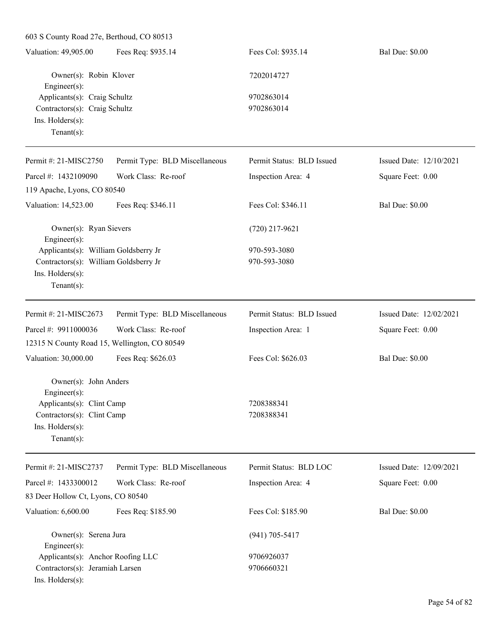603 S County Road 27e, Berthoud, CO 80513 Valuation: 49,905.00 Fees Req: \$935.14 Fees Col: \$935.14 Bal Due: \$0.00 Owner(s): Robin Klover 7202014727 Engineer(s): Applicants(s): Craig Schultz 9702863014 Contractors(s): Craig Schultz 9702863014 Ins. Holders(s): Tenant(s): Permit #: 21-MISC2750 Permit Type: BLD Miscellaneous Permit Status: BLD Issued Issued Date: 12/10/2021

Parcel #: 1432109090 Work Class: Re-roof Inspection Area: 4 Square Feet: 0.00 119 Apache, Lyons, CO 80540 Valuation: 14,523.00 Fees Req: \$346.11 Fees Col: \$346.11 Bal Due: \$0.00 Owner(s): Ryan Sievers (720) 217-9621 Engineer(s): Applicants(s): William Goldsberry Jr 970-593-3080 Contractors(s): William Goldsberry Jr 970-593-3080 Ins. Holders(s): Tenant(s): Permit #: 21-MISC2673 Parcel #: 9911000036 Permit Type: BLD Miscellaneous Work Class: Re-roof Permit Status: BLD Issued Inspection Area: 1 Issued Date: 12/02/2021 Square Feet: 0.00 12315 N County Road 15, Wellington, CO 80549 Valuation: 30,000.00 Fees Req: \$626.03 Fees Col: \$626.03 Bal Due: \$0.00 Owner(s): John Anders Engineer(s): Applicants(s): Clint Camp 7208388341 Contractors(s): Clint Camp 7208388341 Ins. Holders(s): Tenant(s): Permit #: 21-MISC2737 Parcel #: 1433300012 Permit Type: BLD Miscellaneous Work Class: Re-roof Permit Status: BLD LOC Inspection Area: 4 Issued Date: 12/09/2021 Square Feet: 0.00 83 Deer Hollow Ct, Lyons, CO 80540 Valuation: 6,600.00 Fees Req: \$185.90 Fees Col: \$185.90 Bal Due: \$0.00 Owner(s): Serena Jura (941) 705-5417

Engineer(s): Applicants(s): Anchor Roofing LLC 9706926037 Contractors(s): Jeramiah Larsen 9706660321 Ins. Holders(s):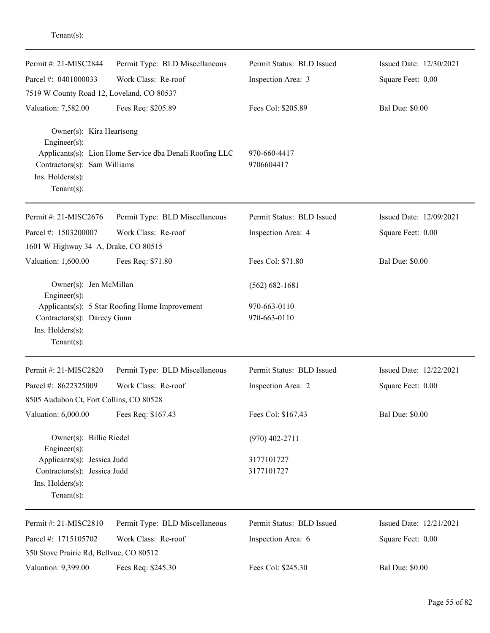| Permit #: 21-MISC2844                                             | Permit Type: BLD Miscellaneous                          | Permit Status: BLD Issued    | Issued Date: 12/30/2021 |
|-------------------------------------------------------------------|---------------------------------------------------------|------------------------------|-------------------------|
| Parcel #: 0401000033                                              | Work Class: Re-roof                                     | Inspection Area: 3           | Square Feet: 0.00       |
| 7519 W County Road 12, Loveland, CO 80537                         |                                                         |                              |                         |
| Valuation: 7,582.00                                               | Fees Req: \$205.89                                      | Fees Col: \$205.89           | <b>Bal Due: \$0.00</b>  |
| Owner(s): Kira Heartsong<br>Engineer(s):                          |                                                         |                              |                         |
| Contractors(s): Sam Williams<br>Ins. Holders(s):<br>$Tenant(s)$ : | Applicants(s): Lion Home Service dba Denali Roofing LLC | 970-660-4417<br>9706604417   |                         |
| Permit #: 21-MISC2676                                             | Permit Type: BLD Miscellaneous                          | Permit Status: BLD Issued    | Issued Date: 12/09/2021 |
| Parcel #: 1503200007                                              | Work Class: Re-roof                                     | Inspection Area: 4           | Square Feet: 0.00       |
| 1601 W Highway 34 A, Drake, CO 80515                              |                                                         |                              |                         |
| Valuation: 1,600.00                                               | Fees Req: \$71.80                                       | Fees Col: \$71.80            | <b>Bal Due: \$0.00</b>  |
| Owner(s): Jen McMillan<br>Engineer(s):                            |                                                         | $(562) 682 - 1681$           |                         |
| Contractors(s): Darcey Gunn<br>Ins. Holders(s):<br>$Tenant(s)$ :  | Applicants(s): 5 Star Roofing Home Improvement          | 970-663-0110<br>970-663-0110 |                         |
| Permit #: 21-MISC2820                                             | Permit Type: BLD Miscellaneous                          | Permit Status: BLD Issued    | Issued Date: 12/22/2021 |
| Parcel #: 8622325009                                              | Work Class: Re-roof                                     | Inspection Area: 2           | Square Feet: 0.00       |
| 8505 Audubon Ct, Fort Collins, CO 80528                           |                                                         |                              |                         |
| Valuation: 6,000.00                                               | Fees Req: \$167.43                                      | Fees Col: \$167.43           | <b>Bal Due: \$0.00</b>  |
| Owner(s): Billie Riedel<br>Engineer(s):                           |                                                         | $(970)$ 402-2711             |                         |
| Applicants(s): Jessica Judd                                       |                                                         | 3177101727                   |                         |
| Contractors(s): Jessica Judd                                      |                                                         | 3177101727                   |                         |
| Ins. Holders(s):<br>Tenant $(s)$ :                                |                                                         |                              |                         |
| Permit #: 21-MISC2810                                             | Permit Type: BLD Miscellaneous                          | Permit Status: BLD Issued    | Issued Date: 12/21/2021 |
| Parcel #: 1715105702                                              | Work Class: Re-roof                                     | Inspection Area: 6           | Square Feet: 0.00       |
| 350 Stove Prairie Rd, Bellvue, CO 80512                           |                                                         |                              |                         |
| Valuation: 9,399.00                                               | Fees Req: \$245.30                                      | Fees Col: \$245.30           | <b>Bal Due: \$0.00</b>  |

Tenant(s):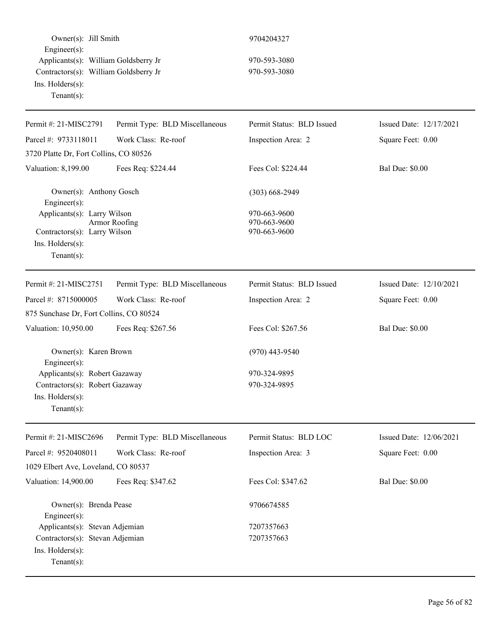Owner(s): Jill Smith 9704204327 Engineer(s): Applicants(s): William Goldsberry Jr 970-593-3080 Contractors(s): William Goldsberry Jr 970-593-3080 Ins. Holders(s): Tenant(s):

| Permit #: 21-MISC2791                               | Permit Type: BLD Miscellaneous | Permit Status: BLD Issued    | Issued Date: 12/17/2021 |
|-----------------------------------------------------|--------------------------------|------------------------------|-------------------------|
| Parcel #: 9733118011                                | Work Class: Re-roof            | Inspection Area: 2           | Square Feet: 0.00       |
| 3720 Platte Dr, Fort Collins, CO 80526              |                                |                              |                         |
| Valuation: 8,199.00                                 | Fees Req: \$224.44             | Fees Col: \$224.44           | <b>Bal Due: \$0.00</b>  |
| Owner(s): Anthony Gosch<br>Engineer(s):             |                                | $(303) 668 - 2949$           |                         |
| Applicants(s): Larry Wilson                         |                                | 970-663-9600                 |                         |
| Contractors(s): Larry Wilson                        | Armor Roofing                  | 970-663-9600<br>970-663-9600 |                         |
| Ins. Holders(s):                                    |                                |                              |                         |
| Tenant $(s)$ :                                      |                                |                              |                         |
| Permit #: 21-MISC2751                               | Permit Type: BLD Miscellaneous | Permit Status: BLD Issued    | Issued Date: 12/10/2021 |
| Parcel #: 8715000005                                | Work Class: Re-roof            | Inspection Area: 2           | Square Feet: 0.00       |
| 875 Sunchase Dr, Fort Collins, CO 80524             |                                |                              |                         |
| Valuation: 10,950.00                                | Fees Req: \$267.56             | Fees Col: \$267.56           | <b>Bal Due: \$0.00</b>  |
| Owner(s): Karen Brown                               |                                | $(970)$ 443-9540             |                         |
| $Engineering(s)$ :<br>Applicants(s): Robert Gazaway |                                | 970-324-9895                 |                         |
| Contractors(s): Robert Gazaway                      |                                | 970-324-9895                 |                         |
| Ins. Holders(s):                                    |                                |                              |                         |
| Tenant $(s)$ :                                      |                                |                              |                         |
| Permit #: 21-MISC2696                               | Permit Type: BLD Miscellaneous | Permit Status: BLD LOC       | Issued Date: 12/06/2021 |
| Parcel #: 9520408011                                | Work Class: Re-roof            | Inspection Area: 3           | Square Feet: 0.00       |
| 1029 Elbert Ave, Loveland, CO 80537                 |                                |                              |                         |
| Valuation: 14,900.00                                | Fees Req: \$347.62             | Fees Col: \$347.62           | <b>Bal Due: \$0.00</b>  |
| Owner(s): Brenda Pease<br>Engineer(s):              |                                | 9706674585                   |                         |
| Applicants(s): Stevan Adjemian                      |                                | 7207357663                   |                         |
| Contractors(s): Stevan Adjemian                     |                                | 7207357663                   |                         |
| Ins. Holders(s):                                    |                                |                              |                         |
| Tenant $(s)$ :                                      |                                |                              |                         |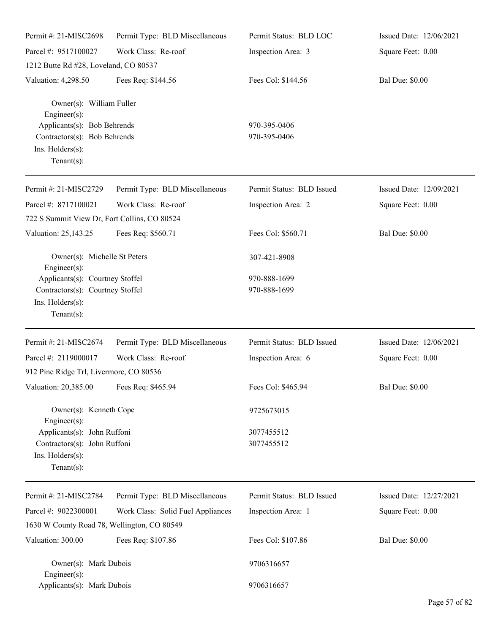| Permit #: 21-MISC2698                                                                             | Permit Type: BLD Miscellaneous    | Permit Status: BLD LOC    | Issued Date: 12/06/2021 |
|---------------------------------------------------------------------------------------------------|-----------------------------------|---------------------------|-------------------------|
| Parcel #: 9517100027                                                                              | Work Class: Re-roof               | Inspection Area: 3        | Square Feet: 0.00       |
| 1212 Butte Rd #28, Loveland, CO 80537                                                             |                                   |                           |                         |
| Valuation: 4,298.50                                                                               | Fees Req: \$144.56                | Fees Col: \$144.56        | <b>Bal Due: \$0.00</b>  |
| Owner(s): William Fuller<br>$Engineering(s)$ :<br>Applicants(s): Bob Behrends                     |                                   | 970-395-0406              |                         |
| Contractors(s): Bob Behrends<br>Ins. Holders(s):<br>Tenant $(s)$ :                                |                                   | 970-395-0406              |                         |
| Permit #: 21-MISC2729                                                                             | Permit Type: BLD Miscellaneous    | Permit Status: BLD Issued | Issued Date: 12/09/2021 |
| Parcel #: 8717100021<br>722 S Summit View Dr, Fort Collins, CO 80524                              | Work Class: Re-roof               | Inspection Area: 2        | Square Feet: 0.00       |
| Valuation: 25,143.25                                                                              | Fees Req: \$560.71                | Fees Col: \$560.71        | <b>Bal Due: \$0.00</b>  |
| Owner(s): Michelle St Peters<br>$Engineering(s)$ :                                                |                                   | 307-421-8908              |                         |
| Applicants(s): Courtney Stoffel                                                                   |                                   | 970-888-1699              |                         |
| Contractors(s): Courtney Stoffel                                                                  |                                   | 970-888-1699              |                         |
| Ins. Holders(s):<br>Tenant $(s)$ :                                                                |                                   |                           |                         |
| Permit #: 21-MISC2674                                                                             | Permit Type: BLD Miscellaneous    | Permit Status: BLD Issued | Issued Date: 12/06/2021 |
| Parcel #: 2119000017                                                                              | Work Class: Re-roof               | Inspection Area: 6        | Square Feet: 0.00       |
| 912 Pine Ridge Trl, Livermore, CO 80536                                                           |                                   |                           |                         |
| Valuation: 20,385.00 Fees Req: \$465.94                                                           |                                   | Fees Col: \$465.94        | <b>Bal Due: \$0.00</b>  |
| Owner(s): Kenneth Cope<br>$Engineering(s)$ :                                                      |                                   | 9725673015                |                         |
| Applicants(s): John Ruffoni<br>Contractors(s): John Ruffoni<br>Ins. Holders(s):<br>Tenant $(s)$ : |                                   | 3077455512<br>3077455512  |                         |
| Permit #: 21-MISC2784                                                                             | Permit Type: BLD Miscellaneous    | Permit Status: BLD Issued | Issued Date: 12/27/2021 |
| Parcel #: 9022300001                                                                              | Work Class: Solid Fuel Appliances | Inspection Area: 1        | Square Feet: 0.00       |
| 1630 W County Road 78, Wellington, CO 80549                                                       |                                   |                           |                         |
| Valuation: 300.00                                                                                 | Fees Req: \$107.86                | Fees Col: \$107.86        | <b>Bal Due: \$0.00</b>  |
| Owner(s): Mark Dubois<br>$Engineering(s)$ :                                                       |                                   | 9706316657                |                         |
| Applicants(s): Mark Dubois                                                                        |                                   | 9706316657                |                         |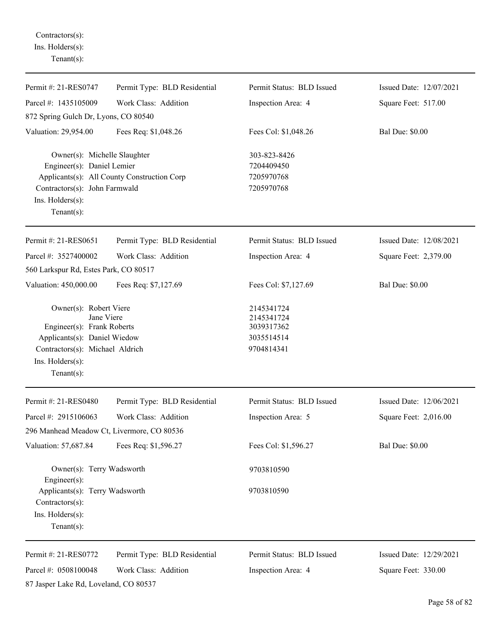Contractors(s): Ins. Holders(s): Tenant(s):

| Permit #: 21-RES0747                                                                                                                                                        | Permit Type: BLD Residential                | Permit Status: BLD Issued                                          | Issued Date: 12/07/2021 |
|-----------------------------------------------------------------------------------------------------------------------------------------------------------------------------|---------------------------------------------|--------------------------------------------------------------------|-------------------------|
| Parcel #: 1435105009                                                                                                                                                        | Work Class: Addition                        | Inspection Area: 4                                                 | Square Feet: 517.00     |
| 872 Spring Gulch Dr, Lyons, CO 80540                                                                                                                                        |                                             |                                                                    |                         |
| Valuation: 29,954.00                                                                                                                                                        | Fees Req: \$1,048.26                        | Fees Col: \$1,048.26                                               | <b>Bal Due: \$0.00</b>  |
| Owner(s): Michelle Slaughter<br>Engineer(s): Daniel Lemier<br>Contractors(s): John Farmwald<br>Ins. Holders(s):<br>Tenant $(s)$ :                                           | Applicants(s): All County Construction Corp | 303-823-8426<br>7204409450<br>7205970768<br>7205970768             |                         |
| Permit #: 21-RES0651                                                                                                                                                        | Permit Type: BLD Residential                | Permit Status: BLD Issued                                          | Issued Date: 12/08/2021 |
| Parcel #: 3527400002                                                                                                                                                        | Work Class: Addition                        | Inspection Area: 4                                                 | Square Feet: 2,379.00   |
| 560 Larkspur Rd, Estes Park, CO 80517                                                                                                                                       |                                             |                                                                    |                         |
| Valuation: 450,000.00                                                                                                                                                       | Fees Req: \$7,127.69                        | Fees Col: \$7,127.69                                               | <b>Bal Due: \$0.00</b>  |
| Owner(s): Robert Viere<br>Jane Viere<br>Engineer(s): Frank Roberts<br>Applicants(s): Daniel Wiedow<br>Contractors(s): Michael Aldrich<br>Ins. Holders(s):<br>Tenant $(s)$ : |                                             | 2145341724<br>2145341724<br>3039317362<br>3035514514<br>9704814341 |                         |
| Permit #: 21-RES0480                                                                                                                                                        | Permit Type: BLD Residential                | Permit Status: BLD Issued                                          | Issued Date: 12/06/2021 |
| Parcel #: 2915106063                                                                                                                                                        | Work Class: Addition                        | Inspection Area: 5                                                 | Square Feet: 2,016.00   |
| 296 Manhead Meadow Ct, Livermore, CO 80536                                                                                                                                  |                                             |                                                                    |                         |
| Valuation: 57,687.84                                                                                                                                                        | Fees Req: \$1,596.27                        | Fees Col: \$1,596.27                                               | <b>Bal Due: \$0.00</b>  |
| Owner(s): Terry Wadsworth<br>Engineer $(s)$ :                                                                                                                               |                                             | 9703810590                                                         |                         |
| Applicants(s): Terry Wadsworth<br>Contractors(s):<br>Ins. Holders(s):<br>Tenant $(s)$ :                                                                                     |                                             | 9703810590                                                         |                         |
| Permit #: 21-RES0772                                                                                                                                                        | Permit Type: BLD Residential                | Permit Status: BLD Issued                                          | Issued Date: 12/29/2021 |
| Parcel #: 0508100048                                                                                                                                                        | Work Class: Addition                        | Inspection Area: 4                                                 | Square Feet: 330.00     |
| 87 Jasper Lake Rd, Loveland, CO 80537                                                                                                                                       |                                             |                                                                    |                         |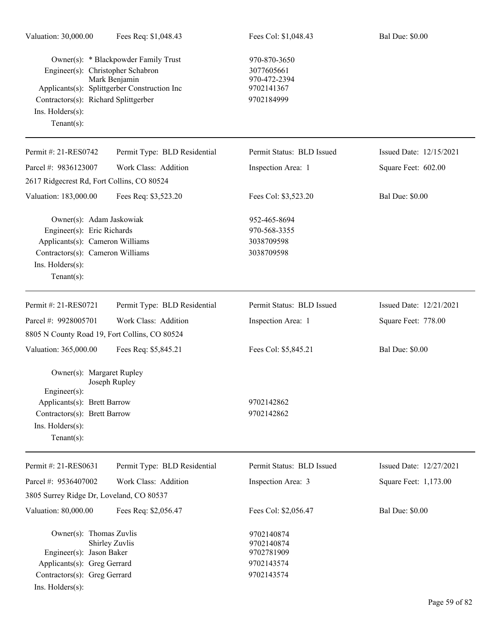| Valuation: 30,000.00                                                                                                                                                | Fees Req: \$1,048.43                                                                                  | Fees Col: \$1,048.43                                                   | <b>Bal Due: \$0.00</b>  |
|---------------------------------------------------------------------------------------------------------------------------------------------------------------------|-------------------------------------------------------------------------------------------------------|------------------------------------------------------------------------|-------------------------|
| Engineer(s): Christopher Schabron<br>Contractors(s): Richard Splittgerber<br>Ins. $H$ olders $(s)$ :<br>Tenant $(s)$ :                                              | Owner(s): * Blackpowder Family Trust<br>Mark Benjamin<br>Applicants(s): Splittgerber Construction Inc | 970-870-3650<br>3077605661<br>970-472-2394<br>9702141367<br>9702184999 |                         |
| Permit #: 21-RES0742                                                                                                                                                | Permit Type: BLD Residential                                                                          | Permit Status: BLD Issued                                              | Issued Date: 12/15/2021 |
| Parcel #: 9836123007                                                                                                                                                | Work Class: Addition                                                                                  | Inspection Area: 1                                                     | Square Feet: 602.00     |
| 2617 Ridgecrest Rd, Fort Collins, CO 80524                                                                                                                          |                                                                                                       |                                                                        |                         |
| Valuation: 183,000.00                                                                                                                                               | Fees Req: \$3,523.20                                                                                  | Fees Col: \$3,523.20                                                   | <b>Bal Due: \$0.00</b>  |
| Owner(s): Adam Jaskowiak<br>Engineer(s): Eric Richards<br>Applicants(s): Cameron Williams<br>Contractors(s): Cameron Williams<br>Ins. Holders(s):<br>Tenant $(s)$ : |                                                                                                       | 952-465-8694<br>970-568-3355<br>3038709598<br>3038709598               |                         |
| Permit #: 21-RES0721                                                                                                                                                | Permit Type: BLD Residential                                                                          | Permit Status: BLD Issued                                              | Issued Date: 12/21/2021 |
| Parcel #: 9928005701                                                                                                                                                | Work Class: Addition                                                                                  | Inspection Area: 1                                                     | Square Feet: 778.00     |
| 8805 N County Road 19, Fort Collins, CO 80524                                                                                                                       |                                                                                                       |                                                                        |                         |
| Valuation: 365,000.00                                                                                                                                               | Fees Req: \$5,845.21                                                                                  | Fees Col: \$5,845.21                                                   | <b>Bal Due: \$0.00</b>  |
| Owner(s): Margaret Rupley<br>Engineer $(s)$ :<br>Applicants(s): Brett Barrow<br>Contractors(s): Brett Barrow<br>Ins. Holders(s):<br>Tenant $(s)$ :                  | Joseph Rupley                                                                                         | 9702142862<br>9702142862                                               |                         |
|                                                                                                                                                                     |                                                                                                       |                                                                        |                         |
| Permit #: 21-RES0631                                                                                                                                                | Permit Type: BLD Residential                                                                          | Permit Status: BLD Issued                                              | Issued Date: 12/27/2021 |
| Parcel #: 9536407002                                                                                                                                                | Work Class: Addition                                                                                  | Inspection Area: 3                                                     | Square Feet: 1,173.00   |
| 3805 Surrey Ridge Dr, Loveland, CO 80537                                                                                                                            |                                                                                                       |                                                                        |                         |
| Valuation: 80,000.00                                                                                                                                                | Fees Req: \$2,056.47                                                                                  | Fees Col: \$2,056.47                                                   | <b>Bal Due: \$0.00</b>  |
| Owner(s): Thomas Zuvlis<br>Engineer(s): Jason Baker<br>Applicants(s): Greg Gerrard<br>Contractors(s): Greg Gerrard<br>Ins. Holders(s):                              | Shirley Zuvlis                                                                                        | 9702140874<br>9702140874<br>9702781909<br>9702143574<br>9702143574     |                         |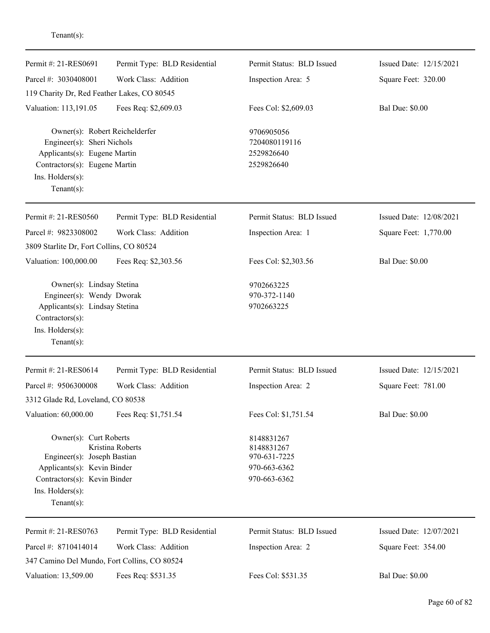| Permit #: 21-RES0691                                                                                                                                                | Permit Type: BLD Residential | Permit Status: BLD Issued                                                | Issued Date: 12/15/2021 |
|---------------------------------------------------------------------------------------------------------------------------------------------------------------------|------------------------------|--------------------------------------------------------------------------|-------------------------|
| Parcel #: 3030408001                                                                                                                                                | Work Class: Addition         | Inspection Area: 5                                                       | Square Feet: 320.00     |
| 119 Charity Dr, Red Feather Lakes, CO 80545                                                                                                                         |                              |                                                                          |                         |
| Valuation: 113,191.05                                                                                                                                               | Fees Req: \$2,609.03         | Fees Col: \$2,609.03                                                     | <b>Bal Due: \$0.00</b>  |
| Owner(s): Robert Reichelderfer<br>Engineer(s): Sheri Nichols<br>Applicants(s): Eugene Martin<br>Contractors(s): Eugene Martin<br>Ins. Holders(s):<br>Tenant $(s)$ : |                              | 9706905056<br>7204080119116<br>2529826640<br>2529826640                  |                         |
| Permit #: 21-RES0560                                                                                                                                                | Permit Type: BLD Residential | Permit Status: BLD Issued                                                | Issued Date: 12/08/2021 |
| Parcel #: 9823308002                                                                                                                                                | Work Class: Addition         | Inspection Area: 1                                                       | Square Feet: 1,770.00   |
| 3809 Starlite Dr, Fort Collins, CO 80524                                                                                                                            |                              |                                                                          |                         |
| Valuation: 100,000.00                                                                                                                                               | Fees Req: \$2,303.56         | Fees Col: \$2,303.56                                                     | <b>Bal Due: \$0.00</b>  |
| Owner(s): Lindsay Stetina<br>Engineer(s): Wendy Dworak<br>Applicants(s): Lindsay Stetina<br>Contractors(s):<br>Ins. Holders(s):<br>Tenant $(s)$ :                   |                              | 9702663225<br>970-372-1140<br>9702663225                                 |                         |
| Permit #: 21-RES0614                                                                                                                                                | Permit Type: BLD Residential | Permit Status: BLD Issued                                                | Issued Date: 12/15/2021 |
| Parcel #: 9506300008                                                                                                                                                | Work Class: Addition         | Inspection Area: 2                                                       | Square Feet: 781.00     |
| 3312 Glade Rd, Loveland, CO 80538                                                                                                                                   |                              |                                                                          |                         |
| Valuation: 60,000.00                                                                                                                                                | Fees Req: \$1,751.54         | Fees Col: \$1,751.54                                                     | <b>Bal Due: \$0.00</b>  |
| Owner(s): Curt Roberts<br>Engineer(s): Joseph Bastian<br>Applicants(s): Kevin Binder<br>Contractors(s): Kevin Binder<br>Ins. Holders(s):<br>Tenant $(s)$ :          | Kristina Roberts             | 8148831267<br>8148831267<br>970-631-7225<br>970-663-6362<br>970-663-6362 |                         |
| Permit #: 21-RES0763                                                                                                                                                | Permit Type: BLD Residential | Permit Status: BLD Issued                                                | Issued Date: 12/07/2021 |
| Parcel #: 8710414014                                                                                                                                                | Work Class: Addition         | Inspection Area: 2                                                       | Square Feet: 354.00     |
| 347 Camino Del Mundo, Fort Collins, CO 80524                                                                                                                        |                              |                                                                          |                         |
| Valuation: 13,509.00                                                                                                                                                | Fees Req: \$531.35           | Fees Col: \$531.35                                                       | <b>Bal Due: \$0.00</b>  |
|                                                                                                                                                                     |                              |                                                                          |                         |

Tenant(s):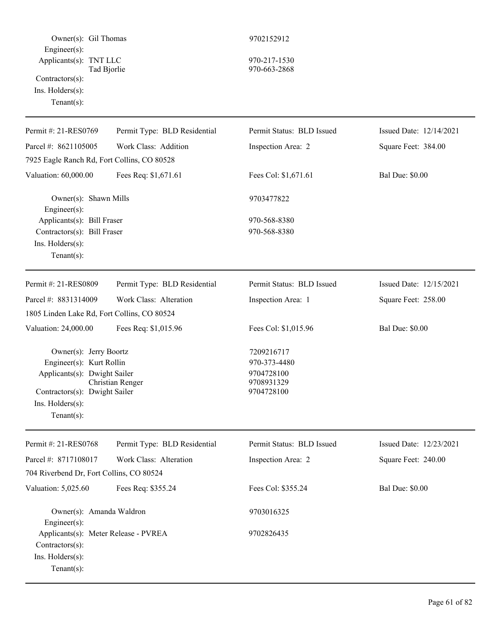| Owner(s): Gil Thomas<br>Engineer(s):                                                                                                                     |                              | 9702152912                                                           |                         |
|----------------------------------------------------------------------------------------------------------------------------------------------------------|------------------------------|----------------------------------------------------------------------|-------------------------|
| Applicants(s): TNT LLC<br>Tad Bjorlie<br>Contractors(s):<br>Ins. Holders(s):<br>$Tenant(s)$ :                                                            |                              | 970-217-1530<br>970-663-2868                                         |                         |
| Permit #: 21-RES0769                                                                                                                                     | Permit Type: BLD Residential | Permit Status: BLD Issued                                            | Issued Date: 12/14/2021 |
| Parcel #: 8621105005                                                                                                                                     | Work Class: Addition         | Inspection Area: 2                                                   | Square Feet: 384.00     |
| 7925 Eagle Ranch Rd, Fort Collins, CO 80528                                                                                                              |                              |                                                                      |                         |
| Valuation: 60,000.00                                                                                                                                     | Fees Req: \$1,671.61         | Fees Col: \$1,671.61                                                 | <b>Bal Due: \$0.00</b>  |
| Owner(s): Shawn Mills<br>Engineer(s):                                                                                                                    |                              | 9703477822                                                           |                         |
| Applicants(s): Bill Fraser<br>Contractors(s): Bill Fraser<br>Ins. Holders(s):<br>$Tenant(s)$ :                                                           |                              | 970-568-8380<br>970-568-8380                                         |                         |
| Permit #: 21-RES0809                                                                                                                                     | Permit Type: BLD Residential | Permit Status: BLD Issued                                            | Issued Date: 12/15/2021 |
| Parcel #: 8831314009                                                                                                                                     | Work Class: Alteration       | Inspection Area: 1                                                   | Square Feet: 258.00     |
| 1805 Linden Lake Rd, Fort Collins, CO 80524                                                                                                              |                              |                                                                      |                         |
| Valuation: 24,000.00                                                                                                                                     | Fees Req: \$1,015.96         | Fees Col: \$1,015.96                                                 | <b>Bal Due: \$0.00</b>  |
| Owner(s): Jerry Boortz<br>Engineer(s): Kurt Rollin<br>Applicants(s): Dwight Sailer<br>Contractors(s): Dwight Sailer<br>Ins. Holders(s):<br>$Tenant(s)$ : | Christian Renger             | 7209216717<br>970-373-4480<br>9704728100<br>9708931329<br>9704728100 |                         |
| Permit #: 21-RES0768                                                                                                                                     | Permit Type: BLD Residential | Permit Status: BLD Issued                                            | Issued Date: 12/23/2021 |
| Parcel #: 8717108017                                                                                                                                     | Work Class: Alteration       | Inspection Area: 2                                                   | Square Feet: 240.00     |
| 704 Riverbend Dr, Fort Collins, CO 80524                                                                                                                 |                              |                                                                      |                         |
| Valuation: 5,025.60                                                                                                                                      | Fees Req: \$355.24           | Fees Col: \$355.24                                                   | <b>Bal Due: \$0.00</b>  |
| Owner(s): Amanda Waldron<br>Engineer(s):                                                                                                                 |                              | 9703016325                                                           |                         |
| Applicants(s): Meter Release - PVREA<br>Contractors(s):<br>Ins. Holders(s):<br>$Tenant(s)$ :                                                             |                              | 9702826435                                                           |                         |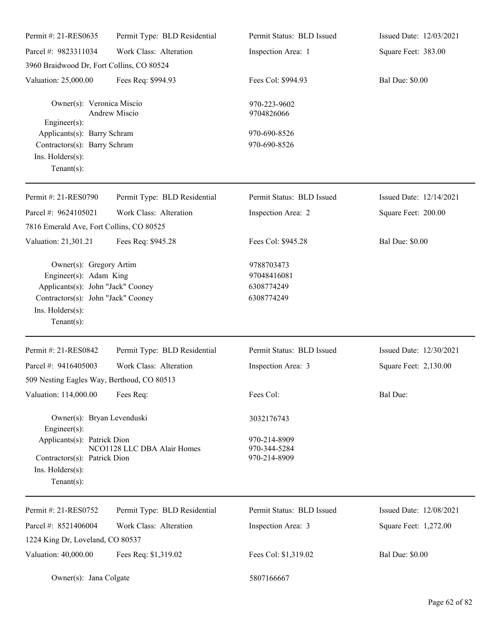| Permit #: 21-RES0635                                                                                                                                               | Permit Type: BLD Residential | Permit Status: BLD Issued                             | Issued Date: 12/03/2021 |
|--------------------------------------------------------------------------------------------------------------------------------------------------------------------|------------------------------|-------------------------------------------------------|-------------------------|
| Parcel #: 9823311034                                                                                                                                               | Work Class: Alteration       | Inspection Area: 1                                    | Square Feet: 383.00     |
| 3960 Braidwood Dr, Fort Collins, CO 80524                                                                                                                          |                              |                                                       |                         |
| Valuation: 25,000.00                                                                                                                                               | Fees Req: \$994.93           | Fees Col: \$994.93                                    | <b>Bal Due: \$0.00</b>  |
| Owner(s): Veronica Miscio<br>Engineer(s):                                                                                                                          | Andrew Miscio                | 970-223-9602<br>9704826066                            |                         |
| Applicants(s): Barry Schram<br>Contractors(s): Barry Schram<br>Ins. Holders(s):<br>Tenant $(s)$ :                                                                  |                              | 970-690-8526<br>970-690-8526                          |                         |
| Permit #: 21-RES0790                                                                                                                                               | Permit Type: BLD Residential | Permit Status: BLD Issued                             | Issued Date: 12/14/2021 |
| Parcel #: 9624105021<br>7816 Emerald Ave, Fort Collins, CO 80525                                                                                                   | Work Class: Alteration       | Inspection Area: 2                                    | Square Feet: 200.00     |
| Valuation: 21,301.21                                                                                                                                               | Fees Req: \$945.28           | Fees Col: \$945.28                                    | <b>Bal Due: \$0.00</b>  |
| Owner(s): Gregory Artim<br>Engineer(s): Adam King<br>Applicants(s): John "Jack" Cooney<br>Contractors(s): John "Jack" Cooney<br>Ins. Holders(s):<br>Tenant $(s)$ : |                              | 9788703473<br>97048416081<br>6308774249<br>6308774249 |                         |
| Permit #: 21-RES0842                                                                                                                                               | Permit Type: BLD Residential | Permit Status: BLD Issued                             | Issued Date: 12/30/2021 |
| Parcel #: 9416405003<br>509 Nesting Eagles Way, Berthoud, CO 80513                                                                                                 | Work Class: Alteration       | Inspection Area: 3                                    | Square Feet: 2,130.00   |
| Valuation: 114,000.00                                                                                                                                              | Fees Req:                    | Fees Col:                                             | Bal Due:                |
| Owner(s): Bryan Levenduski<br>Engineer(s):                                                                                                                         |                              | 3032176743                                            |                         |
| Applicants(s): Patrick Dion<br>Contractors(s): Patrick Dion<br>Ins. Holders(s):<br>Tenant $(s)$ :                                                                  | NCO1128 LLC DBA Alair Homes  | 970-214-8909<br>970-344-5284<br>970-214-8909          |                         |
| Permit #: 21-RES0752                                                                                                                                               | Permit Type: BLD Residential | Permit Status: BLD Issued                             | Issued Date: 12/08/2021 |
| Parcel #: 8521406004                                                                                                                                               | Work Class: Alteration       | Inspection Area: 3                                    | Square Feet: 1,272.00   |
| 1224 King Dr, Loveland, CO 80537                                                                                                                                   |                              |                                                       |                         |
| Valuation: 40,000.00                                                                                                                                               | Fees Req: \$1,319.02         | Fees Col: \$1,319.02                                  | <b>Bal Due: \$0.00</b>  |
| Owner(s): Jana Colgate                                                                                                                                             |                              | 5807166667                                            |                         |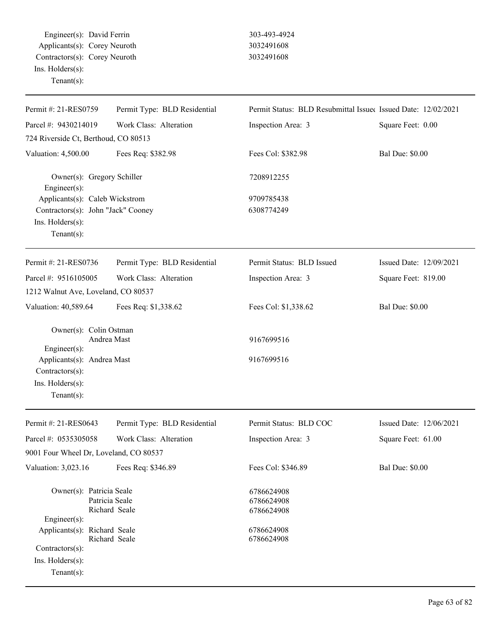Engineer(s): David Ferrin 303-493-4924 Applicants(s): Corey Neuroth 3032491608 Contractors(s): Corey Neuroth 3032491608 Ins. Holders(s): Tenant(s):

| Permit #: 21-RES0759                                                                                       | Permit Type: BLD Residential    | Permit Status: BLD Resubmittal Issued Issued Date: 12/02/2021 |                         |
|------------------------------------------------------------------------------------------------------------|---------------------------------|---------------------------------------------------------------|-------------------------|
| Parcel #: 9430214019                                                                                       | Work Class: Alteration          | Inspection Area: 3                                            | Square Feet: 0.00       |
| 724 Riverside Ct, Berthoud, CO 80513                                                                       |                                 |                                                               |                         |
| Valuation: 4,500.00                                                                                        | Fees Req: \$382.98              | Fees Col: \$382.98                                            | <b>Bal Due: \$0.00</b>  |
| Owner(s): Gregory Schiller<br>Engineer(s):                                                                 |                                 | 7208912255                                                    |                         |
| Applicants(s): Caleb Wickstrom<br>Contractors(s): John "Jack" Cooney<br>Ins. Holders(s):<br>Tenant $(s)$ : |                                 | 9709785438<br>6308774249                                      |                         |
| Permit #: 21-RES0736                                                                                       | Permit Type: BLD Residential    | Permit Status: BLD Issued                                     | Issued Date: 12/09/2021 |
| Parcel #: 9516105005<br>1212 Walnut Ave, Loveland, CO 80537                                                | Work Class: Alteration          | Inspection Area: 3                                            | Square Feet: 819.00     |
| Valuation: 40,589.64                                                                                       | Fees Req: \$1,338.62            | Fees Col: \$1,338.62                                          | <b>Bal Due: \$0.00</b>  |
| Owner(s): Colin Ostman<br>Engineer(s):                                                                     | Andrea Mast                     | 9167699516                                                    |                         |
| Applicants(s): Andrea Mast<br>Contractors(s):<br>Ins. Holders(s):<br>Tenant $(s)$ :                        |                                 | 9167699516                                                    |                         |
| Permit #: 21-RES0643                                                                                       | Permit Type: BLD Residential    | Permit Status: BLD COC                                        | Issued Date: 12/06/2021 |
| Parcel #: 0535305058                                                                                       | Work Class: Alteration          | Inspection Area: 3                                            | Square Feet: 61.00      |
| 9001 Four Wheel Dr, Loveland, CO 80537                                                                     |                                 |                                                               |                         |
| Valuation: 3,023.16                                                                                        | Fees Req: \$346.89              | Fees Col: \$346.89                                            | <b>Bal Due: \$0.00</b>  |
| Owner(s): Patricia Seale<br>$Engineering(s)$ :                                                             | Patricia Seale<br>Richard Seale | 6786624908<br>6786624908<br>6786624908                        |                         |
| Applicants(s): Richard Seale<br>Contractors(s):<br>Ins. $H$ olders $(s)$ :<br>Tenant $(s)$ :               | Richard Seale                   | 6786624908<br>6786624908                                      |                         |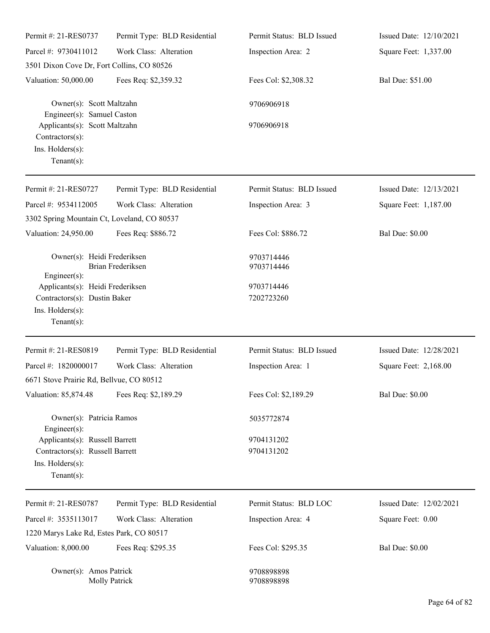| Permit #: 21-RES0737                                                                                    | Permit Type: BLD Residential | Permit Status: BLD Issued | Issued Date: 12/10/2021 |
|---------------------------------------------------------------------------------------------------------|------------------------------|---------------------------|-------------------------|
| Parcel #: 9730411012                                                                                    | Work Class: Alteration       | Inspection Area: 2        | Square Feet: 1,337.00   |
| 3501 Dixon Cove Dr, Fort Collins, CO 80526                                                              |                              |                           |                         |
| Valuation: 50,000.00                                                                                    | Fees Req: \$2,359.32         | Fees Col: \$2,308.32      | Bal Due: \$51.00        |
| Owner(s): Scott Maltzahn<br>Engineer(s): Samuel Caston                                                  |                              | 9706906918                |                         |
| Applicants(s): Scott Maltzahn<br>$Contractors(s)$ :<br>Ins. Holders(s):<br>Tenant $(s)$ :               |                              | 9706906918                |                         |
| Permit #: 21-RES0727                                                                                    | Permit Type: BLD Residential | Permit Status: BLD Issued | Issued Date: 12/13/2021 |
| Parcel #: 9534112005                                                                                    | Work Class: Alteration       | Inspection Area: 3        | Square Feet: 1,187.00   |
| 3302 Spring Mountain Ct, Loveland, CO 80537                                                             |                              |                           |                         |
| Valuation: 24,950.00                                                                                    | Fees Req: \$886.72           | Fees Col: \$886.72        | <b>Bal Due: \$0.00</b>  |
| Owner(s): Heidi Frederiksen                                                                             | Brian Frederiksen            | 9703714446<br>9703714446  |                         |
| $Engineering(s)$ :                                                                                      |                              |                           |                         |
| Applicants(s): Heidi Frederiksen                                                                        |                              | 9703714446                |                         |
| Contractors(s): Dustin Baker                                                                            |                              | 7202723260                |                         |
| Ins. Holders(s):<br>Tenant $(s)$ :                                                                      |                              |                           |                         |
| Permit #: 21-RES0819                                                                                    | Permit Type: BLD Residential | Permit Status: BLD Issued | Issued Date: 12/28/2021 |
| Parcel #: 1820000017                                                                                    | Work Class: Alteration       | Inspection Area: 1        | Square Feet: 2,168.00   |
| 6671 Stove Prairie Rd, Bellvue, CO 80512                                                                |                              |                           |                         |
| Valuation: 85,874.48                                                                                    | Fees Req: \$2,189.29         | Fees Col: \$2,189.29      | <b>Bal Due: \$0.00</b>  |
| Owner(s): Patricia Ramos<br>Engineer $(s)$ :                                                            |                              | 5035772874                |                         |
| Applicants(s): Russell Barrett<br>Contractors(s): Russell Barrett<br>Ins. Holders(s):<br>Tenant $(s)$ : |                              | 9704131202<br>9704131202  |                         |
| Permit #: 21-RES0787                                                                                    | Permit Type: BLD Residential | Permit Status: BLD LOC    | Issued Date: 12/02/2021 |
| Parcel #: 3535113017                                                                                    | Work Class: Alteration       | Inspection Area: 4        | Square Feet: 0.00       |
| 1220 Marys Lake Rd, Estes Park, CO 80517                                                                |                              |                           |                         |
| Valuation: 8,000.00                                                                                     | Fees Req: \$295.35           | Fees Col: \$295.35        | <b>Bal Due: \$0.00</b>  |
| Owner(s): Amos Patrick                                                                                  | <b>Molly Patrick</b>         | 9708898898<br>9708898898  |                         |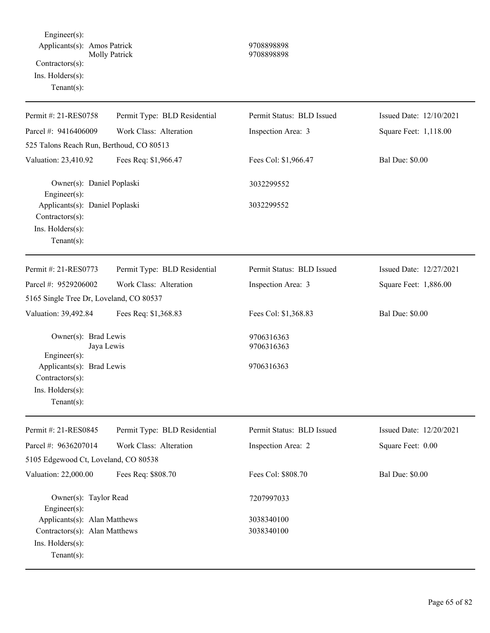Engineer(s): Applicants(s): Amos Patrick 9708898898 Molly Patrick 9708898898 Contractors(s): Ins. Holders(s): Tenant(s):

| Permit #: 21-RES0758                                                                                                                    | Permit Type: BLD Residential | Permit Status: BLD Issued | Issued Date: 12/10/2021 |  |  |
|-----------------------------------------------------------------------------------------------------------------------------------------|------------------------------|---------------------------|-------------------------|--|--|
| Parcel #: 9416406009                                                                                                                    | Work Class: Alteration       | Inspection Area: 3        | Square Feet: 1,118.00   |  |  |
| 525 Talons Reach Run, Berthoud, CO 80513                                                                                                |                              |                           |                         |  |  |
| Valuation: 23,410.92                                                                                                                    | Fees Req: \$1,966.47         | Fees Col: \$1,966.47      | <b>Bal Due: \$0.00</b>  |  |  |
| Owner(s): Daniel Poplaski<br>Engineer $(s)$ :                                                                                           |                              | 3032299552                |                         |  |  |
| Applicants(s): Daniel Poplaski<br>Contractors(s):<br>Ins. Holders(s):<br>Tenant $(s)$ :                                                 |                              | 3032299552                |                         |  |  |
| Permit #: 21-RES0773                                                                                                                    | Permit Type: BLD Residential | Permit Status: BLD Issued | Issued Date: 12/27/2021 |  |  |
| Parcel #: 9529206002                                                                                                                    | Work Class: Alteration       | Inspection Area: 3        | Square Feet: 1,886.00   |  |  |
| 5165 Single Tree Dr, Loveland, CO 80537                                                                                                 |                              |                           |                         |  |  |
| Valuation: 39,492.84                                                                                                                    | Fees Req: \$1,368.83         | Fees Col: \$1,368.83      | <b>Bal Due: \$0.00</b>  |  |  |
| Owner(s): Brad Lewis<br>Jaya Lewis<br>Engineer(s):<br>Applicants(s): Brad Lewis<br>Contractors(s):<br>Ins. Holders(s):<br>$Tenant(s)$ : |                              | 9706316363<br>9706316363  |                         |  |  |
|                                                                                                                                         |                              | 9706316363                |                         |  |  |
| Permit #: 21-RES0845                                                                                                                    | Permit Type: BLD Residential | Permit Status: BLD Issued | Issued Date: 12/20/2021 |  |  |
| Parcel #: 9636207014                                                                                                                    | Work Class: Alteration       | Inspection Area: 2        | Square Feet: 0.00       |  |  |
| 5105 Edgewood Ct, Loveland, CO 80538                                                                                                    |                              |                           |                         |  |  |
| Valuation: 22,000.00                                                                                                                    | Fees Req: \$808.70           | Fees Col: \$808.70        | <b>Bal Due: \$0.00</b>  |  |  |
| Owner(s): Taylor Read<br>Engineer(s):                                                                                                   |                              | 7207997033                |                         |  |  |
| Applicants(s): Alan Matthews                                                                                                            |                              | 3038340100                |                         |  |  |
| Contractors(s): Alan Matthews<br>Ins. Holders(s):<br>Tenant $(s)$ :                                                                     |                              | 3038340100                |                         |  |  |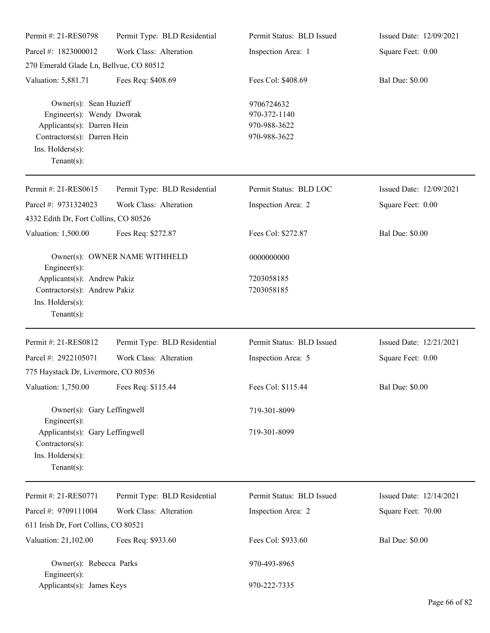| Permit #: 21-RES0798                                                                                                                                     | Permit Type: BLD Residential | Permit Status: BLD Issued                                  | Issued Date: 12/09/2021 |
|----------------------------------------------------------------------------------------------------------------------------------------------------------|------------------------------|------------------------------------------------------------|-------------------------|
| Parcel #: 1823000012                                                                                                                                     | Work Class: Alteration       | Inspection Area: 1                                         | Square Feet: 0.00       |
| 270 Emerald Glade Ln, Bellvue, CO 80512                                                                                                                  |                              |                                                            |                         |
| Valuation: 5,881.71                                                                                                                                      | Fees Req: \$408.69           | Fees Col: \$408.69                                         | <b>Bal Due: \$0.00</b>  |
| Owner(s): Sean Huzieff<br>Engineer(s): Wendy Dworak<br>Applicants(s): Darren Hein<br>Contractors(s): Darren Hein<br>Ins. Holders(s):<br>Tenant $(s)$ :   |                              | 9706724632<br>970-372-1140<br>970-988-3622<br>970-988-3622 |                         |
| Permit #: 21-RES0615                                                                                                                                     | Permit Type: BLD Residential | Permit Status: BLD LOC                                     | Issued Date: 12/09/2021 |
| Parcel #: 9731324023<br>4332 Edith Dr, Fort Collins, CO 80526                                                                                            | Work Class: Alteration       | Inspection Area: 2                                         | Square Feet: 0.00       |
| Valuation: 1,500.00                                                                                                                                      | Fees Req: \$272.87           | Fees Col: \$272.87                                         | <b>Bal Due: \$0.00</b>  |
| Owner(s): OWNER NAME WITHHELD<br>$Engineering(s)$ :<br>Applicants(s): Andrew Pakiz<br>Contractors(s): Andrew Pakiz<br>Ins. Holders(s):<br>Tenant $(s)$ : |                              | 0000000000                                                 |                         |
|                                                                                                                                                          |                              | 7203058185<br>7203058185                                   |                         |
| Permit #: 21-RES0812                                                                                                                                     | Permit Type: BLD Residential | Permit Status: BLD Issued                                  | Issued Date: 12/21/2021 |
| Parcel #: 2922105071                                                                                                                                     | Work Class: Alteration       | Inspection Area: 5                                         | Square Feet: 0.00       |
| 775 Haystack Dr, Livermore, CO 80536                                                                                                                     |                              |                                                            |                         |
| Valuation: 1,750.00 Fees Req: \$115.44                                                                                                                   |                              | Fees Col: \$115.44                                         | <b>Bal Due: \$0.00</b>  |
| Owner(s): Gary Leffingwell<br>$Engineering(s)$ :                                                                                                         |                              | 719-301-8099                                               |                         |
| Applicants(s): Gary Leffingwell<br>Contractors(s):<br>Ins. Holders(s):<br>Tenant $(s)$ :                                                                 |                              | 719-301-8099                                               |                         |
| Permit #: 21-RES0771                                                                                                                                     | Permit Type: BLD Residential | Permit Status: BLD Issued                                  | Issued Date: 12/14/2021 |
| Parcel #: 9709111004                                                                                                                                     | Work Class: Alteration       | Inspection Area: 2                                         | Square Feet: 70.00      |
| 611 Irish Dr, Fort Collins, CO 80521                                                                                                                     |                              |                                                            |                         |
| Valuation: 21,102.00                                                                                                                                     | Fees Req: \$933.60           | Fees Col: \$933.60                                         | <b>Bal Due: \$0.00</b>  |
| Owner(s): Rebecca Parks<br>$Engineering(s)$ :                                                                                                            |                              | 970-493-8965                                               |                         |
| Applicants(s): James Keys                                                                                                                                |                              | 970-222-7335                                               |                         |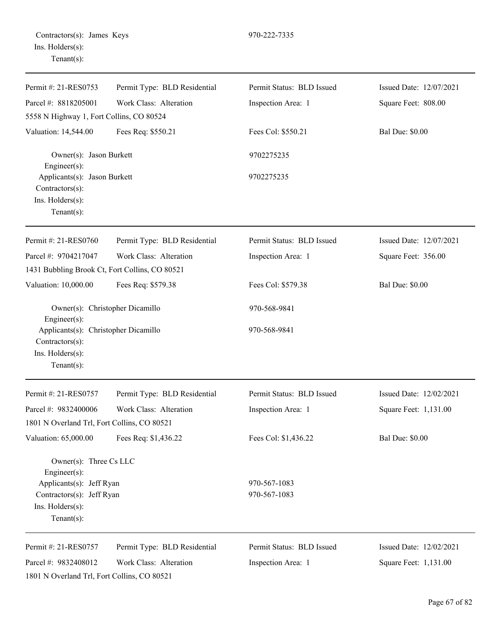| Permit #: 21-RES0753                                                        | Permit Type: BLD Residential | Permit Status: BLD Issued | Issued Date: 12/07/2021 |
|-----------------------------------------------------------------------------|------------------------------|---------------------------|-------------------------|
| Parcel #: 8818205001                                                        | Work Class: Alteration       | Inspection Area: 1        | Square Feet: 808.00     |
| 5558 N Highway 1, Fort Collins, CO 80524                                    |                              |                           |                         |
| Valuation: 14,544.00                                                        | Fees Req: \$550.21           | Fees Col: \$550.21        | <b>Bal Due: \$0.00</b>  |
| Owner(s): Jason Burkett<br>Engineer(s):                                     |                              | 9702275235                |                         |
| Applicants(s): Jason Burkett<br>$Contractors(s)$ :<br>Ins. Holders(s):      |                              | 9702275235                |                         |
| Tenant $(s)$ :                                                              |                              |                           |                         |
| Permit #: 21-RES0760                                                        | Permit Type: BLD Residential | Permit Status: BLD Issued | Issued Date: 12/07/2021 |
| Parcel #: 9704217047<br>1431 Bubbling Brook Ct, Fort Collins, CO 80521      | Work Class: Alteration       | Inspection Area: 1        | Square Feet: 356.00     |
| Valuation: 10,000.00                                                        | Fees Req: \$579.38           | Fees Col: \$579.38        | <b>Bal Due: \$0.00</b>  |
| Owner(s): Christopher Dicamillo<br>Engineer(s):                             |                              | 970-568-9841              |                         |
| Applicants(s): Christopher Dicamillo<br>Contractors(s):<br>Ins. Holders(s): |                              | 970-568-9841              |                         |
| Tenant $(s)$ :                                                              |                              |                           |                         |
| Permit #: 21-RES0757                                                        | Permit Type: BLD Residential | Permit Status: BLD Issued | Issued Date: 12/02/2021 |
| Parcel #: 9832400006                                                        | Work Class: Alteration       | Inspection Area: 1        | Square Feet: 1,131.00   |
| 1801 N Overland Trl, Fort Collins, CO 80521                                 |                              |                           |                         |
| Valuation: 65,000.00                                                        | Fees Req: \$1,436.22         | Fees Col: \$1,436.22      | <b>Bal Due: \$0.00</b>  |
| Owner(s): Three Cs LLC<br>Engineer(s):                                      |                              |                           |                         |
| Applicants(s): Jeff Ryan                                                    |                              | 970-567-1083              |                         |
| Contractors(s): Jeff Ryan                                                   |                              | 970-567-1083              |                         |
| Ins. Holders(s):<br>Tenant $(s)$ :                                          |                              |                           |                         |
| Permit #: 21-RES0757                                                        | Permit Type: BLD Residential | Permit Status: BLD Issued | Issued Date: 12/02/2021 |
| Parcel #: 9832408012                                                        | Work Class: Alteration       | Inspection Area: 1        | Square Feet: 1,131.00   |
| 1801 N Overland Trl, Fort Collins, CO 80521                                 |                              |                           |                         |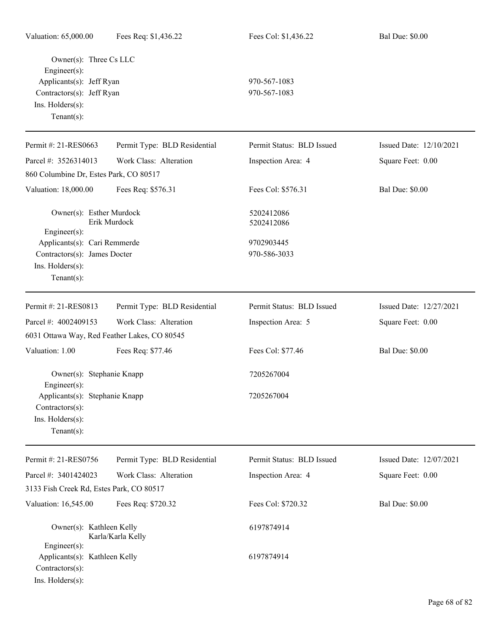| Owner(s): Three Cs LLC<br>Engineer(s):<br>Applicants(s): Jeff Ryan<br>Contractors(s): Jeff Ryan<br>Ins. Holders(s):<br>Tenant $(s)$ : |                              | 970-567-1083<br>970-567-1083 |                         |
|---------------------------------------------------------------------------------------------------------------------------------------|------------------------------|------------------------------|-------------------------|
| Permit #: 21-RES0663                                                                                                                  | Permit Type: BLD Residential | Permit Status: BLD Issued    | Issued Date: 12/10/2021 |
| Parcel #: 3526314013                                                                                                                  | Work Class: Alteration       | Inspection Area: 4           | Square Feet: 0.00       |
| 860 Columbine Dr, Estes Park, CO 80517                                                                                                |                              |                              |                         |
| Valuation: 18,000.00                                                                                                                  | Fees Req: \$576.31           | Fees Col: \$576.31           | <b>Bal Due: \$0.00</b>  |
| Owner(s): Esther Murdock<br>Engineer $(s)$ :                                                                                          | Erik Murdock                 | 5202412086<br>5202412086     |                         |
| Applicants(s): Cari Remmerde                                                                                                          |                              | 9702903445                   |                         |
| Contractors(s): James Docter                                                                                                          |                              | 970-586-3033                 |                         |
| Ins. Holders(s):<br>Tenant $(s)$ :                                                                                                    |                              |                              |                         |
| Permit #: 21-RES0813                                                                                                                  | Permit Type: BLD Residential | Permit Status: BLD Issued    | Issued Date: 12/27/2021 |
| Parcel #: 4002409153                                                                                                                  | Work Class: Alteration       | Inspection Area: 5           | Square Feet: 0.00       |
| 6031 Ottawa Way, Red Feather Lakes, CO 80545                                                                                          |                              |                              |                         |
| Valuation: 1.00                                                                                                                       | Fees Req: \$77.46            | Fees Col: \$77.46            | <b>Bal Due: \$0.00</b>  |
| Owner(s): Stephanie Knapp<br>Engineer(s):                                                                                             |                              | 7205267004                   |                         |
| Applicants(s): Stephanie Knapp<br>$Contractors(s)$ :<br>Ins. Holders(s):<br>Tenant $(s)$ :                                            |                              | 7205267004                   |                         |
| Permit #: 21-RES0756                                                                                                                  | Permit Type: BLD Residential | Permit Status: BLD Issued    | Issued Date: 12/07/2021 |
| Parcel #: 3401424023                                                                                                                  | Work Class: Alteration       | Inspection Area: 4           | Square Feet: 0.00       |
| 3133 Fish Creek Rd, Estes Park, CO 80517                                                                                              |                              |                              |                         |
| Valuation: 16,545.00                                                                                                                  | Fees Req: \$720.32           | Fees Col: \$720.32           | <b>Bal Due: \$0.00</b>  |
|                                                                                                                                       |                              |                              |                         |
| Owner(s): Kathleen Kelly<br>Karla/Karla Kelly<br>Engineer(s):                                                                         |                              | 6197874914                   |                         |
| Applicants(s): Kathleen Kelly<br>Contractors(s):<br>Ins. Holders(s):                                                                  |                              | 6197874914                   |                         |

<u>.</u>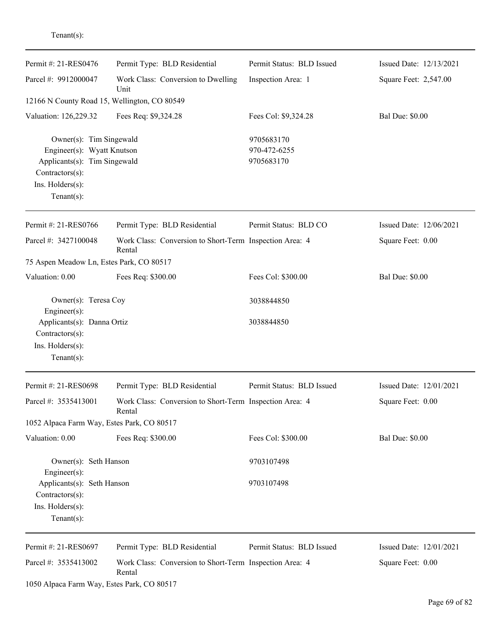| enant s |  |  |
|---------|--|--|
|         |  |  |
|         |  |  |

| Permit #: 21-RES0476                                                                                                                       | Permit Type: BLD Residential                                      | Permit Status: BLD Issued                | Issued Date: 12/13/2021 |
|--------------------------------------------------------------------------------------------------------------------------------------------|-------------------------------------------------------------------|------------------------------------------|-------------------------|
| Parcel #: 9912000047                                                                                                                       | Work Class: Conversion to Dwelling<br>Unit                        | Inspection Area: 1                       | Square Feet: 2,547.00   |
| 12166 N County Road 15, Wellington, CO 80549                                                                                               |                                                                   |                                          |                         |
| Valuation: 126,229.32                                                                                                                      | Fees Req: \$9,324.28                                              | Fees Col: \$9,324.28                     | <b>Bal Due: \$0.00</b>  |
| Owner(s): Tim Singewald<br>Engineer(s): Wyatt Knutson<br>Applicants(s): Tim Singewald<br>Contractors(s):<br>Ins. Holders(s):<br>Tenant(s): |                                                                   | 9705683170<br>970-472-6255<br>9705683170 |                         |
| Permit #: 21-RES0766                                                                                                                       | Permit Type: BLD Residential                                      | Permit Status: BLD CO                    | Issued Date: 12/06/2021 |
| Parcel #: 3427100048                                                                                                                       | Work Class: Conversion to Short-Term Inspection Area: 4<br>Rental |                                          | Square Feet: 0.00       |
| 75 Aspen Meadow Ln, Estes Park, CO 80517                                                                                                   |                                                                   |                                          |                         |
| Valuation: 0.00                                                                                                                            | Fees Req: \$300.00                                                | Fees Col: \$300.00                       | <b>Bal Due: \$0.00</b>  |
| Owner(s): Teresa Coy<br>Engineer(s):                                                                                                       |                                                                   | 3038844850                               |                         |
| Applicants(s): Danna Ortiz<br>Contractors(s):<br>Ins. Holders(s):<br>Tenant $(s)$ :                                                        |                                                                   | 3038844850                               |                         |
| Permit #: 21-RES0698                                                                                                                       | Permit Type: BLD Residential                                      | Permit Status: BLD Issued                | Issued Date: 12/01/2021 |
| Parcel #: 3535413001                                                                                                                       | Work Class: Conversion to Short-Term Inspection Area: 4<br>Rental |                                          | Square Feet: 0.00       |
| 1052 Alpaca Farm Way, Estes Park, CO 80517                                                                                                 |                                                                   |                                          |                         |
| Valuation: 0.00                                                                                                                            | Fees Req: \$300.00                                                | Fees Col: \$300.00                       | <b>Bal Due: \$0.00</b>  |
| Owner(s): Seth Hanson<br>Engineer $(s)$ :                                                                                                  |                                                                   | 9703107498                               |                         |
| Applicants(s): Seth Hanson<br>Contractors(s):<br>Ins. Holders(s):<br>$Tenant(s)$ :                                                         |                                                                   | 9703107498                               |                         |
| Permit #: 21-RES0697                                                                                                                       | Permit Type: BLD Residential                                      | Permit Status: BLD Issued                | Issued Date: 12/01/2021 |
| Parcel #: 3535413002                                                                                                                       | Work Class: Conversion to Short-Term Inspection Area: 4<br>Rental |                                          | Square Feet: 0.00       |
| 1050 Alpaca Farm Way, Estes Park, CO 80517                                                                                                 |                                                                   |                                          |                         |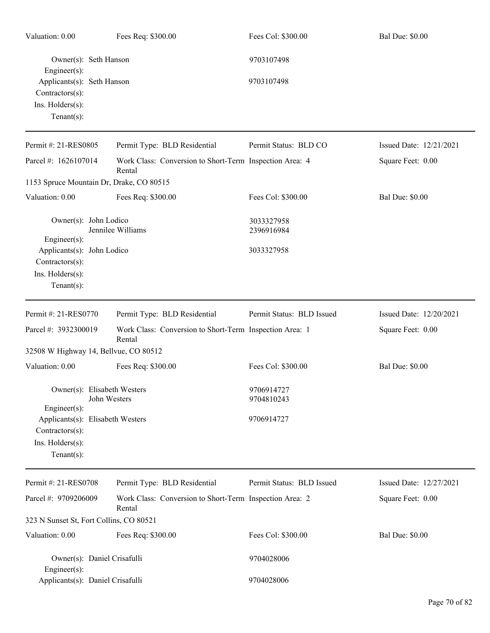| Valuation: 0.00                                                                           |              | Fees Req: \$300.00                                                | Fees Col: \$300.00        | <b>Bal Due: \$0.00</b>  |
|-------------------------------------------------------------------------------------------|--------------|-------------------------------------------------------------------|---------------------------|-------------------------|
| Owner(s): Seth Hanson<br>$Engineering(s)$ :                                               |              | 9703107498                                                        |                           |                         |
| Applicants(s): Seth Hanson<br>Contractors(s):<br>Ins. Holders(s):<br>$Tenant(s)$ :        |              |                                                                   | 9703107498                |                         |
| Permit #: 21-RES0805                                                                      |              | Permit Type: BLD Residential                                      | Permit Status: BLD CO     | Issued Date: 12/21/2021 |
| Parcel #: 1626107014                                                                      |              | Work Class: Conversion to Short-Term Inspection Area: 4<br>Rental |                           | Square Feet: 0.00       |
| 1153 Spruce Mountain Dr, Drake, CO 80515                                                  |              |                                                                   |                           |                         |
| Valuation: 0.00                                                                           |              | Fees Req: \$300.00                                                | Fees Col: \$300.00        | <b>Bal Due: \$0.00</b>  |
| Owner(s): John Lodico<br>Engineer(s):                                                     |              | Jennilee Williams                                                 | 3033327958<br>2396916984  |                         |
| Applicants(s): John Lodico<br>Contractors(s):<br>Ins. Holders(s):<br>Tenant $(s)$ :       |              |                                                                   | 3033327958                |                         |
| Permit #: 21-RES0770                                                                      |              | Permit Type: BLD Residential                                      | Permit Status: BLD Issued | Issued Date: 12/20/2021 |
| Parcel #: 3932300019                                                                      |              | Work Class: Conversion to Short-Term Inspection Area: 1<br>Rental |                           | Square Feet: 0.00       |
| 32508 W Highway 14, Bellvue, CO 80512                                                     |              |                                                                   |                           |                         |
| Valuation: 0.00                                                                           |              | Fees Req: \$300.00                                                | Fees Col: \$300.00        | <b>Bal Due: \$0.00</b>  |
| Owner(s): Elisabeth Westers<br>$Engineering(s)$ :                                         | John Westers |                                                                   | 9706914727<br>9704810243  |                         |
| Applicants(s): Elisabeth Westers<br>Contractors(s):<br>Ins. Holders(s):<br>Tenant $(s)$ : |              |                                                                   | 9706914727                |                         |
| Permit #: 21-RES0708                                                                      |              | Permit Type: BLD Residential                                      | Permit Status: BLD Issued | Issued Date: 12/27/2021 |
| Parcel #: 9709206009                                                                      |              | Work Class: Conversion to Short-Term Inspection Area: 2<br>Rental |                           | Square Feet: 0.00       |
| 323 N Sunset St, Fort Collins, CO 80521                                                   |              |                                                                   |                           |                         |
| Valuation: 0.00                                                                           |              | Fees Req: \$300.00                                                | Fees Col: \$300.00        | <b>Bal Due: \$0.00</b>  |
| Owner(s): Daniel Crisafulli<br>Engineer $(s)$ :                                           |              |                                                                   | 9704028006                |                         |
| Applicants(s): Daniel Crisafulli                                                          |              |                                                                   | 9704028006                |                         |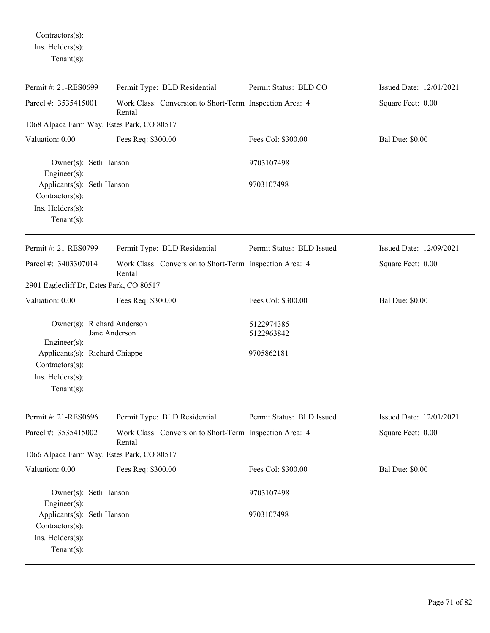Contractors(s): Ins. Holders(s): Tenant(s):

| Permit #: 21-RES0699                                                                                                                                  | Permit Type: BLD Residential                                      | Permit Status: BLD CO                  | Issued Date: 12/01/2021 |
|-------------------------------------------------------------------------------------------------------------------------------------------------------|-------------------------------------------------------------------|----------------------------------------|-------------------------|
| Parcel #: 3535415001                                                                                                                                  | Work Class: Conversion to Short-Term Inspection Area: 4<br>Rental |                                        | Square Feet: 0.00       |
| 1068 Alpaca Farm Way, Estes Park, CO 80517                                                                                                            |                                                                   |                                        |                         |
| Valuation: 0.00                                                                                                                                       | Fees Req: \$300.00                                                | Fees Col: \$300.00                     | <b>Bal Due: \$0.00</b>  |
| Owner(s): Seth Hanson<br>$Engineering(s)$ :<br>Applicants(s): Seth Hanson<br>$Contractors(s)$ :<br>Ins. $H$ olders $(s)$ :<br>$Tenant(s)$ :           |                                                                   | 9703107498<br>9703107498               |                         |
| Permit #: 21-RES0799                                                                                                                                  | Permit Type: BLD Residential                                      | Permit Status: BLD Issued              | Issued Date: 12/09/2021 |
| Parcel #: 3403307014                                                                                                                                  | Work Class: Conversion to Short-Term Inspection Area: 4<br>Rental |                                        | Square Feet: 0.00       |
| 2901 Eaglecliff Dr, Estes Park, CO 80517                                                                                                              |                                                                   |                                        |                         |
| Valuation: 0.00                                                                                                                                       | Fees Req: \$300.00                                                | Fees Col: \$300.00                     | <b>Bal Due: \$0.00</b>  |
| Owner(s): Richard Anderson<br>Jane Anderson<br>Engineer(s):<br>Applicants(s): Richard Chiappe<br>Contractors(s):<br>Ins. Holders(s):<br>$Tenant(s)$ : |                                                                   | 5122974385<br>5122963842<br>9705862181 |                         |
| Permit #: 21-RES0696                                                                                                                                  | Permit Type: BLD Residential                                      | Permit Status: BLD Issued              | Issued Date: 12/01/2021 |
| Parcel #: 3535415002                                                                                                                                  | Work Class: Conversion to Short-Term Inspection Area: 4<br>Rental |                                        | Square Feet: 0.00       |
| 1066 Alpaca Farm Way, Estes Park, CO 80517                                                                                                            |                                                                   |                                        |                         |
| Valuation: 0.00                                                                                                                                       | Fees Req: \$300.00                                                | Fees Col: \$300.00                     | <b>Bal Due: \$0.00</b>  |
| Owner(s): Seth Hanson<br>Engineer $(s)$ :<br>Applicants(s): Seth Hanson<br>Contractors(s):<br>Ins. Holders(s):                                        |                                                                   | 9703107498<br>9703107498               |                         |
| Tenant $(s)$ :                                                                                                                                        |                                                                   |                                        |                         |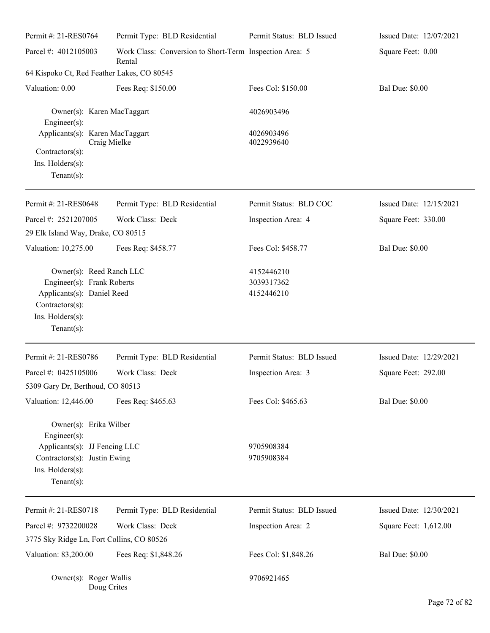| Permit #: 21-RES0764                                                                                                                          | Permit Type: BLD Residential                                      | Permit Status: BLD Issued              | Issued Date: 12/07/2021 |
|-----------------------------------------------------------------------------------------------------------------------------------------------|-------------------------------------------------------------------|----------------------------------------|-------------------------|
| Parcel #: 4012105003                                                                                                                          | Work Class: Conversion to Short-Term Inspection Area: 5<br>Rental |                                        | Square Feet: 0.00       |
| 64 Kispoko Ct, Red Feather Lakes, CO 80545                                                                                                    |                                                                   |                                        |                         |
| Valuation: 0.00                                                                                                                               | Fees Req: \$150.00                                                | Fees Col: \$150.00                     | <b>Bal Due: \$0.00</b>  |
| Owner(s): Karen MacTaggart<br>$Engineering(s)$ :                                                                                              |                                                                   | 4026903496                             |                         |
| Applicants(s): Karen MacTaggart<br>Craig Mielke                                                                                               |                                                                   | 4026903496<br>4022939640               |                         |
| Contractors(s):<br>Ins. Holders(s):                                                                                                           |                                                                   |                                        |                         |
| Tenant $(s)$ :                                                                                                                                |                                                                   |                                        |                         |
|                                                                                                                                               |                                                                   |                                        |                         |
| Permit #: 21-RES0648                                                                                                                          | Permit Type: BLD Residential                                      | Permit Status: BLD COC                 | Issued Date: 12/15/2021 |
| Parcel #: 2521207005                                                                                                                          | Work Class: Deck                                                  | Inspection Area: 4                     | Square Feet: 330.00     |
| 29 Elk Island Way, Drake, CO 80515                                                                                                            |                                                                   |                                        |                         |
| Valuation: 10,275.00                                                                                                                          | Fees Req: \$458.77                                                | Fees Col: \$458.77                     | <b>Bal Due: \$0.00</b>  |
| Owner(s): Reed Ranch LLC<br>Engineer(s): Frank Roberts<br>Applicants(s): Daniel Reed<br>Contractors(s):<br>Ins. Holders(s):<br>Tenant $(s)$ : |                                                                   | 4152446210<br>3039317362<br>4152446210 |                         |
| Permit #: 21-RES0786                                                                                                                          | Permit Type: BLD Residential                                      | Permit Status: BLD Issued              | Issued Date: 12/29/2021 |
| Parcel #: 0425105006<br>5309 Gary Dr, Berthoud, CO 80513                                                                                      | Work Class: Deck                                                  | Inspection Area: 3                     | Square Feet: 292.00     |
| Valuation: 12,446.00                                                                                                                          | Fees Req: \$465.63                                                | Fees Col: \$465.63                     | <b>Bal Due: \$0.00</b>  |
| Owner(s): Erika Wilber<br>$Engineering(s)$ :                                                                                                  |                                                                   |                                        |                         |
| Applicants(s): JJ Fencing LLC<br>Contractors(s): Justin Ewing<br>Ins. Holders(s):<br>Tenant $(s)$ :                                           |                                                                   | 9705908384<br>9705908384               |                         |
| Permit #: 21-RES0718                                                                                                                          | Permit Type: BLD Residential                                      | Permit Status: BLD Issued              | Issued Date: 12/30/2021 |
| Parcel #: 9732200028                                                                                                                          | Work Class: Deck                                                  | Inspection Area: 2                     | Square Feet: 1,612.00   |
| 3775 Sky Ridge Ln, Fort Collins, CO 80526                                                                                                     |                                                                   |                                        |                         |
| Valuation: 83,200.00                                                                                                                          | Fees Req: \$1,848.26                                              | Fees Col: \$1,848.26                   | <b>Bal Due: \$0.00</b>  |
| Owner(s): Roger Wallis<br>Doug Crites                                                                                                         |                                                                   | 9706921465                             |                         |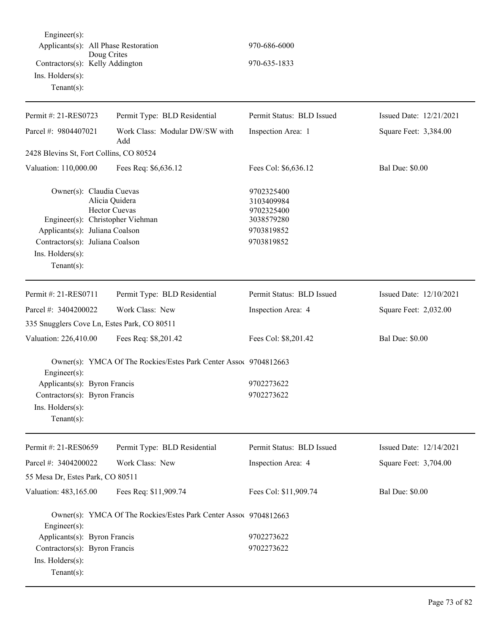Engineer(s): Applicants(s): All Phase Restoration 970-686-6000 Doug Crites Contractors(s): Kelly Addington 970-635-1833 Ins. Holders(s): Tenant(s):

| Permit #: 21-RES0723                                                                                                                                                   | Permit Type: BLD Residential                                     | Permit Status: BLD Issued                                                        | Issued Date: 12/21/2021 |
|------------------------------------------------------------------------------------------------------------------------------------------------------------------------|------------------------------------------------------------------|----------------------------------------------------------------------------------|-------------------------|
| Parcel #: 9804407021                                                                                                                                                   | Work Class: Modular DW/SW with<br>Add                            | Inspection Area: 1                                                               | Square Feet: 3,384.00   |
| 2428 Blevins St, Fort Collins, CO 80524                                                                                                                                |                                                                  |                                                                                  |                         |
| Valuation: 110,000.00                                                                                                                                                  | Fees Req: \$6,636.12                                             | Fees Col: \$6,636.12                                                             | <b>Bal Due: \$0.00</b>  |
| Owner(s): Claudia Cuevas<br>Engineer(s): Christopher Viehman<br>Applicants(s): Juliana Coalson<br>Contractors(s): Juliana Coalson<br>Ins. Holders(s):<br>$Tenant(s)$ : | Alicia Quidera<br><b>Hector Cuevas</b>                           | 9702325400<br>3103409984<br>9702325400<br>3038579280<br>9703819852<br>9703819852 |                         |
| Permit #: 21-RES0711                                                                                                                                                   | Permit Type: BLD Residential                                     | Permit Status: BLD Issued                                                        | Issued Date: 12/10/2021 |
| Parcel #: 3404200022                                                                                                                                                   | Work Class: New                                                  | Inspection Area: 4                                                               | Square Feet: 2,032.00   |
| 335 Snugglers Cove Ln, Estes Park, CO 80511                                                                                                                            |                                                                  |                                                                                  |                         |
| Valuation: 226,410.00                                                                                                                                                  | Fees Req: \$8,201.42                                             | Fees Col: \$8,201.42                                                             | <b>Bal Due: \$0.00</b>  |
| Engineer(s):                                                                                                                                                           | Owner(s): YMCA Of The Rockies/Estes Park Center Assoc 9704812663 |                                                                                  |                         |
| Applicants(s): Byron Francis                                                                                                                                           |                                                                  | 9702273622                                                                       |                         |
| Contractors(s): Byron Francis                                                                                                                                          |                                                                  | 9702273622                                                                       |                         |
| Ins. Holders(s):<br>$Tenant(s)$ :                                                                                                                                      |                                                                  |                                                                                  |                         |
| Permit #: 21-RES0659                                                                                                                                                   | Permit Type: BLD Residential                                     | Permit Status: BLD Issued                                                        | Issued Date: 12/14/2021 |
| Parcel #: 3404200022                                                                                                                                                   | Work Class: New                                                  | Inspection Area: 4                                                               | Square Feet: 3,704.00   |
| 55 Mesa Dr, Estes Park, CO 80511                                                                                                                                       |                                                                  |                                                                                  |                         |
| Valuation: 483,165.00                                                                                                                                                  | Fees Req: \$11,909.74                                            | Fees Col: \$11,909.74                                                            | <b>Bal Due: \$0.00</b>  |
| Engineer(s):                                                                                                                                                           | Owner(s): YMCA Of The Rockies/Estes Park Center Assoc 9704812663 |                                                                                  |                         |
| Applicants(s): Byron Francis                                                                                                                                           |                                                                  | 9702273622                                                                       |                         |
| Contractors(s): Byron Francis                                                                                                                                          |                                                                  | 9702273622                                                                       |                         |
| Ins. Holders(s):                                                                                                                                                       |                                                                  |                                                                                  |                         |
| $Tenant(s)$ :                                                                                                                                                          |                                                                  |                                                                                  |                         |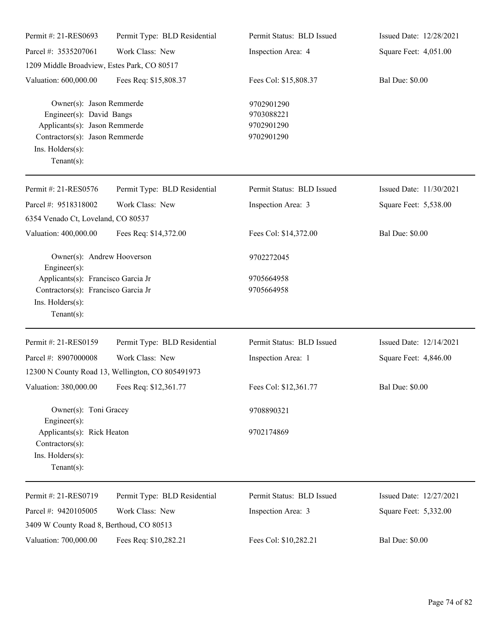| Permit #: 21-RES0693                                                                                                                                          | Permit Type: BLD Residential                     | Permit Status: BLD Issued                            | Issued Date: 12/28/2021 |
|---------------------------------------------------------------------------------------------------------------------------------------------------------------|--------------------------------------------------|------------------------------------------------------|-------------------------|
| Parcel #: 3535207061                                                                                                                                          | Work Class: New                                  | Inspection Area: 4                                   | Square Feet: 4,051.00   |
| 1209 Middle Broadview, Estes Park, CO 80517                                                                                                                   |                                                  |                                                      |                         |
| Valuation: 600,000.00                                                                                                                                         | Fees Req: \$15,808.37                            | Fees Col: \$15,808.37                                | <b>Bal Due: \$0.00</b>  |
| Owner(s): Jason Remmerde<br>Engineer(s): David Bangs<br>Applicants(s): Jason Remmerde<br>Contractors(s): Jason Remmerde<br>Ins. Holders(s):<br>Tenant $(s)$ : |                                                  | 9702901290<br>9703088221<br>9702901290<br>9702901290 |                         |
| Permit #: 21-RES0576                                                                                                                                          | Permit Type: BLD Residential                     | Permit Status: BLD Issued                            | Issued Date: 11/30/2021 |
| Parcel #: 9518318002                                                                                                                                          | Work Class: New                                  | Inspection Area: 3                                   | Square Feet: 5,538.00   |
| 6354 Venado Ct, Loveland, CO 80537                                                                                                                            |                                                  |                                                      |                         |
| Valuation: 400,000.00                                                                                                                                         | Fees Req: \$14,372.00                            | Fees Col: \$14,372.00                                | <b>Bal Due: \$0.00</b>  |
| Owner(s): Andrew Hooverson<br>Engineer(s):                                                                                                                    |                                                  | 9702272045                                           |                         |
| Applicants(s): Francisco Garcia Jr                                                                                                                            |                                                  | 9705664958                                           |                         |
| Contractors(s): Francisco Garcia Jr                                                                                                                           |                                                  | 9705664958                                           |                         |
| Ins. Holders(s):<br>Tenant $(s)$ :                                                                                                                            |                                                  |                                                      |                         |
|                                                                                                                                                               |                                                  |                                                      |                         |
| Permit #: 21-RES0159                                                                                                                                          | Permit Type: BLD Residential                     | Permit Status: BLD Issued                            | Issued Date: 12/14/2021 |
| Parcel #: 8907000008                                                                                                                                          | Work Class: New                                  | Inspection Area: 1                                   | Square Feet: 4,846.00   |
|                                                                                                                                                               | 12300 N County Road 13, Wellington, CO 805491973 |                                                      |                         |
| Valuation: 380,000.00 Fees Req: \$12,361.77                                                                                                                   |                                                  | Fees Col: \$12,361.77                                | <b>Bal Due: \$0.00</b>  |
| Owner(s): Toni Gracey<br>Engineer $(s)$ :                                                                                                                     |                                                  | 9708890321                                           |                         |
| Applicants(s): Rick Heaton<br>Contractors(s):<br>Ins. Holders(s):<br>Tenant $(s)$ :                                                                           |                                                  | 9702174869                                           |                         |
| Permit #: 21-RES0719                                                                                                                                          | Permit Type: BLD Residential                     | Permit Status: BLD Issued                            | Issued Date: 12/27/2021 |
| Parcel #: 9420105005                                                                                                                                          | Work Class: New                                  | Inspection Area: 3                                   | Square Feet: 5,332.00   |
| 3409 W County Road 8, Berthoud, CO 80513                                                                                                                      |                                                  |                                                      |                         |
| Valuation: 700,000.00                                                                                                                                         | Fees Req: \$10,282.21                            | Fees Col: \$10,282.21                                | <b>Bal Due: \$0.00</b>  |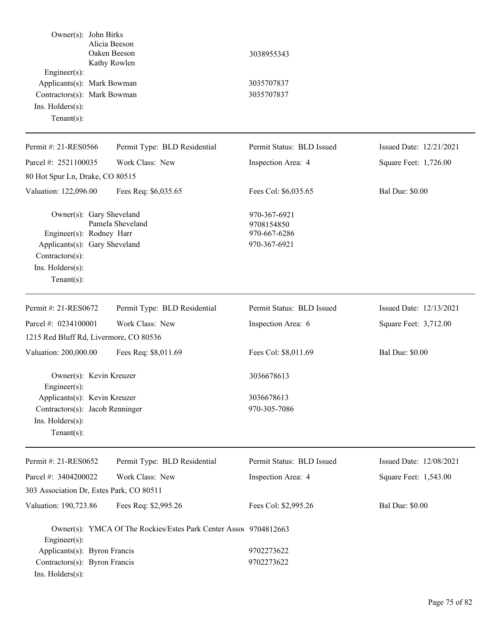| Owner(s): John Birks                                                                                                                          | Alicia Beeson<br>Oaken Beeson<br>Kathy Rowlen                    | 3038955343                                                 |                         |
|-----------------------------------------------------------------------------------------------------------------------------------------------|------------------------------------------------------------------|------------------------------------------------------------|-------------------------|
| $Engineering(s)$ :<br>Applicants(s): Mark Bowman<br>Contractors(s): Mark Bowman<br>Ins. Holders(s):<br>$Tenant(s)$ :                          |                                                                  | 3035707837<br>3035707837                                   |                         |
| Permit #: 21-RES0566                                                                                                                          | Permit Type: BLD Residential                                     | Permit Status: BLD Issued                                  | Issued Date: 12/21/2021 |
| Parcel #: 2521100035                                                                                                                          | Work Class: New                                                  | Inspection Area: 4                                         | Square Feet: 1,726.00   |
| 80 Hot Spur Ln, Drake, CO 80515                                                                                                               |                                                                  |                                                            |                         |
| Valuation: 122,096.00                                                                                                                         | Fees Req: \$6,035.65                                             | Fees Col: \$6,035.65                                       | <b>Bal Due: \$0.00</b>  |
| Owner(s): Gary Sheveland<br>Engineer(s): Rodney Harr<br>Applicants(s): Gary Sheveland<br>Contractors(s):<br>Ins. Holders(s):<br>$Tenant(s)$ : | Pamela Sheveland                                                 | 970-367-6921<br>9708154850<br>970-667-6286<br>970-367-6921 |                         |
| Permit #: 21-RES0672                                                                                                                          | Permit Type: BLD Residential                                     | Permit Status: BLD Issued                                  | Issued Date: 12/13/2021 |
| Parcel #: 0234100001                                                                                                                          | Work Class: New                                                  | Inspection Area: 6                                         | Square Feet: 3,712.00   |
| 1215 Red Bluff Rd, Livermore, CO 80536                                                                                                        |                                                                  |                                                            |                         |
| Valuation: 200,000.00                                                                                                                         | Fees Req: \$8,011.69                                             | Fees Col: \$8,011.69                                       | <b>Bal Due: \$0.00</b>  |
| Owner(s): Kevin Kreuzer<br>Engineer(s):                                                                                                       |                                                                  | 3036678613                                                 |                         |
| Applicants(s): Kevin Kreuzer<br>Contractors(s): Jacob Renninger<br>Ins. Holders(s):<br>Tenant $(s)$ :                                         |                                                                  | 3036678613<br>970-305-7086                                 |                         |
| Permit #: 21-RES0652                                                                                                                          | Permit Type: BLD Residential                                     | Permit Status: BLD Issued                                  | Issued Date: 12/08/2021 |
| Parcel #: 3404200022                                                                                                                          | Work Class: New                                                  | Inspection Area: 4                                         | Square Feet: 1,543.00   |
| 303 Association Dr, Estes Park, CO 80511                                                                                                      |                                                                  |                                                            |                         |
| Valuation: 190,723.86                                                                                                                         | Fees Req: \$2,995.26                                             | Fees Col: \$2,995.26                                       | <b>Bal Due: \$0.00</b>  |
| Engineer(s):                                                                                                                                  | Owner(s): YMCA Of The Rockies/Estes Park Center Assoc 9704812663 |                                                            |                         |
| Applicants(s): Byron Francis                                                                                                                  |                                                                  | 9702273622                                                 |                         |
| Contractors(s): Byron Francis<br>Ins. Holders(s):                                                                                             |                                                                  | 9702273622                                                 |                         |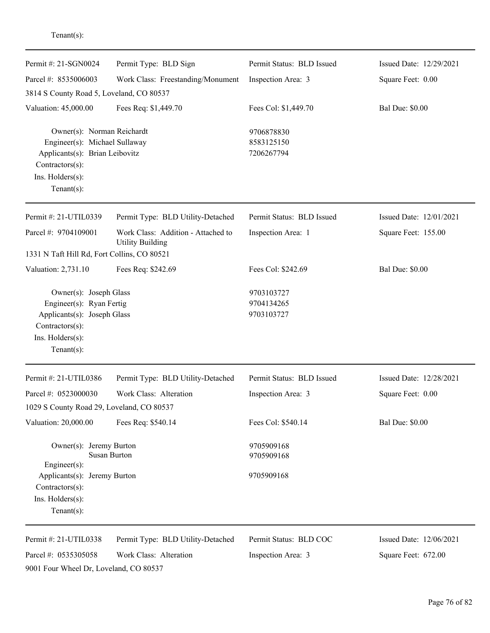| Permit #: 21-SGN0024                                                                                                                      | Permit Type: BLD Sign                                         | Permit Status: BLD Issued              | Issued Date: 12/29/2021 |
|-------------------------------------------------------------------------------------------------------------------------------------------|---------------------------------------------------------------|----------------------------------------|-------------------------|
| Parcel #: 8535006003                                                                                                                      | Work Class: Freestanding/Monument                             | Inspection Area: 3                     | Square Feet: 0.00       |
| 3814 S County Road 5, Loveland, CO 80537                                                                                                  |                                                               |                                        |                         |
| Valuation: 45,000.00                                                                                                                      | Fees Req: \$1,449.70                                          | Fees Col: \$1,449.70                   | <b>Bal Due: \$0.00</b>  |
| Owner(s): Norman Reichardt<br>Engineer(s): Michael Sullaway<br>Applicants(s): Brian Leibovitz<br>$Contractors(s)$ :                       |                                                               | 9706878830<br>8583125150<br>7206267794 |                         |
| Ins. Holders(s):<br>Tenant $(s)$ :                                                                                                        |                                                               |                                        |                         |
| Permit #: 21-UTIL0339                                                                                                                     | Permit Type: BLD Utility-Detached                             | Permit Status: BLD Issued              | Issued Date: 12/01/2021 |
| Parcel #: 9704109001                                                                                                                      | Work Class: Addition - Attached to<br><b>Utility Building</b> | Inspection Area: 1                     | Square Feet: 155.00     |
| 1331 N Taft Hill Rd, Fort Collins, CO 80521                                                                                               |                                                               |                                        |                         |
| Valuation: 2,731.10                                                                                                                       | Fees Req: \$242.69                                            | Fees Col: \$242.69                     | <b>Bal Due: \$0.00</b>  |
| Owner(s): Joseph Glass<br>Engineer(s): Ryan Fertig<br>Applicants(s): Joseph Glass<br>Contractors(s):<br>Ins. Holders(s):<br>$Tenant(s)$ : |                                                               | 9703103727<br>9704134265<br>9703103727 |                         |
| Permit #: 21-UTIL0386                                                                                                                     | Permit Type: BLD Utility-Detached                             | Permit Status: BLD Issued              | Issued Date: 12/28/2021 |
| Parcel #: 0523000030                                                                                                                      | Work Class: Alteration                                        | Inspection Area: 3                     | Square Feet: 0.00       |
| 1029 S County Road 29, Loveland, CO 80537                                                                                                 |                                                               |                                        |                         |
| Valuation: 20,000.00                                                                                                                      | Fees Req: \$540.14                                            | Fees Col: \$540.14                     | <b>Bal Due: \$0.00</b>  |
| Owner(s): Jeremy Burton                                                                                                                   | <b>Susan Burton</b>                                           | 9705909168<br>9705909168               |                         |
| $Engineering(s)$ :<br>Applicants(s): Jeremy Burton<br>Contractors(s):<br>Ins. Holders(s):<br>Tenant $(s)$ :                               |                                                               | 9705909168                             |                         |
| Permit #: 21-UTIL0338                                                                                                                     | Permit Type: BLD Utility-Detached                             | Permit Status: BLD COC                 | Issued Date: 12/06/2021 |

Parcel #: 0535305058 Work Class: Alteration 9001 Four Wheel Dr, Loveland, CO 80537

Tenant(s):

Inspection Area: 3

Square Feet: 672.00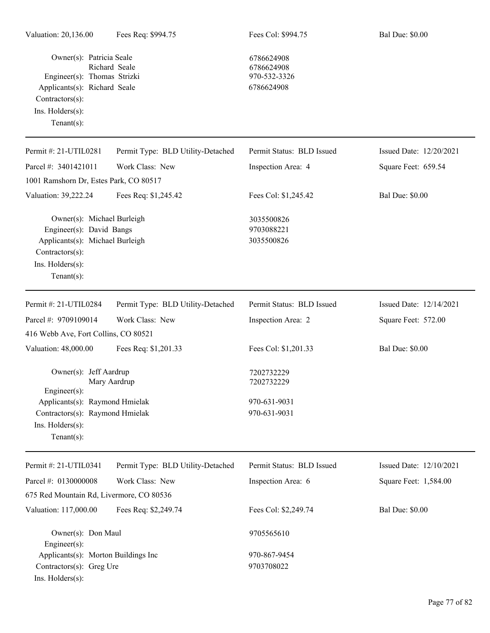Owner(s): Patricia Seale 6786624908 Richard Seale 6786624908<br>Thomas Strizki 970-532-3326 Engineer(s): Thomas Strizki Applicants(s): Richard Seale 6786624908 Contractors(s): Ins. Holders(s): Tenant(s):

| Permit #: 21-UTIL0281                                                                                                                             | Permit Type: BLD Utility-Detached | Permit Status: BLD Issued              | Issued Date: 12/20/2021 |
|---------------------------------------------------------------------------------------------------------------------------------------------------|-----------------------------------|----------------------------------------|-------------------------|
| Parcel #: 3401421011                                                                                                                              | Work Class: New                   | Inspection Area: 4                     | Square Feet: 659.54     |
| 1001 Ramshorn Dr, Estes Park, CO 80517                                                                                                            |                                   |                                        |                         |
| Valuation: 39,222.24                                                                                                                              | Fees Req: \$1,245.42              | Fees Col: \$1,245.42                   | <b>Bal Due: \$0.00</b>  |
| Owner(s): Michael Burleigh<br>Engineer(s): David Bangs<br>Applicants(s): Michael Burleigh<br>Contractors(s):<br>Ins. Holders(s):<br>$Tenant(s)$ : |                                   | 3035500826<br>9703088221<br>3035500826 |                         |
| Permit #: 21-UTIL0284                                                                                                                             | Permit Type: BLD Utility-Detached | Permit Status: BLD Issued              | Issued Date: 12/14/2021 |
| Parcel #: 9709109014                                                                                                                              | Work Class: New                   | Inspection Area: 2                     | Square Feet: 572.00     |
| 416 Webb Ave, Fort Collins, CO 80521                                                                                                              |                                   |                                        |                         |
| Valuation: 48,000.00                                                                                                                              | Fees Req: \$1,201.33              | Fees Col: \$1,201.33                   | <b>Bal Due: \$0.00</b>  |
| Owner(s): Jeff Aardrup<br>Engineer(s):                                                                                                            | Mary Aardrup                      | 7202732229<br>7202732229               |                         |
| Applicants(s): Raymond Hmielak                                                                                                                    |                                   | 970-631-9031                           |                         |
| Contractors(s): Raymond Hmielak<br>Ins. Holders(s):<br>Tenant $(s)$ :                                                                             |                                   | 970-631-9031                           |                         |
| Permit #: 21-UTIL0341                                                                                                                             | Permit Type: BLD Utility-Detached | Permit Status: BLD Issued              | Issued Date: 12/10/2021 |
| Parcel #: 0130000008                                                                                                                              | Work Class: New                   | Inspection Area: 6                     | Square Feet: 1,584.00   |
| 675 Red Mountain Rd, Livermore, CO 80536                                                                                                          |                                   |                                        |                         |
| Valuation: 117,000.00                                                                                                                             | Fees Req: \$2,249.74              | Fees Col: \$2,249.74                   | <b>Bal Due: \$0.00</b>  |
| Owner(s): Don Maul<br>Engineer(s):                                                                                                                |                                   | 9705565610                             |                         |
| Applicants(s): Morton Buildings Inc                                                                                                               |                                   | 970-867-9454                           |                         |
| Contractors(s): Greg Ure                                                                                                                          |                                   | 9703708022                             |                         |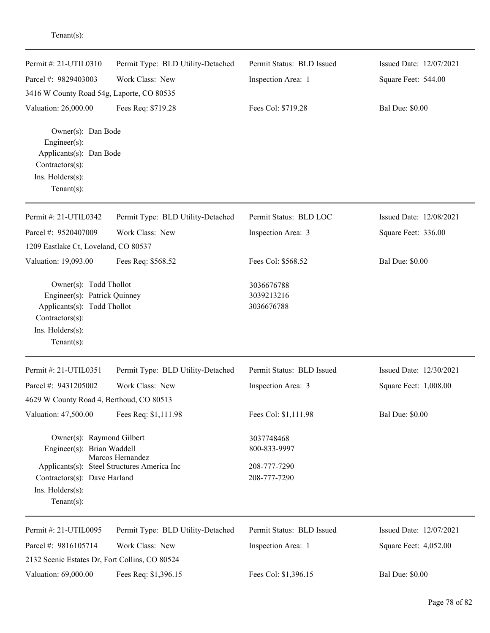| Permit #: 21-UTIL0310                                                                                                                          | Permit Type: BLD Utility-Detached                               | Permit Status: BLD Issued                                  | Issued Date: 12/07/2021 |
|------------------------------------------------------------------------------------------------------------------------------------------------|-----------------------------------------------------------------|------------------------------------------------------------|-------------------------|
| Parcel #: 9829403003                                                                                                                           | Work Class: New                                                 | Inspection Area: 1                                         | Square Feet: 544.00     |
| 3416 W County Road 54g, Laporte, CO 80535                                                                                                      |                                                                 |                                                            |                         |
| Valuation: 26,000.00                                                                                                                           | Fees Req: \$719.28                                              | Fees Col: \$719.28                                         | <b>Bal Due: \$0.00</b>  |
| Owner(s): Dan Bode<br>Engineer(s):<br>Applicants(s): Dan Bode<br>Contractors(s):<br>Ins. Holders(s):<br>Tenant $(s)$ :                         |                                                                 |                                                            |                         |
| Permit #: 21-UTIL0342                                                                                                                          | Permit Type: BLD Utility-Detached                               | Permit Status: BLD LOC                                     | Issued Date: 12/08/2021 |
| Parcel #: 9520407009                                                                                                                           | Work Class: New                                                 | Inspection Area: 3                                         | Square Feet: 336.00     |
| 1209 Eastlake Ct, Loveland, CO 80537                                                                                                           |                                                                 |                                                            |                         |
| Valuation: 19,093.00                                                                                                                           | Fees Req: \$568.52                                              | Fees Col: \$568.52                                         | <b>Bal Due: \$0.00</b>  |
| Owner(s): Todd Thollot<br>Engineer(s): Patrick Quinney<br>Applicants(s): Todd Thollot<br>Contractors(s):<br>Ins. Holders(s):<br>Tenant $(s)$ : |                                                                 | 3036676788<br>3039213216<br>3036676788                     |                         |
| Permit #: 21-UTIL0351                                                                                                                          | Permit Type: BLD Utility-Detached                               | Permit Status: BLD Issued                                  | Issued Date: 12/30/2021 |
| Parcel #: 9431205002                                                                                                                           | Work Class: New                                                 | Inspection Area: 3                                         | Square Feet: 1,008.00   |
| 4629 W County Road 4, Berthoud, CO 80513                                                                                                       |                                                                 |                                                            |                         |
| Valuation: 47,500.00                                                                                                                           | Fees Req: \$1,111.98                                            | Fees Col: \$1,111.98                                       | <b>Bal Due: \$0.00</b>  |
| Owner(s): Raymond Gilbert<br>Engineer(s): Brian Waddell<br>Contractors(s): Dave Harland<br>Ins. Holders(s):<br>Tenant $(s)$ :                  | Marcos Hernandez<br>Applicants(s): Steel Structures America Inc | 3037748468<br>800-833-9997<br>208-777-7290<br>208-777-7290 |                         |
| Permit #: 21-UTIL0095                                                                                                                          | Permit Type: BLD Utility-Detached                               | Permit Status: BLD Issued                                  | Issued Date: 12/07/2021 |
| Parcel #: 9816105714                                                                                                                           | Work Class: New                                                 | Inspection Area: 1                                         | Square Feet: 4,052.00   |
| 2132 Scenic Estates Dr, Fort Collins, CO 80524                                                                                                 |                                                                 |                                                            |                         |
| Valuation: 69,000.00                                                                                                                           | Fees Req: \$1,396.15                                            | Fees Col: \$1,396.15                                       | <b>Bal Due: \$0.00</b>  |

Tenant(s):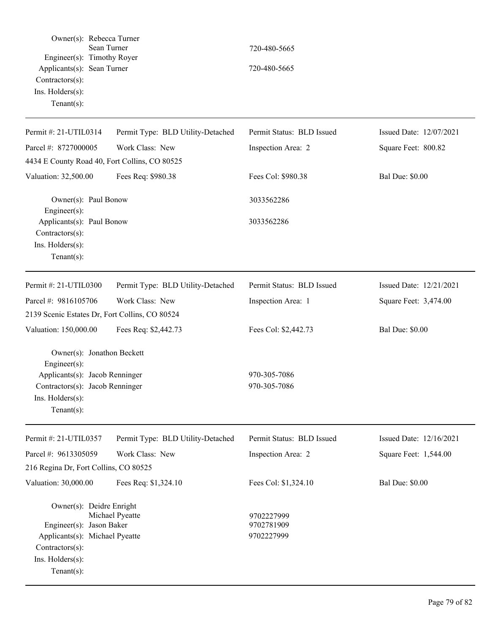| Owner(s): Rebecca Turner<br>Engineer(s): Timothy Royer<br>Applicants(s): Sean Turner<br>Contractors(s):<br>Ins. Holders(s):<br>Tenant $(s)$ :        | Sean Turner                                    | 720-480-5665<br>720-480-5665           |                         |
|------------------------------------------------------------------------------------------------------------------------------------------------------|------------------------------------------------|----------------------------------------|-------------------------|
| Permit #: 21-UTIL0314                                                                                                                                | Permit Type: BLD Utility-Detached              | Permit Status: BLD Issued              | Issued Date: 12/07/2021 |
| Parcel #: 8727000005                                                                                                                                 | Work Class: New                                | Inspection Area: 2                     | Square Feet: 800.82     |
|                                                                                                                                                      | 4434 E County Road 40, Fort Collins, CO 80525  |                                        |                         |
| Valuation: 32,500.00                                                                                                                                 | Fees Req: \$980.38                             | Fees Col: \$980.38                     | <b>Bal Due: \$0.00</b>  |
| Owner(s): Paul Bonow<br>Engineer(s):                                                                                                                 |                                                | 3033562286                             |                         |
| Applicants(s): Paul Bonow<br>Contractors(s):<br>Ins. $H$ olders $(s)$ :<br>$Tenant(s)$ :                                                             |                                                | 3033562286                             |                         |
| Permit #: 21-UTIL0300                                                                                                                                | Permit Type: BLD Utility-Detached              | Permit Status: BLD Issued              | Issued Date: 12/21/2021 |
| Parcel #: 9816105706                                                                                                                                 | Work Class: New                                | Inspection Area: 1                     | Square Feet: 3,474.00   |
|                                                                                                                                                      | 2139 Scenic Estates Dr, Fort Collins, CO 80524 |                                        |                         |
| Valuation: 150,000.00                                                                                                                                | Fees Req: \$2,442.73                           | Fees Col: \$2,442.73                   | <b>Bal Due: \$0.00</b>  |
| Owner(s): Jonathon Beckett<br>Engineer(s):<br>Applicants(s): Jacob Renninger<br>Contractors(s): Jacob Renninger<br>Ins. Holders(s):<br>$Tenant(s)$ : |                                                | 970-305-7086<br>970-305-7086           |                         |
| Permit #: 21-UTIL0357                                                                                                                                | Permit Type: BLD Utility-Detached              | Permit Status: BLD Issued              | Issued Date: 12/16/2021 |
| Parcel #: 9613305059                                                                                                                                 | Work Class: New                                | Inspection Area: 2                     | Square Feet: 1,544.00   |
| 216 Regina Dr, Fort Collins, CO 80525                                                                                                                |                                                |                                        |                         |
| Valuation: 30,000.00                                                                                                                                 | Fees Req: \$1,324.10                           | Fees Col: \$1,324.10                   | <b>Bal Due: \$0.00</b>  |
| Owner(s): Deidre Enright<br>Engineer(s): Jason Baker<br>Applicants(s): Michael Pyeatte<br>Contractors(s):<br>Ins. Holders(s):<br>Tenant $(s)$ :      | Michael Pyeatte                                | 9702227999<br>9702781909<br>9702227999 |                         |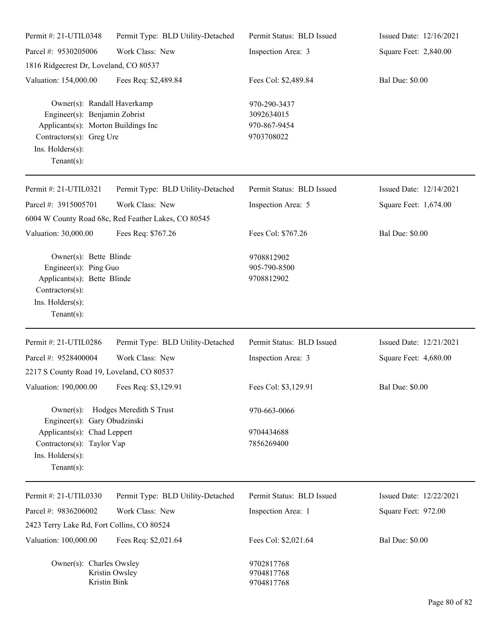| Permit#: 21-UTIL0348                                                                                                                                                  | Permit Type: BLD Utility-Detached                                      | Permit Status: BLD Issued                                | Issued Date: 12/16/2021 |
|-----------------------------------------------------------------------------------------------------------------------------------------------------------------------|------------------------------------------------------------------------|----------------------------------------------------------|-------------------------|
| Parcel #: 9530205006                                                                                                                                                  | Work Class: New                                                        | Inspection Area: 3                                       | Square Feet: 2,840.00   |
| 1816 Ridgecrest Dr, Loveland, CO 80537                                                                                                                                |                                                                        |                                                          |                         |
| Valuation: 154,000.00                                                                                                                                                 | Fees Req: \$2,489.84                                                   | Fees Col: \$2,489.84                                     | <b>Bal Due: \$0.00</b>  |
| Owner(s): Randall Haverkamp<br>Engineer(s): Benjamin Zobrist<br>Applicants(s): Morton Buildings Inc<br>Contractors(s): Greg Ure<br>Ins. Holders(s):<br>Tenant $(s)$ : |                                                                        | 970-290-3437<br>3092634015<br>970-867-9454<br>9703708022 |                         |
| Permit #: 21-UTIL0321                                                                                                                                                 | Permit Type: BLD Utility-Detached                                      | Permit Status: BLD Issued                                | Issued Date: 12/14/2021 |
| Parcel #: 3915005701                                                                                                                                                  | Work Class: New<br>6004 W County Road 68c, Red Feather Lakes, CO 80545 | Inspection Area: 5                                       | Square Feet: 1,674.00   |
| Valuation: 30,000.00                                                                                                                                                  | Fees Req: \$767.26                                                     | Fees Col: \$767.26                                       | <b>Bal Due: \$0.00</b>  |
| Owner(s): Bette Blinde<br>Engineer(s): Ping Guo<br>Applicants(s): Bette Blinde<br>Contractors(s):<br>Ins. Holders(s):<br>Tenant $(s)$ :                               |                                                                        | 9708812902<br>905-790-8500<br>9708812902                 |                         |
| Permit #: 21-UTIL0286                                                                                                                                                 | Permit Type: BLD Utility-Detached                                      | Permit Status: BLD Issued                                | Issued Date: 12/21/2021 |
| Parcel #: 9528400004                                                                                                                                                  | Work Class: New                                                        | Inspection Area: 3                                       | Square Feet: 4,680.00   |
| 2217 S County Road 19, Loveland, CO 80537                                                                                                                             |                                                                        |                                                          |                         |
| Valuation: 190,000.00 Fees Req: \$3,129.91                                                                                                                            |                                                                        | Fees Col: \$3,129.91                                     | <b>Bal Due: \$0.00</b>  |
| Engineer(s): Gary Obudzinski<br>Applicants(s): Chad Leppert<br>Contractors(s): Taylor Vap<br>Ins. Holders(s):<br>Tenant $(s)$ :                                       | Owner(s): Hodges Meredith S Trust                                      | 970-663-0066<br>9704434688<br>7856269400                 |                         |
| Permit #: 21-UTIL0330                                                                                                                                                 | Permit Type: BLD Utility-Detached                                      | Permit Status: BLD Issued                                | Issued Date: 12/22/2021 |
| Parcel #: 9836206002                                                                                                                                                  | Work Class: New                                                        | Inspection Area: 1                                       | Square Feet: 972.00     |
| 2423 Terry Lake Rd, Fort Collins, CO 80524                                                                                                                            |                                                                        |                                                          |                         |
| Valuation: 100,000.00                                                                                                                                                 | Fees Req: \$2,021.64                                                   | Fees Col: \$2,021.64                                     | <b>Bal Due: \$0.00</b>  |
| Owner(s): Charles Owsley<br>Kristin Bink                                                                                                                              | Kristin Owsley                                                         | 9702817768<br>9704817768<br>9704817768                   |                         |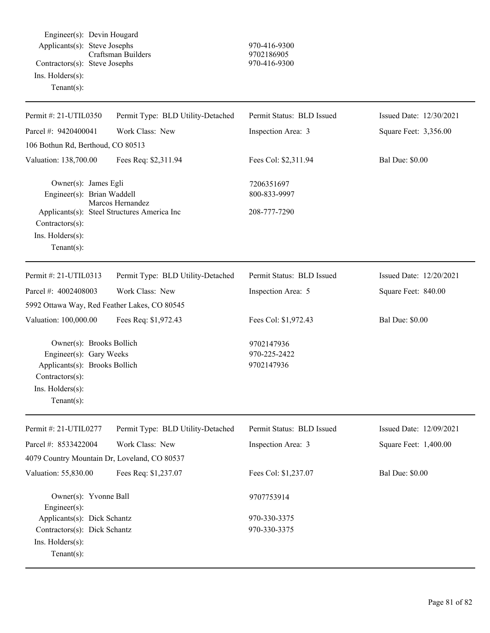Engineer(s): Devin Hougard Applicants(s): Steve Josephs 970-416-9300<br>Craftsman Builders 9702186905 Craftsman Builders Contractors(s): Steve Josephs 970-416-9300 Ins. Holders(s): Tenant(s):

| Permit #: 21-UTIL0350                                                                                                                         | Permit Type: BLD Utility-Detached                               | Permit Status: BLD Issued                  | Issued Date: 12/30/2021 |
|-----------------------------------------------------------------------------------------------------------------------------------------------|-----------------------------------------------------------------|--------------------------------------------|-------------------------|
| Parcel #: 9420400041                                                                                                                          | Work Class: New                                                 | Inspection Area: 3                         | Square Feet: 3,356.00   |
| 106 Bothun Rd, Berthoud, CO 80513                                                                                                             |                                                                 |                                            |                         |
| Valuation: 138,700.00                                                                                                                         | Fees Req: \$2,311.94                                            | Fees Col: \$2,311.94                       | <b>Bal Due: \$0.00</b>  |
| Owner(s): James Egli<br>Engineer(s): Brian Waddell<br>Contractors(s):<br>Ins. Holders(s):<br>Tenant $(s)$ :                                   | Marcos Hernandez<br>Applicants(s): Steel Structures America Inc | 7206351697<br>800-833-9997<br>208-777-7290 |                         |
| Permit #: 21-UTIL0313                                                                                                                         | Permit Type: BLD Utility-Detached                               | Permit Status: BLD Issued                  | Issued Date: 12/20/2021 |
| Parcel #: 4002408003                                                                                                                          | Work Class: New                                                 | Inspection Area: 5                         | Square Feet: 840.00     |
| 5992 Ottawa Way, Red Feather Lakes, CO 80545                                                                                                  |                                                                 |                                            |                         |
| Valuation: 100,000.00                                                                                                                         | Fees Req: \$1,972.43                                            | Fees Col: \$1,972.43                       | <b>Bal Due: \$0.00</b>  |
| Owner(s): Brooks Bollich<br>Engineer(s): Gary Weeks<br>Applicants(s): Brooks Bollich<br>Contractors(s):<br>Ins. Holders(s):<br>Tenant $(s)$ : |                                                                 | 9702147936<br>970-225-2422<br>9702147936   |                         |
| Permit #: 21-UTIL0277                                                                                                                         | Permit Type: BLD Utility-Detached                               | Permit Status: BLD Issued                  | Issued Date: 12/09/2021 |
| Parcel #: 8533422004                                                                                                                          | Work Class: New                                                 | Inspection Area: 3                         | Square Feet: 1,400.00   |
| 4079 Country Mountain Dr, Loveland, CO 80537                                                                                                  |                                                                 |                                            |                         |
| Valuation: 55,830.00                                                                                                                          | Fees Req: \$1,237.07                                            | Fees Col: \$1,237.07                       | <b>Bal Due: \$0.00</b>  |
| Owner(s): Yvonne Ball<br>$Engineering(s)$ :                                                                                                   |                                                                 | 9707753914                                 |                         |
| Applicants(s): Dick Schantz                                                                                                                   |                                                                 | 970-330-3375                               |                         |

Ins. Holders(s): Tenant(s):

Contractors(s): Dick Schantz 970-330-3375